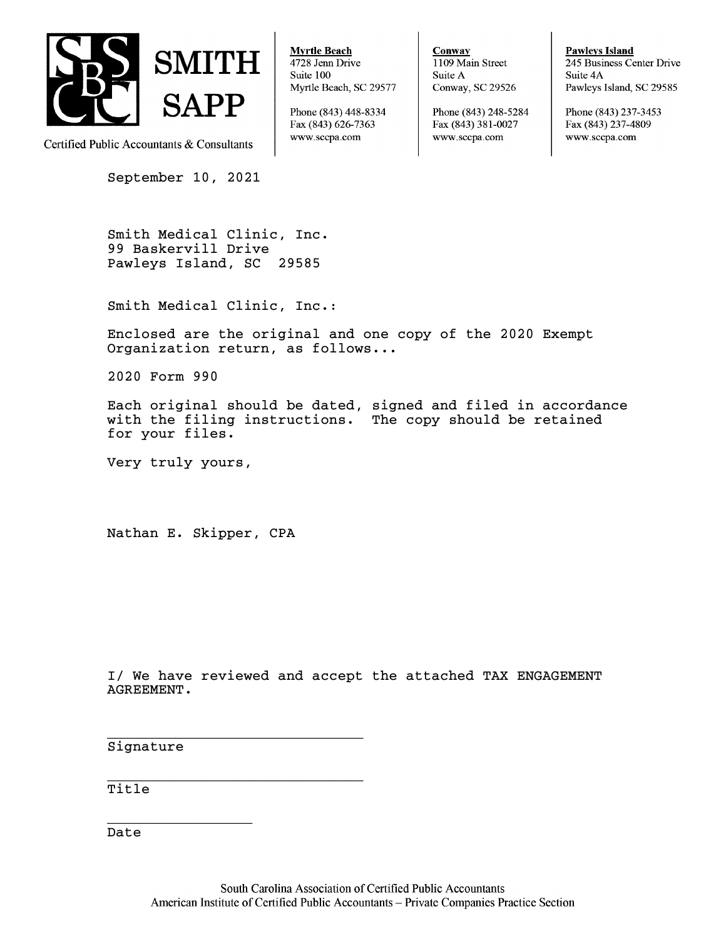

Certified Public Accountants & Consultants

September 10, 2021

**Myrtle Beach** 4728 Jenn Drive Suite 100 Myrtle Beach, SC 29577

Phone (843) 448-8334 Fax (843) 626-7363 www.sccpa.com

Conway 1109 Main Street Suite A Conway, SC 29526

Phone (843) 248-5284 Fax (843) 381-0027 www.sccpa.com

**Pawleys Island** 245 Business Center Drive Suite 4A Pawleys Island, SC 29585

Phone (843) 237-3453 Fax (843) 237-4809 www.sccpa.com

Smith Medical Clinic, Inc. 99 Baskervill Drive Pawleys Island, SC 29585

Smith Medical Clinic, Inc.:

Enclosed are the original and one copy of the 2020 Exempt Organization return, as follows...

2020 Form 990

Each original should be dated, signed and filed in accordance with the filing instructions. The copy should be retained for your files.

Very truly yours,

Nathan E. Skipper, CPA

\_\_\_\_\_\_\_\_\_\_\_\_\_\_\_\_\_\_\_\_\_\_\_\_\_\_\_\_\_\_

\_\_\_\_\_\_\_\_\_\_\_\_\_\_\_\_\_\_\_\_\_\_\_\_\_\_\_\_\_\_

I/ We have reviewed and accept the attached TAX ENGAGEMENT AGREEMENT.

Signature

 $\overline{\phantom{a}}$  , and the set of the set of the set of the set of the set of the set of the set of the set of the set of the set of the set of the set of the set of the set of the set of the set of the set of the set of the s

Title

Date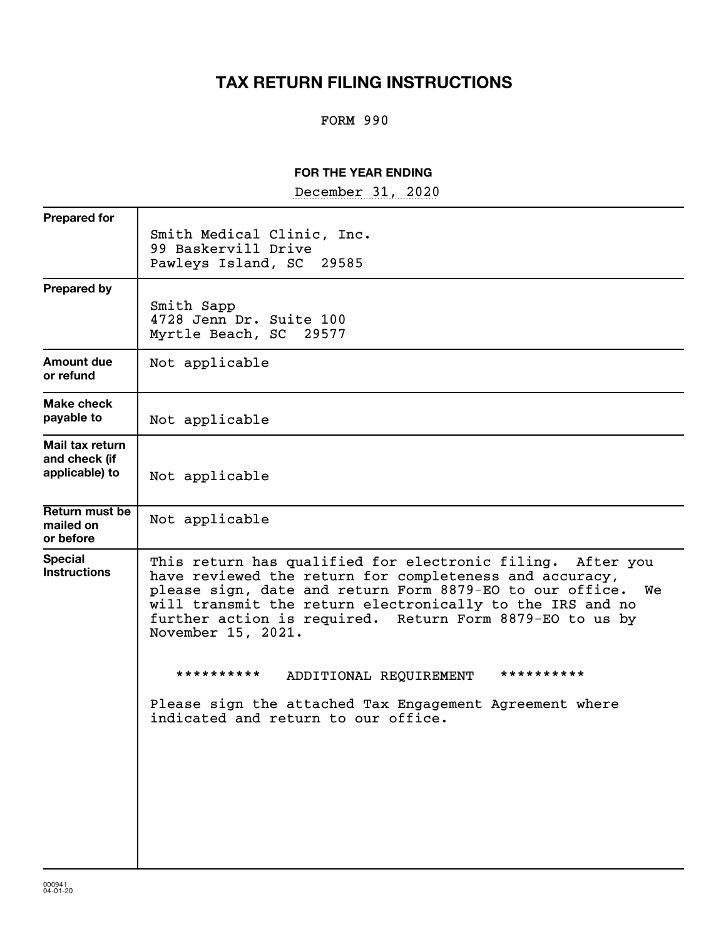# **TAX RETURN FILING INSTRUCTIONS**

# FORM 990

## **FOR THE YEAR ENDING**

December 31, 2020

| <b>Prepared for</b>                                |                                                                                                                                                                                                                                                                                                                                        |
|----------------------------------------------------|----------------------------------------------------------------------------------------------------------------------------------------------------------------------------------------------------------------------------------------------------------------------------------------------------------------------------------------|
|                                                    | Smith Medical Clinic, Inc.<br>99 Baskervill Drive<br>Pawleys Island, SC 29585                                                                                                                                                                                                                                                          |
| <b>Prepared by</b>                                 | Smith Sapp<br>4728 Jenn Dr. Suite 100<br>Myrtle Beach, SC 29577                                                                                                                                                                                                                                                                        |
| Amount due<br>or refund                            | Not applicable                                                                                                                                                                                                                                                                                                                         |
| Make check<br>payable to                           | Not applicable                                                                                                                                                                                                                                                                                                                         |
| Mail tax return<br>and check (if<br>applicable) to | Not applicable                                                                                                                                                                                                                                                                                                                         |
| Return must be<br>mailed on<br>or before           | Not applicable                                                                                                                                                                                                                                                                                                                         |
| <b>Special</b><br><b>Instructions</b>              | This return has qualified for electronic filing. After you<br>have reviewed the return for completeness and accuracy,<br>please sign, date and return Form 8879-EO to our office.<br>We<br>will transmit the return electronically to the IRS and no<br>further action is required. Return Form 8879-EO to us by<br>November 15, 2021. |
|                                                    | **********<br>**********<br>ADDITIONAL REQUIREMENT                                                                                                                                                                                                                                                                                     |
|                                                    | Please sign the attached Tax Engagement Agreement where<br>indicated and return to our office.                                                                                                                                                                                                                                         |
|                                                    |                                                                                                                                                                                                                                                                                                                                        |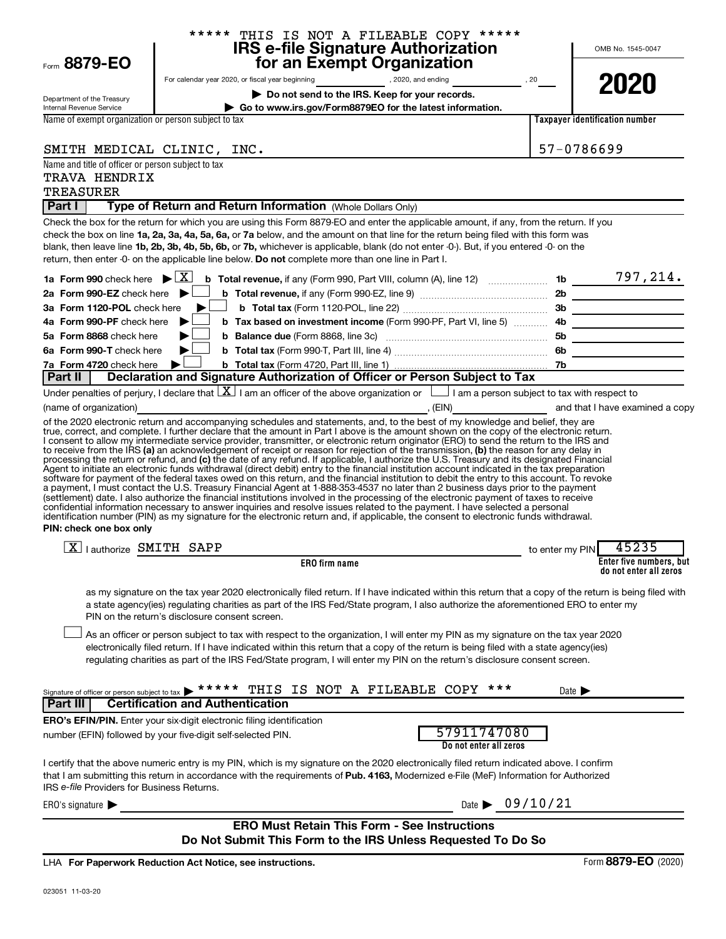| Form 8879-EO                                                                   | ***** THIS IS NOT A FILEABLE COPY *****<br><b>IRS e-file Signature Authorization<br/>for an Exempt Organization</b>                                                                                                                                                                                                                                                                                                                                                                                                                                                                                                                                                                                                                                                                                                                                                                                                                                                                                                                                                                                                                       |                                                                     | OMB No. 1545-0047                                 |
|--------------------------------------------------------------------------------|-------------------------------------------------------------------------------------------------------------------------------------------------------------------------------------------------------------------------------------------------------------------------------------------------------------------------------------------------------------------------------------------------------------------------------------------------------------------------------------------------------------------------------------------------------------------------------------------------------------------------------------------------------------------------------------------------------------------------------------------------------------------------------------------------------------------------------------------------------------------------------------------------------------------------------------------------------------------------------------------------------------------------------------------------------------------------------------------------------------------------------------------|---------------------------------------------------------------------|---------------------------------------------------|
|                                                                                |                                                                                                                                                                                                                                                                                                                                                                                                                                                                                                                                                                                                                                                                                                                                                                                                                                                                                                                                                                                                                                                                                                                                           |                                                                     | 2020                                              |
| Department of the Treasury                                                     | Do not send to the IRS. Keep for your records.                                                                                                                                                                                                                                                                                                                                                                                                                                                                                                                                                                                                                                                                                                                                                                                                                                                                                                                                                                                                                                                                                            |                                                                     |                                                   |
| Internal Revenue Service                                                       | Go to www.irs.gov/Form8879EO for the latest information.                                                                                                                                                                                                                                                                                                                                                                                                                                                                                                                                                                                                                                                                                                                                                                                                                                                                                                                                                                                                                                                                                  |                                                                     |                                                   |
| Name of exempt organization or person subject to tax                           |                                                                                                                                                                                                                                                                                                                                                                                                                                                                                                                                                                                                                                                                                                                                                                                                                                                                                                                                                                                                                                                                                                                                           |                                                                     | <b>Taxpayer identification number</b>             |
| SMITH MEDICAL CLINIC, INC.                                                     |                                                                                                                                                                                                                                                                                                                                                                                                                                                                                                                                                                                                                                                                                                                                                                                                                                                                                                                                                                                                                                                                                                                                           |                                                                     | 57-0786699                                        |
| Name and title of officer or person subject to tax                             |                                                                                                                                                                                                                                                                                                                                                                                                                                                                                                                                                                                                                                                                                                                                                                                                                                                                                                                                                                                                                                                                                                                                           |                                                                     |                                                   |
| TRAVA HENDRIX                                                                  |                                                                                                                                                                                                                                                                                                                                                                                                                                                                                                                                                                                                                                                                                                                                                                                                                                                                                                                                                                                                                                                                                                                                           |                                                                     |                                                   |
| <b>TREASURER</b>                                                               |                                                                                                                                                                                                                                                                                                                                                                                                                                                                                                                                                                                                                                                                                                                                                                                                                                                                                                                                                                                                                                                                                                                                           |                                                                     |                                                   |
| Part I                                                                         | Type of Return and Return Information (Whole Dollars Only)                                                                                                                                                                                                                                                                                                                                                                                                                                                                                                                                                                                                                                                                                                                                                                                                                                                                                                                                                                                                                                                                                |                                                                     |                                                   |
|                                                                                | Check the box for the return for which you are using this Form 8879-EO and enter the applicable amount, if any, from the return. If you<br>check the box on line 1a, 2a, 3a, 4a, 5a, 6a, or 7a below, and the amount on that line for the return being filed with this form was<br>blank, then leave line 1b, 2b, 3b, 4b, 5b, 6b, or 7b, whichever is applicable, blank (do not enter -0-). But, if you entered -0- on the<br>return, then enter -0- on the applicable line below. Do not complete more than one line in Part I.                                                                                                                                                                                                                                                                                                                                                                                                                                                                                                                                                                                                          |                                                                     |                                                   |
|                                                                                |                                                                                                                                                                                                                                                                                                                                                                                                                                                                                                                                                                                                                                                                                                                                                                                                                                                                                                                                                                                                                                                                                                                                           |                                                                     |                                                   |
| 2a Form 990-EZ check here $\blacktriangleright$<br>3a Form 1120-POL check here |                                                                                                                                                                                                                                                                                                                                                                                                                                                                                                                                                                                                                                                                                                                                                                                                                                                                                                                                                                                                                                                                                                                                           |                                                                     |                                                   |
| 4a Form 990-PF check here                                                      |                                                                                                                                                                                                                                                                                                                                                                                                                                                                                                                                                                                                                                                                                                                                                                                                                                                                                                                                                                                                                                                                                                                                           | b Tax based on investment income (Form 990-PF, Part VI, line 5)  4b |                                                   |
| 5a Form 8868 check here                                                        |                                                                                                                                                                                                                                                                                                                                                                                                                                                                                                                                                                                                                                                                                                                                                                                                                                                                                                                                                                                                                                                                                                                                           |                                                                     |                                                   |
| 6a Form 990-T check here                                                       |                                                                                                                                                                                                                                                                                                                                                                                                                                                                                                                                                                                                                                                                                                                                                                                                                                                                                                                                                                                                                                                                                                                                           |                                                                     |                                                   |
| 7a Form 4720 check here                                                        | ▶                                                                                                                                                                                                                                                                                                                                                                                                                                                                                                                                                                                                                                                                                                                                                                                                                                                                                                                                                                                                                                                                                                                                         |                                                                     |                                                   |
| Part II                                                                        | Declaration and Signature Authorization of Officer or Person Subject to Tax                                                                                                                                                                                                                                                                                                                                                                                                                                                                                                                                                                                                                                                                                                                                                                                                                                                                                                                                                                                                                                                               |                                                                     |                                                   |
|                                                                                | Under penalties of perjury, I declare that $\boxed{\mathbf{X}}$ I am an officer of the above organization or $\boxed{\phantom{\mathbf{X}}\phantom{\mathbf{X}}}$ I am a person subject to tax with respect to                                                                                                                                                                                                                                                                                                                                                                                                                                                                                                                                                                                                                                                                                                                                                                                                                                                                                                                              |                                                                     |                                                   |
| (name of organization)                                                         |                                                                                                                                                                                                                                                                                                                                                                                                                                                                                                                                                                                                                                                                                                                                                                                                                                                                                                                                                                                                                                                                                                                                           |                                                                     |                                                   |
| PIN: check one box only                                                        | to receive from the IRS (a) an acknowledgement of receipt or reason for rejection of the transmission, (b) the reason for any delay in<br>processing the return or refund, and (c) the date of any refund. If applicable, I authorize the U.S. Treasury and its designated Financial<br>Agent to initiate an electronic funds withdrawal (direct debit) entry to the financial institution account indicated in the tax preparation<br>software for payment of the federal taxes owed on this return, and the financial institution to debit the entry to this account. To revoke<br>a payment, I must contact the U.S. Treasury Financial Agent at 1-888-353-4537 no later than 2 business days prior to the payment<br>(settlement) date. I also authorize the financial institutions involved in the processing of the electronic payment of taxes to receive<br>confidential information necessary to answer inquiries and resolve issues related to the payment. I have selected a personal<br>identification number (PIN) as my signature for the electronic return and, if applicable, the consent to electronic funds withdrawal. |                                                                     |                                                   |
| $\boxed{\text{X}}$   authorize SMITH SAPP                                      |                                                                                                                                                                                                                                                                                                                                                                                                                                                                                                                                                                                                                                                                                                                                                                                                                                                                                                                                                                                                                                                                                                                                           |                                                                     | 45235<br>to enter my PIN                          |
|                                                                                | ERO firm name                                                                                                                                                                                                                                                                                                                                                                                                                                                                                                                                                                                                                                                                                                                                                                                                                                                                                                                                                                                                                                                                                                                             |                                                                     | Enter five numbers, but<br>do not enter all zeros |
|                                                                                | as my signature on the tax year 2020 electronically filed return. If I have indicated within this return that a copy of the return is being filed with<br>a state agency(ies) regulating charities as part of the IRS Fed/State program, I also authorize the aforementioned ERO to enter my<br>PIN on the return's disclosure consent screen.                                                                                                                                                                                                                                                                                                                                                                                                                                                                                                                                                                                                                                                                                                                                                                                            |                                                                     |                                                   |
|                                                                                | As an officer or person subject to tax with respect to the organization, I will enter my PIN as my signature on the tax year 2020<br>electronically filed return. If I have indicated within this return that a copy of the return is being filed with a state agency(ies)<br>regulating charities as part of the IRS Fed/State program, I will enter my PIN on the return's disclosure consent screen.                                                                                                                                                                                                                                                                                                                                                                                                                                                                                                                                                                                                                                                                                                                                   |                                                                     |                                                   |
| Signature of officer or person subject to tax<br>Part III                      | <b>Certification and Authentication</b>                                                                                                                                                                                                                                                                                                                                                                                                                                                                                                                                                                                                                                                                                                                                                                                                                                                                                                                                                                                                                                                                                                   | THIS IS NOT A FILEABLE COPY ***                                     | Date $\blacktriangleright$                        |
|                                                                                | <b>ERO's EFIN/PIN.</b> Enter your six-digit electronic filing identification                                                                                                                                                                                                                                                                                                                                                                                                                                                                                                                                                                                                                                                                                                                                                                                                                                                                                                                                                                                                                                                              |                                                                     |                                                   |
|                                                                                | number (EFIN) followed by your five-digit self-selected PIN.                                                                                                                                                                                                                                                                                                                                                                                                                                                                                                                                                                                                                                                                                                                                                                                                                                                                                                                                                                                                                                                                              | 57911747080<br>Do not enter all zeros                               |                                                   |
| IRS e-file Providers for Business Returns.                                     | I certify that the above numeric entry is my PIN, which is my signature on the 2020 electronically filed return indicated above. I confirm<br>that I am submitting this return in accordance with the requirements of Pub. 4163, Modernized e-File (MeF) Information for Authorized                                                                                                                                                                                                                                                                                                                                                                                                                                                                                                                                                                                                                                                                                                                                                                                                                                                       |                                                                     |                                                   |
| ERO's signature $\blacktriangleright$                                          |                                                                                                                                                                                                                                                                                                                                                                                                                                                                                                                                                                                                                                                                                                                                                                                                                                                                                                                                                                                                                                                                                                                                           | Date $\triangleright$ 09/10/21                                      |                                                   |
|                                                                                | <b>ERO Must Retain This Form - See Instructions</b><br>Do Not Submit This Form to the IRS Unless Requested To Do So                                                                                                                                                                                                                                                                                                                                                                                                                                                                                                                                                                                                                                                                                                                                                                                                                                                                                                                                                                                                                       |                                                                     |                                                   |
|                                                                                | LHA For Paperwork Reduction Act Notice, see instructions.                                                                                                                                                                                                                                                                                                                                                                                                                                                                                                                                                                                                                                                                                                                                                                                                                                                                                                                                                                                                                                                                                 |                                                                     | Form 8879-EO (2020)                               |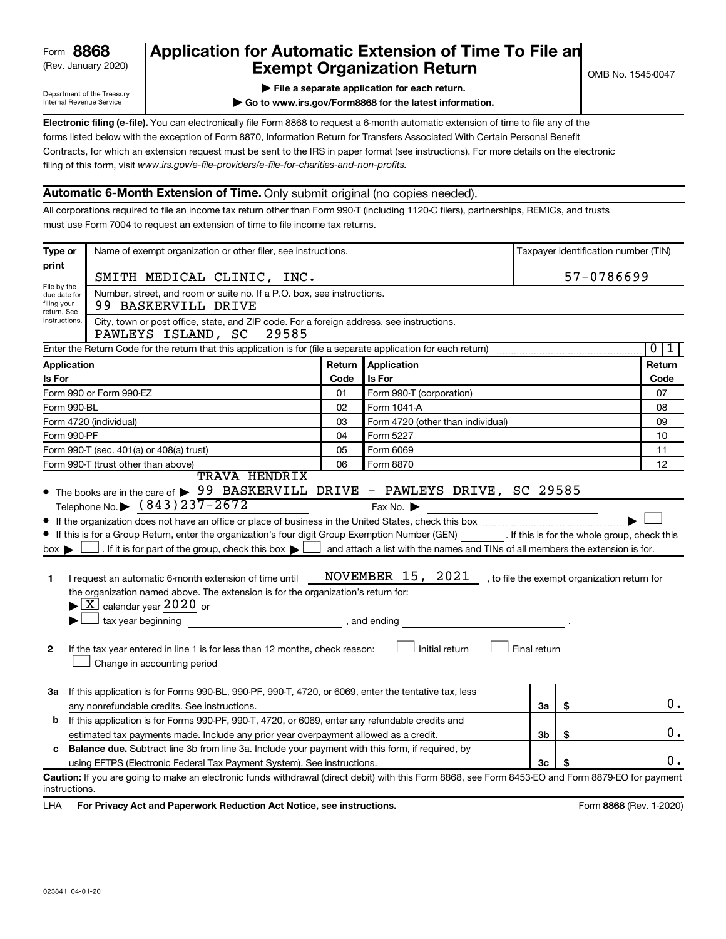# (Rev. January 2020) **Cxempt Organization Return** Manuary 2020) and the settern **Canadian Exempt Organization Return Form 8868 Application for Automatic Extension of Time To File an**<br>**Exempt Organization Return**

Department of the Treasury Internal Revenue Service

|  | File a separate application for each return. |  |  |
|--|----------------------------------------------|--|--|
|  |                                              |  |  |

**| Go to www.irs.gov/Form8868 for the latest information.**

**Electronic filing (e-file).** You can electronically file Form 8868 to request a 6-month automatic extension of time to file any of the filing of this form, visit www.irs.gov/e-file-providers/e-file-for-charities-and-non-profits. forms listed below with the exception of Form 8870, Information Return for Transfers Associated With Certain Personal Benefit Contracts, for which an extension request must be sent to the IRS in paper format (see instructions). For more details on the electronic

# **Automatic 6-Month Extension of Time.** Only submit original (no copies needed).

All corporations required to file an income tax return other than Form 990-T (including 1120-C filers), partnerships, REMICs, and trusts must use Form 7004 to request an extension of time to file income tax returns.

| Type or                                                                        | Name of exempt organization or other filer, see instructions.                                                                                                                                                                                                                                                                                                                                                                                                                                                                                                                |        |                                                                                                                                       |                |            | Taxpayer identification number (TIN)         |
|--------------------------------------------------------------------------------|------------------------------------------------------------------------------------------------------------------------------------------------------------------------------------------------------------------------------------------------------------------------------------------------------------------------------------------------------------------------------------------------------------------------------------------------------------------------------------------------------------------------------------------------------------------------------|--------|---------------------------------------------------------------------------------------------------------------------------------------|----------------|------------|----------------------------------------------|
| print                                                                          | SMITH MEDICAL CLINIC, INC.                                                                                                                                                                                                                                                                                                                                                                                                                                                                                                                                                   |        |                                                                                                                                       |                | 57-0786699 |                                              |
| File by the<br>due date for<br>filing your                                     | Number, street, and room or suite no. If a P.O. box, see instructions.<br>99 BASKERVILL DRIVE                                                                                                                                                                                                                                                                                                                                                                                                                                                                                |        |                                                                                                                                       |                |            |                                              |
| return. See<br>instructions.                                                   | City, town or post office, state, and ZIP code. For a foreign address, see instructions.<br>29585<br>PAWLEYS ISLAND, SC                                                                                                                                                                                                                                                                                                                                                                                                                                                      |        |                                                                                                                                       |                |            |                                              |
|                                                                                | Enter the Return Code for the return that this application is for (file a separate application for each return)                                                                                                                                                                                                                                                                                                                                                                                                                                                              |        |                                                                                                                                       |                |            | 0<br>1                                       |
| Application                                                                    |                                                                                                                                                                                                                                                                                                                                                                                                                                                                                                                                                                              | Return | Application                                                                                                                           |                |            | Return                                       |
| Is For                                                                         |                                                                                                                                                                                                                                                                                                                                                                                                                                                                                                                                                                              | Code   | Is For                                                                                                                                |                |            | Code                                         |
|                                                                                | Form 990 or Form 990-EZ                                                                                                                                                                                                                                                                                                                                                                                                                                                                                                                                                      | 01     | Form 990-T (corporation)                                                                                                              |                |            | 07                                           |
| Form 990-BL                                                                    |                                                                                                                                                                                                                                                                                                                                                                                                                                                                                                                                                                              | 02     | Form 1041-A                                                                                                                           |                |            | 08                                           |
|                                                                                | Form 4720 (individual)                                                                                                                                                                                                                                                                                                                                                                                                                                                                                                                                                       | 03     | Form 4720 (other than individual)                                                                                                     |                |            | 09                                           |
| Form 990-PF                                                                    |                                                                                                                                                                                                                                                                                                                                                                                                                                                                                                                                                                              | 04     | Form 5227                                                                                                                             |                |            | 10                                           |
| Form 990-T (sec. 401(a) or 408(a) trust)<br>05<br>Form 6069                    |                                                                                                                                                                                                                                                                                                                                                                                                                                                                                                                                                                              |        | 11                                                                                                                                    |                |            |                                              |
| 06<br>Form 990-T (trust other than above)<br>Form 8870<br><b>TRAVA HENDRIX</b> |                                                                                                                                                                                                                                                                                                                                                                                                                                                                                                                                                                              |        | 12                                                                                                                                    |                |            |                                              |
| box l<br>1<br>2                                                                | If this is for a Group Return, enter the organization's four digit Group Exemption Number (GEN) [If this is for the whole group, check this<br>. If it is for part of the group, check this box $\blacktriangleright$ [<br>I request an automatic 6-month extension of time until<br>the organization named above. The extension is for the organization's return for:<br>$\blacktriangleright$ $\boxed{\text{X}}$ calendar year 2020 or<br>tax year beginning<br>If the tax year entered in line 1 is for less than 12 months, check reason:<br>Change in accounting period |        | and attach a list with the names and TINs of all members the extension is for.<br>NOVEMBER 15, 2021<br>, and ending<br>Initial return | Final return   |            | , to file the exempt organization return for |
|                                                                                | 3a If this application is for Forms 990-BL, 990-PF, 990-T, 4720, or 6069, enter the tentative tax, less<br>any nonrefundable credits. See instructions.                                                                                                                                                                                                                                                                                                                                                                                                                      |        |                                                                                                                                       | За             | \$         | 0.                                           |
| b                                                                              | If this application is for Forms 990-PF, 990-T, 4720, or 6069, enter any refundable credits and                                                                                                                                                                                                                                                                                                                                                                                                                                                                              |        |                                                                                                                                       |                |            |                                              |
|                                                                                | estimated tax payments made. Include any prior year overpayment allowed as a credit.                                                                                                                                                                                                                                                                                                                                                                                                                                                                                         |        |                                                                                                                                       | 3b             | \$         | О.                                           |
| c                                                                              | <b>Balance due.</b> Subtract line 3b from line 3a. Include your payment with this form, if required, by                                                                                                                                                                                                                                                                                                                                                                                                                                                                      |        |                                                                                                                                       |                |            |                                              |
|                                                                                | using EFTPS (Electronic Federal Tax Payment System). See instructions.                                                                                                                                                                                                                                                                                                                                                                                                                                                                                                       |        |                                                                                                                                       | 3 <sub>c</sub> |            | Ο.                                           |
| instructions.                                                                  | Caution: If you are going to make an electronic funds withdrawal (direct debit) with this Form 8868, see Form 8453-EO and Form 8879-EO for payment                                                                                                                                                                                                                                                                                                                                                                                                                           |        |                                                                                                                                       |                |            |                                              |

LHA For Privacy Act and Paperwork Reduction Act Notice, see instructions. **8868** CREV. 1-2020)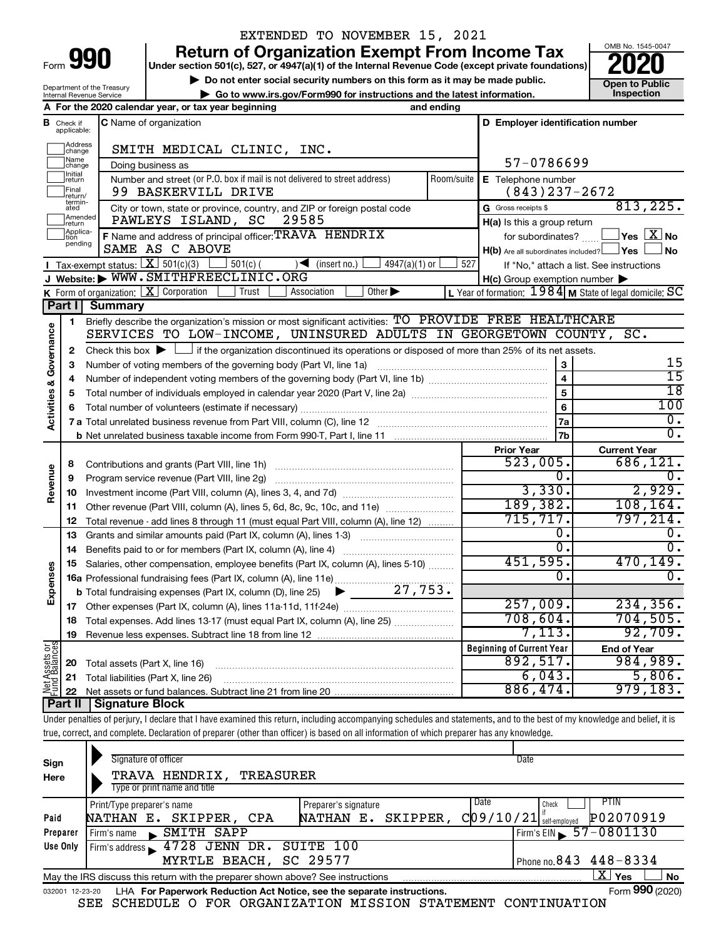| Form |  |  |
|------|--|--|

# EXTENDED TO NOVEMBER 15, 2021

**990** Return of Organization Exempt From Income Tax <br>
Under section 501(c), 527, or 4947(a)(1) of the Internal Revenue Code (except private foundations)<br> **PO20** 

**▶ Do not enter social security numbers on this form as it may be made public. Open to Public**<br>
inspection instructions and the latest information. Inspection **| Go to www.irs.gov/Form990 for instructions and the latest information. Inspection**



Department of the Treasury Internal Revenue Service

|                         |                                        | A For the 2020 calendar year, or tax year beginning                                                                                                                        | and ending |                                                     |                                                                    |
|-------------------------|----------------------------------------|----------------------------------------------------------------------------------------------------------------------------------------------------------------------------|------------|-----------------------------------------------------|--------------------------------------------------------------------|
|                         | <b>B</b> Check if<br>applicable:       | C Name of organization                                                                                                                                                     |            | D Employer identification number                    |                                                                    |
|                         | Address<br> change                     | SMITH MEDICAL CLINIC, INC.                                                                                                                                                 |            |                                                     |                                                                    |
|                         | ]Name<br>]change                       | Doing business as                                                                                                                                                          |            | 57-0786699                                          |                                                                    |
|                         | Initial<br>return<br>Final<br> return/ | Number and street (or P.O. box if mail is not delivered to street address)<br>99 BASKERVILL DRIVE                                                                          | Room/suite | E Telephone number<br>$(843)$ 237-2672              |                                                                    |
|                         | termin-<br>ated                        | City or town, state or province, country, and ZIP or foreign postal code                                                                                                   |            | G Gross receipts \$                                 | 813, 225.                                                          |
|                         | Amended<br>return                      | PAWLEYS ISLAND, SC<br>29585                                                                                                                                                |            | H(a) Is this a group return                         |                                                                    |
|                         | Applica-<br>Ition                      | F Name and address of principal officer: TRAVA HENDRIX                                                                                                                     |            | for subordinates?                                   | $\sqrt{\mathsf{Yes}\mathord{\;\mathbb{X}}\mathord{\;\mathsf{No}}}$ |
|                         | pending                                | SAME AS C ABOVE                                                                                                                                                            |            | $H(b)$ Are all subordinates included? $\Box$ Yes    | <b>No</b>                                                          |
|                         |                                        | Tax-exempt status: $X \mid 501(c)(3)$<br>$501(c)$ (<br>$4947(a)(1)$ or<br>$\sqrt{\frac{1}{1}}$ (insert no.)                                                                | 527        |                                                     | If "No," attach a list. See instructions                           |
|                         |                                        | J Website: WWW.SMITHFREECLINIC.ORG                                                                                                                                         |            | $H(c)$ Group exemption number $\blacktriangleright$ |                                                                    |
|                         |                                        | Other $\blacktriangleright$<br>K Form of organization: $X$ Corporation<br>Trust<br>Association                                                                             |            |                                                     | L Year of formation: 1984 M State of legal domicile: SC            |
|                         | Part I                                 | <b>Summary</b>                                                                                                                                                             |            |                                                     |                                                                    |
|                         | 1                                      | Briefly describe the organization's mission or most significant activities: TO PROVIDE FREE HEALTHCARE                                                                     |            |                                                     |                                                                    |
| Governance              |                                        | SERVICES TO LOW-INCOME, UNINSURED ADULTS IN GEORGETOWN COUNTY, SC.                                                                                                         |            |                                                     |                                                                    |
|                         | 2                                      | Check this box $\blacktriangleright \Box$ if the organization discontinued its operations or disposed of more than 25% of its net assets.                                  |            |                                                     |                                                                    |
|                         | з                                      | Number of voting members of the governing body (Part VI, line 1a)                                                                                                          |            | ${\bf 3}$                                           | 15                                                                 |
|                         | 4                                      |                                                                                                                                                                            |            | $\overline{\mathbf{4}}$                             | $\overline{15}$                                                    |
|                         | 5                                      |                                                                                                                                                                            |            | 5                                                   | $\overline{18}$                                                    |
|                         | 6                                      |                                                                                                                                                                            |            | 6                                                   | 100                                                                |
| <b>Activities &amp;</b> |                                        |                                                                                                                                                                            |            | l 7a                                                | 0.                                                                 |
|                         |                                        |                                                                                                                                                                            |            | 7b                                                  | σ.                                                                 |
|                         |                                        |                                                                                                                                                                            |            | <b>Prior Year</b>                                   | <b>Current Year</b>                                                |
|                         | 8                                      |                                                                                                                                                                            |            | $523,005$ .                                         | 686,121.                                                           |
| Revenue                 | 9                                      |                                                                                                                                                                            |            | 0.                                                  | 0.                                                                 |
|                         | 10                                     |                                                                                                                                                                            |            | 3,330.                                              | 2,929.                                                             |
|                         | 11                                     | Other revenue (Part VIII, column (A), lines 5, 6d, 8c, 9c, 10c, and 11e)                                                                                                   |            | 189, 382.                                           | 108, 164.                                                          |
|                         | 12                                     | Total revenue - add lines 8 through 11 (must equal Part VIII, column (A), line 12)                                                                                         |            | 715, 717.                                           | 797,214.                                                           |
|                         | 13                                     | Grants and similar amounts paid (Part IX, column (A), lines 1-3)                                                                                                           |            | 0.                                                  | 0.                                                                 |
|                         | 14                                     | Benefits paid to or for members (Part IX, column (A), line 4)                                                                                                              |            | 0.                                                  | $\overline{0}$ .                                                   |
|                         | 15                                     | Salaries, other compensation, employee benefits (Part IX, column (A), lines 5-10)                                                                                          |            | 451,595.                                            | 470, 149.                                                          |
| Expenses                |                                        | 16a Professional fundraising fees (Part IX, column (A), line 11e)                                                                                                          |            | 0.                                                  | 0.                                                                 |
|                         |                                        |                                                                                                                                                                            |            |                                                     |                                                                    |
|                         |                                        |                                                                                                                                                                            |            | 257,009.                                            | 234,356.                                                           |
|                         | 18                                     | Total expenses. Add lines 13-17 (must equal Part IX, column (A), line 25)                                                                                                  |            | 708,604.                                            | 704, 505.                                                          |
|                         |                                        | 19 Revenue less expenses. Subtract line 18 from line 12                                                                                                                    |            | 7,113.                                              | 92,709.                                                            |
|                         |                                        |                                                                                                                                                                            |            | <b>Beginning of Current Year</b>                    | <b>End of Year</b>                                                 |
|                         | 20                                     | Total assets (Part X, line 16)                                                                                                                                             |            | 892,517.                                            | 984,989.                                                           |
|                         | 21                                     | Total liabilities (Part X, line 26)                                                                                                                                        |            | 6,043.                                              | 5,806.                                                             |
| Net Assets or           | 22                                     |                                                                                                                                                                            |            | 886,474.                                            | 979, 183.                                                          |
|                         | <b>Part II</b>                         | <b>Signature Block</b>                                                                                                                                                     |            |                                                     |                                                                    |
|                         |                                        | Under penalties of perjury, I declare that I have examined this return, including accompanying schedules and statements, and to the best of my knowledge and belief, it is |            |                                                     |                                                                    |
|                         |                                        | true, correct, and complete. Declaration of preparer (other than officer) is based on all information of which preparer has any knowledge.                                 |            |                                                     |                                                                    |

| Sign<br>Here | Signature of officer<br>TRAVA HENDRIX,<br>TREASURER<br>Type or print name and title                          |                                            | Date                                        |                   |  |  |  |  |
|--------------|--------------------------------------------------------------------------------------------------------------|--------------------------------------------|---------------------------------------------|-------------------|--|--|--|--|
| Paid         | Print/Type preparer's name<br>NATHAN E. SKIPPER,<br>CPA                                                      | Preparer's signature<br>NATHAN E. SKIPPER, | Date<br>Check<br>$C$ 09/10/21 self-employed | PTIN<br>P02070919 |  |  |  |  |
| Preparer     | SMITH SAPP<br>Firm's name                                                                                    |                                            | Firm's EIN $\frac{57 - 0801130}{ }$         |                   |  |  |  |  |
| Use Only     | 4728 JENN DR. SUITE 100<br>Firm's address                                                                    |                                            |                                             |                   |  |  |  |  |
|              | MYRTLE BEACH, SC 29577                                                                                       |                                            | Phone no. $843$ $448 - 8334$                |                   |  |  |  |  |
|              | ΧI<br>Yes<br>No<br>May the IRS discuss this return with the preparer shown above? See instructions           |                                            |                                             |                   |  |  |  |  |
|              | Form 990 (2020)<br>LHA For Paperwork Reduction Act Notice, see the separate instructions.<br>032001 12-23-20 |                                            |                                             |                   |  |  |  |  |

SEE SCHEDULE O FOR ORGANIZATION MISSION STATEMENT CONTINUATION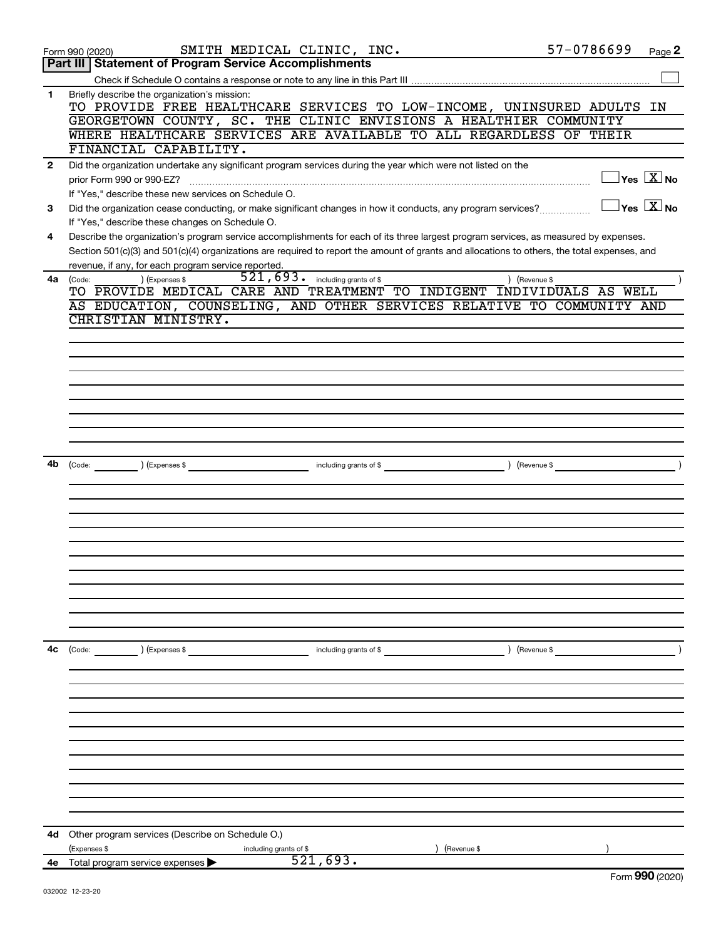|              | SMITH MEDICAL CLINIC, INC.<br>Form 990 (2020)                                                                                                                                                                                                           | 57-0786699    |                                             | Page 2    |
|--------------|---------------------------------------------------------------------------------------------------------------------------------------------------------------------------------------------------------------------------------------------------------|---------------|---------------------------------------------|-----------|
|              | Part III   Statement of Program Service Accomplishments                                                                                                                                                                                                 |               |                                             |           |
|              |                                                                                                                                                                                                                                                         |               |                                             |           |
| 1            | Briefly describe the organization's mission:<br>TO PROVIDE FREE HEALTHCARE SERVICES TO LOW-INCOME, UNINSURED ADULTS IN                                                                                                                                  |               |                                             |           |
|              | GEORGETOWN COUNTY, SC. THE CLINIC ENVISIONS A HEALTHIER COMMUNITY                                                                                                                                                                                       |               |                                             |           |
|              | WHERE HEALTHCARE SERVICES ARE AVAILABLE TO ALL REGARDLESS OF THEIR                                                                                                                                                                                      |               |                                             |           |
|              | FINANCIAL CAPABILITY.                                                                                                                                                                                                                                   |               |                                             |           |
| $\mathbf{2}$ | Did the organization undertake any significant program services during the year which were not listed on the                                                                                                                                            |               |                                             |           |
|              | prior Form 990 or 990-EZ?                                                                                                                                                                                                                               |               | $\,$ Yes $\,$ $\rm \overline{X}$ No $\,$    |           |
|              | If "Yes," describe these new services on Schedule O.                                                                                                                                                                                                    |               |                                             |           |
| 3            | Did the organization cease conducting, or make significant changes in how it conducts, any program services?                                                                                                                                            |               | $\overline{\ }$ Yes $\overline{\rm \ }X$ No |           |
|              | If "Yes," describe these changes on Schedule O.                                                                                                                                                                                                         |               |                                             |           |
| 4            | Describe the organization's program service accomplishments for each of its three largest program services, as measured by expenses.                                                                                                                    |               |                                             |           |
|              | Section 501(c)(3) and 501(c)(4) organizations are required to report the amount of grants and allocations to others, the total expenses, and                                                                                                            |               |                                             |           |
|              | revenue, if any, for each program service reported.                                                                                                                                                                                                     |               |                                             |           |
| 4a           | $521, 693$ . including grants of \$<br>(Expenses \$<br>(Code:                                                                                                                                                                                           | ) (Revenue \$ |                                             |           |
|              | TO PROVIDE MEDICAL CARE AND TREATMENT TO INDIGENT INDIVIDUALS AS WELL                                                                                                                                                                                   |               |                                             |           |
|              | AS EDUCATION, COUNSELING, AND OTHER SERVICES RELATIVE TO COMMUNITY AND                                                                                                                                                                                  |               |                                             |           |
|              | CHRISTIAN MINISTRY.                                                                                                                                                                                                                                     |               |                                             |           |
|              |                                                                                                                                                                                                                                                         |               |                                             |           |
|              |                                                                                                                                                                                                                                                         |               |                                             |           |
|              |                                                                                                                                                                                                                                                         |               |                                             |           |
|              |                                                                                                                                                                                                                                                         |               |                                             |           |
|              |                                                                                                                                                                                                                                                         |               |                                             |           |
|              |                                                                                                                                                                                                                                                         |               |                                             |           |
|              |                                                                                                                                                                                                                                                         |               |                                             |           |
|              |                                                                                                                                                                                                                                                         |               |                                             |           |
| 4b           |                                                                                                                                                                                                                                                         |               |                                             | $\lambda$ |
|              | and the contract of the contract of the contract of the contract of the contract of the contract of the contract of the contract of the contract of the contract of the contract of the contract of the contract of the contra<br>(Code: ) (Expenses \$ |               |                                             |           |
|              |                                                                                                                                                                                                                                                         |               |                                             |           |
|              |                                                                                                                                                                                                                                                         |               |                                             |           |
|              |                                                                                                                                                                                                                                                         |               |                                             |           |
|              |                                                                                                                                                                                                                                                         |               |                                             |           |
|              |                                                                                                                                                                                                                                                         |               |                                             |           |
|              |                                                                                                                                                                                                                                                         |               |                                             |           |
|              |                                                                                                                                                                                                                                                         |               |                                             |           |
|              |                                                                                                                                                                                                                                                         |               |                                             |           |
|              |                                                                                                                                                                                                                                                         |               |                                             |           |
|              |                                                                                                                                                                                                                                                         |               |                                             |           |
|              |                                                                                                                                                                                                                                                         |               |                                             |           |
| 4c           | (Code: ) (Expenses \$<br>including grants of \$                                                                                                                                                                                                         | ) (Revenue \$ |                                             |           |
|              |                                                                                                                                                                                                                                                         |               |                                             |           |
|              |                                                                                                                                                                                                                                                         |               |                                             |           |
|              |                                                                                                                                                                                                                                                         |               |                                             |           |
|              |                                                                                                                                                                                                                                                         |               |                                             |           |
|              |                                                                                                                                                                                                                                                         |               |                                             |           |
|              |                                                                                                                                                                                                                                                         |               |                                             |           |
|              |                                                                                                                                                                                                                                                         |               |                                             |           |
|              |                                                                                                                                                                                                                                                         |               |                                             |           |
|              |                                                                                                                                                                                                                                                         |               |                                             |           |
|              |                                                                                                                                                                                                                                                         |               |                                             |           |
|              |                                                                                                                                                                                                                                                         |               |                                             |           |
|              |                                                                                                                                                                                                                                                         |               |                                             |           |
| 4d           | Other program services (Describe on Schedule O.)                                                                                                                                                                                                        |               |                                             |           |
|              | (Expenses \$<br>including grants of \$<br>(Revenue \$                                                                                                                                                                                                   |               |                                             |           |
|              | 521,693.<br><b>4e</b> Total program service expenses $\blacktriangleright$                                                                                                                                                                              |               | $F_{\rm OCD}$ 990 (2020)                    |           |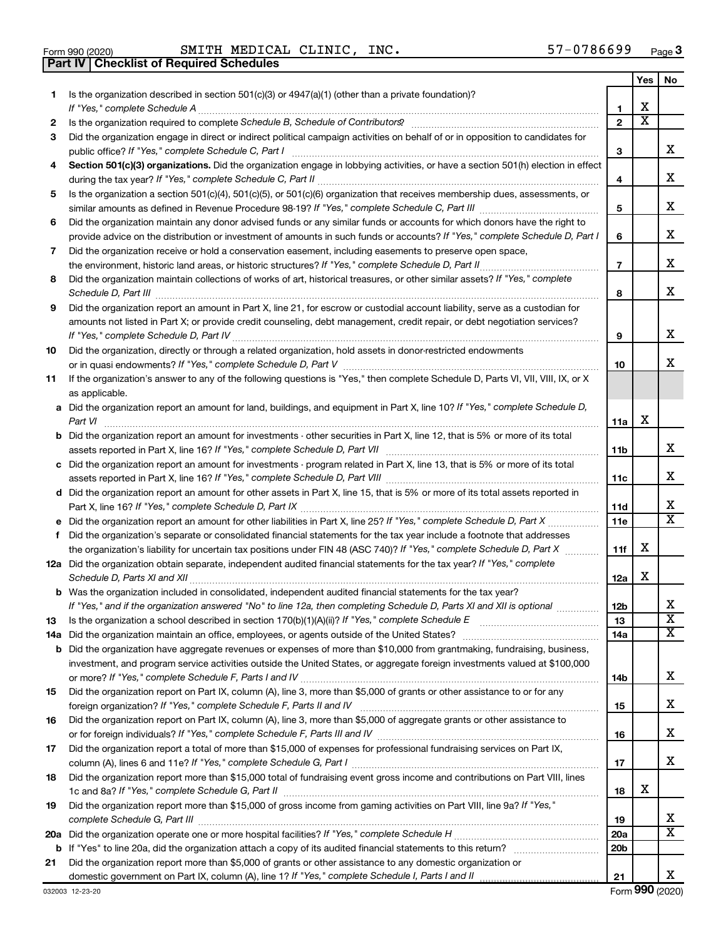|  | Form 990 (2020) |
|--|-----------------|

**Part IV Checklist of Required Schedules**

 $\mathsf{Form}\,990\,(2020)$  BMITH MEDICAL CLINIC, INC.  $\blacksquare$ SMITH MEDICAL CLINIC, INC. 57-0786699

|    |                                                                                                                                                                                                                                             |                 | Yes | No                      |
|----|---------------------------------------------------------------------------------------------------------------------------------------------------------------------------------------------------------------------------------------------|-----------------|-----|-------------------------|
| 1. | Is the organization described in section 501(c)(3) or 4947(a)(1) (other than a private foundation)?<br>If "Yes," complete Schedule A                                                                                                        | 1               | х   |                         |
| 2  |                                                                                                                                                                                                                                             | $\mathbf{2}$    | X   |                         |
| 3  | Did the organization engage in direct or indirect political campaign activities on behalf of or in opposition to candidates for                                                                                                             |                 |     |                         |
|    | public office? If "Yes," complete Schedule C, Part I                                                                                                                                                                                        | 3               |     | X.                      |
| 4  | Section 501(c)(3) organizations. Did the organization engage in lobbying activities, or have a section 501(h) election in effect                                                                                                            | 4               |     | x                       |
| 5  | Is the organization a section 501(c)(4), 501(c)(5), or 501(c)(6) organization that receives membership dues, assessments, or                                                                                                                |                 |     |                         |
|    | Did the organization maintain any donor advised funds or any similar funds or accounts for which donors have the right to                                                                                                                   | 5               |     | x                       |
| 6  | provide advice on the distribution or investment of amounts in such funds or accounts? If "Yes," complete Schedule D, Part I                                                                                                                | 6               |     | х                       |
| 7  | Did the organization receive or hold a conservation easement, including easements to preserve open space,                                                                                                                                   | 7               |     | x                       |
| 8  | Did the organization maintain collections of works of art, historical treasures, or other similar assets? If "Yes," complete                                                                                                                | 8               |     | x                       |
| 9  | Did the organization report an amount in Part X, line 21, for escrow or custodial account liability, serve as a custodian for                                                                                                               |                 |     |                         |
|    | amounts not listed in Part X; or provide credit counseling, debt management, credit repair, or debt negotiation services?                                                                                                                   | 9               |     | x                       |
| 10 | Did the organization, directly or through a related organization, hold assets in donor-restricted endowments                                                                                                                                | 10              |     | x                       |
| 11 | If the organization's answer to any of the following questions is "Yes," then complete Schedule D, Parts VI, VII, VIII, IX, or X<br>as applicable.                                                                                          |                 |     |                         |
|    | a Did the organization report an amount for land, buildings, and equipment in Part X, line 10? If "Yes," complete Schedule D,<br>Part VI                                                                                                    | 11a             | х   |                         |
|    | <b>b</b> Did the organization report an amount for investments - other securities in Part X, line 12, that is 5% or more of its total                                                                                                       | 11b             |     | x                       |
|    | c Did the organization report an amount for investments - program related in Part X, line 13, that is 5% or more of its total                                                                                                               |                 |     |                         |
|    |                                                                                                                                                                                                                                             | 11c             |     | x                       |
|    | d Did the organization report an amount for other assets in Part X, line 15, that is 5% or more of its total assets reported in                                                                                                             |                 |     |                         |
|    |                                                                                                                                                                                                                                             | 11d             |     | х                       |
|    |                                                                                                                                                                                                                                             | 11e             |     | X                       |
| f  | Did the organization's separate or consolidated financial statements for the tax year include a footnote that addresses                                                                                                                     |                 |     |                         |
|    | the organization's liability for uncertain tax positions under FIN 48 (ASC 740)? If "Yes," complete Schedule D, Part X                                                                                                                      | 11f             | х   |                         |
|    | 12a Did the organization obtain separate, independent audited financial statements for the tax year? If "Yes," complete                                                                                                                     | 12a             | х   |                         |
|    | <b>b</b> Was the organization included in consolidated, independent audited financial statements for the tax year?<br>If "Yes," and if the organization answered "No" to line 12a, then completing Schedule D, Parts XI and XII is optional | 12 <sub>b</sub> |     | х                       |
| 13 |                                                                                                                                                                                                                                             | 13              |     | $\overline{\textbf{x}}$ |
|    |                                                                                                                                                                                                                                             | 14a             |     | X                       |
|    | <b>b</b> Did the organization have aggregate revenues or expenses of more than \$10,000 from grantmaking, fundraising, business,                                                                                                            |                 |     |                         |
|    | investment, and program service activities outside the United States, or aggregate foreign investments valued at \$100,000                                                                                                                  | 14b             |     | x                       |
| 15 | Did the organization report on Part IX, column (A), line 3, more than \$5,000 of grants or other assistance to or for any                                                                                                                   | 15              |     | х                       |
| 16 | Did the organization report on Part IX, column (A), line 3, more than \$5,000 of aggregate grants or other assistance to                                                                                                                    | 16              |     | х                       |
| 17 | Did the organization report a total of more than \$15,000 of expenses for professional fundraising services on Part IX,                                                                                                                     |                 |     |                         |
|    |                                                                                                                                                                                                                                             | 17              |     | x                       |
| 18 | Did the organization report more than \$15,000 total of fundraising event gross income and contributions on Part VIII, lines                                                                                                                | 18              | х   |                         |
| 19 | Did the organization report more than \$15,000 of gross income from gaming activities on Part VIII, line 9a? If "Yes,"                                                                                                                      |                 |     |                         |
|    |                                                                                                                                                                                                                                             | 19              |     | х                       |
|    |                                                                                                                                                                                                                                             | <b>20a</b>      |     | x                       |
|    |                                                                                                                                                                                                                                             | 20 <sub>b</sub> |     |                         |
| 21 | Did the organization report more than \$5,000 of grants or other assistance to any domestic organization or                                                                                                                                 |                 |     |                         |
|    |                                                                                                                                                                                                                                             | 21              |     | x                       |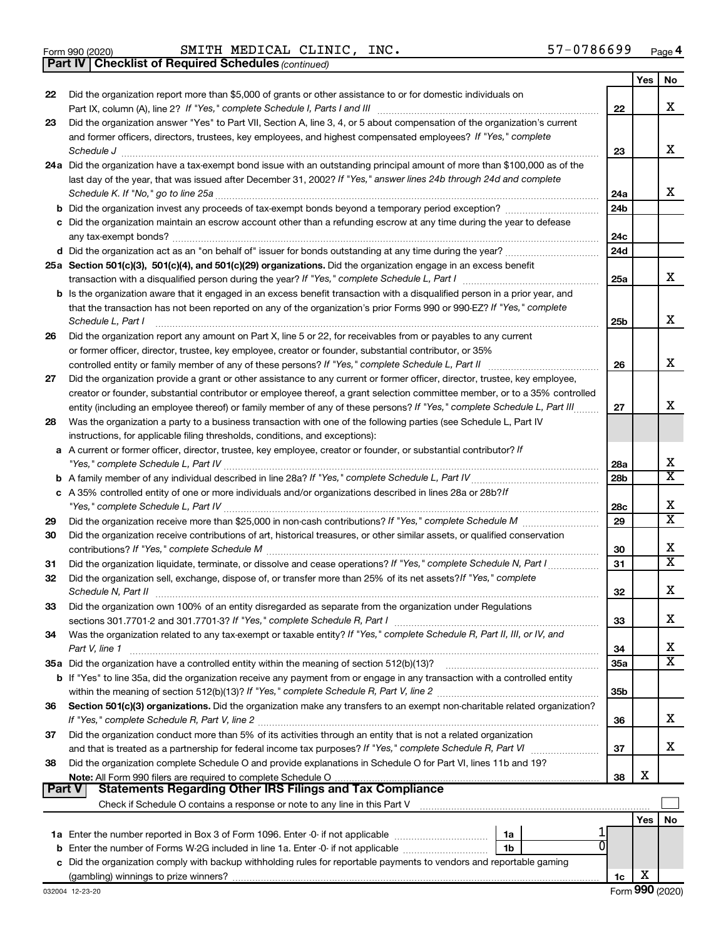Form 990 (2020) Page SMITH MEDICAL CLINIC, INC. 57-0786699

*(continued)* **Part IV Checklist of Required Schedules**

|          |                                                                                                                                                                 |                 | Yes | No                           |
|----------|-----------------------------------------------------------------------------------------------------------------------------------------------------------------|-----------------|-----|------------------------------|
| 22       | Did the organization report more than \$5,000 of grants or other assistance to or for domestic individuals on                                                   |                 |     |                              |
|          |                                                                                                                                                                 | 22              |     | X                            |
| 23       | Did the organization answer "Yes" to Part VII, Section A, line 3, 4, or 5 about compensation of the organization's current                                      |                 |     |                              |
|          | and former officers, directors, trustees, key employees, and highest compensated employees? If "Yes," complete                                                  |                 |     |                              |
|          |                                                                                                                                                                 | 23              |     | х                            |
|          | 24a Did the organization have a tax-exempt bond issue with an outstanding principal amount of more than \$100,000 as of the                                     |                 |     |                              |
|          | last day of the year, that was issued after December 31, 2002? If "Yes," answer lines 24b through 24d and complete                                              |                 |     |                              |
|          |                                                                                                                                                                 | 24a             |     | x                            |
|          |                                                                                                                                                                 | 24 <sub>b</sub> |     |                              |
|          | c Did the organization maintain an escrow account other than a refunding escrow at any time during the year to defease                                          |                 |     |                              |
|          |                                                                                                                                                                 | 24c             |     |                              |
|          |                                                                                                                                                                 | 24d             |     |                              |
|          | 25a Section 501(c)(3), 501(c)(4), and 501(c)(29) organizations. Did the organization engage in an excess benefit                                                |                 |     |                              |
|          |                                                                                                                                                                 | 25a             |     | x                            |
|          | b Is the organization aware that it engaged in an excess benefit transaction with a disqualified person in a prior year, and                                    |                 |     |                              |
|          | that the transaction has not been reported on any of the organization's prior Forms 990 or 990-EZ? If "Yes," complete                                           |                 |     |                              |
|          | Schedule L, Part I                                                                                                                                              | 25b             |     | х                            |
| 26       | Did the organization report any amount on Part X, line 5 or 22, for receivables from or payables to any current                                                 |                 |     |                              |
|          | or former officer, director, trustee, key employee, creator or founder, substantial contributor, or 35%                                                         |                 |     |                              |
|          |                                                                                                                                                                 | 26              |     | х                            |
| 27       | Did the organization provide a grant or other assistance to any current or former officer, director, trustee, key employee,                                     |                 |     |                              |
|          | creator or founder, substantial contributor or employee thereof, a grant selection committee member, or to a 35% controlled                                     |                 |     |                              |
|          | entity (including an employee thereof) or family member of any of these persons? If "Yes," complete Schedule L, Part III                                        | 27              |     | х                            |
| 28       | Was the organization a party to a business transaction with one of the following parties (see Schedule L, Part IV                                               |                 |     |                              |
|          | instructions, for applicable filing thresholds, conditions, and exceptions):                                                                                    |                 |     |                              |
|          | a A current or former officer, director, trustee, key employee, creator or founder, or substantial contributor? If                                              |                 |     |                              |
|          |                                                                                                                                                                 | 28a             |     | X                            |
|          |                                                                                                                                                                 | 28 <sub>b</sub> |     | X                            |
|          | c A 35% controlled entity of one or more individuals and/or organizations described in lines 28a or 28b?If                                                      |                 |     |                              |
|          |                                                                                                                                                                 |                 |     | х                            |
|          |                                                                                                                                                                 | 28c             |     | $\overline{\text{x}}$        |
| 29       |                                                                                                                                                                 | 29              |     |                              |
| 30       | Did the organization receive contributions of art, historical treasures, or other similar assets, or qualified conservation                                     |                 |     | х                            |
|          |                                                                                                                                                                 | 30              |     | X                            |
| 31       | Did the organization liquidate, terminate, or dissolve and cease operations? If "Yes," complete Schedule N, Part I                                              | 31              |     |                              |
| 32       | Did the organization sell, exchange, dispose of, or transfer more than 25% of its net assets? If "Yes," complete                                                |                 |     | х                            |
|          |                                                                                                                                                                 | 32              |     |                              |
| 33       | Did the organization own 100% of an entity disregarded as separate from the organization under Regulations                                                      |                 |     |                              |
|          |                                                                                                                                                                 | 33              |     | х                            |
| 34       | Was the organization related to any tax-exempt or taxable entity? If "Yes," complete Schedule R, Part II, III, or IV, and                                       |                 |     |                              |
|          | Part V, line 1                                                                                                                                                  | 34              |     | х<br>$\overline{\textbf{X}}$ |
|          |                                                                                                                                                                 | 35a             |     |                              |
|          | <b>b</b> If "Yes" to line 35a, did the organization receive any payment from or engage in any transaction with a controlled entity                              |                 |     |                              |
|          |                                                                                                                                                                 | 35b             |     |                              |
| 36       | Section 501(c)(3) organizations. Did the organization make any transfers to an exempt non-charitable related organization?                                      |                 |     |                              |
|          |                                                                                                                                                                 | 36              |     | х                            |
| 37       | Did the organization conduct more than 5% of its activities through an entity that is not a related organization                                                |                 |     |                              |
|          | and that is treated as a partnership for federal income tax purposes? If "Yes," complete Schedule R, Part VI                                                    | 37              |     | x                            |
| 38       | Did the organization complete Schedule O and provide explanations in Schedule O for Part VI, lines 11b and 19?                                                  |                 |     |                              |
|          |                                                                                                                                                                 | 38              | х   |                              |
| ∣ Part V | <b>Statements Regarding Other IRS Filings and Tax Compliance</b>                                                                                                |                 |     |                              |
|          | Check if Schedule O contains a response or note to any line in this Part V [11] [12] Check if Schedule O contains a response or note to any line in this Part V |                 |     |                              |
|          |                                                                                                                                                                 |                 | Yes | No                           |
|          | 1a                                                                                                                                                              |                 |     |                              |
|          | b Enter the number of Forms W-2G included in line 1a. Enter -0- if not applicable<br>1b                                                                         |                 |     |                              |
|          | c Did the organization comply with backup withholding rules for reportable payments to vendors and reportable gaming                                            |                 |     |                              |
|          |                                                                                                                                                                 | 1c              | х   |                              |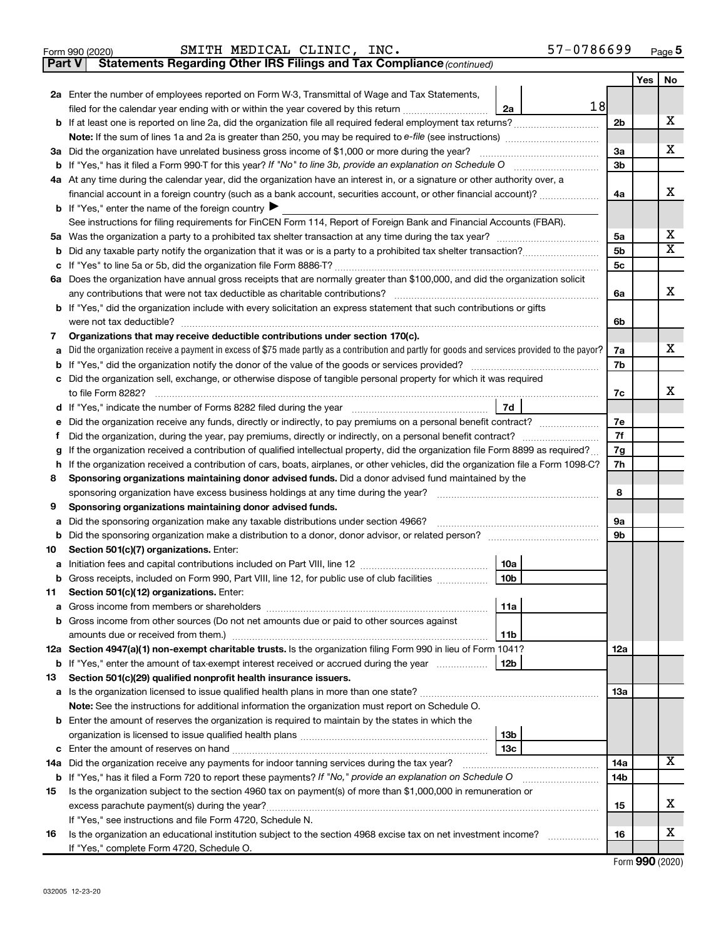| Form 990 (2020) |  | SMITH MEDICAL CLINIC, |  | INC. | 57-0786699 | Page 5 |
|-----------------|--|-----------------------|--|------|------------|--------|
|-----------------|--|-----------------------|--|------|------------|--------|

**Part V** Statements Regarding Other IRS Filings and Tax Compliance (continued)

|     |                                                                                                                                                 |     | Yes | No |  |  |  |  |
|-----|-------------------------------------------------------------------------------------------------------------------------------------------------|-----|-----|----|--|--|--|--|
|     | 2a Enter the number of employees reported on Form W-3, Transmittal of Wage and Tax Statements,                                                  |     |     |    |  |  |  |  |
|     | 18<br>filed for the calendar year ending with or within the year covered by this return <i>manumumumum</i><br>2a                                |     |     |    |  |  |  |  |
|     |                                                                                                                                                 | 2b  |     | х  |  |  |  |  |
|     | Note: If the sum of lines 1a and 2a is greater than 250, you may be required to e-file (see instructions) <i></i>                               |     |     |    |  |  |  |  |
|     | 3a Did the organization have unrelated business gross income of \$1,000 or more during the year?                                                |     |     |    |  |  |  |  |
|     |                                                                                                                                                 |     |     |    |  |  |  |  |
|     | 4a At any time during the calendar year, did the organization have an interest in, or a signature or other authority over, a                    |     |     |    |  |  |  |  |
|     | financial account in a foreign country (such as a bank account, securities account, or other financial account)?                                | 4a  |     | х  |  |  |  |  |
|     | <b>b</b> If "Yes," enter the name of the foreign country $\blacktriangleright$                                                                  |     |     |    |  |  |  |  |
|     | See instructions for filing requirements for FinCEN Form 114, Report of Foreign Bank and Financial Accounts (FBAR).                             |     |     |    |  |  |  |  |
|     |                                                                                                                                                 | 5a  |     | х  |  |  |  |  |
| b   |                                                                                                                                                 | 5b  |     | X  |  |  |  |  |
| с   |                                                                                                                                                 | 5с  |     |    |  |  |  |  |
|     | 6a Does the organization have annual gross receipts that are normally greater than \$100,000, and did the organization solicit                  |     |     |    |  |  |  |  |
|     |                                                                                                                                                 | 6a  |     | х  |  |  |  |  |
|     | <b>b</b> If "Yes," did the organization include with every solicitation an express statement that such contributions or gifts                   |     |     |    |  |  |  |  |
|     |                                                                                                                                                 | 6b  |     |    |  |  |  |  |
| 7   | Organizations that may receive deductible contributions under section 170(c).                                                                   |     |     |    |  |  |  |  |
| а   | Did the organization receive a payment in excess of \$75 made partly as a contribution and partly for goods and services provided to the payor? | 7a  |     | x  |  |  |  |  |
|     |                                                                                                                                                 | 7b  |     |    |  |  |  |  |
|     | c Did the organization sell, exchange, or otherwise dispose of tangible personal property for which it was required                             |     |     |    |  |  |  |  |
|     |                                                                                                                                                 | 7c  |     | x  |  |  |  |  |
|     |                                                                                                                                                 |     |     |    |  |  |  |  |
| е   | Did the organization receive any funds, directly or indirectly, to pay premiums on a personal benefit contract?                                 | 7е  |     |    |  |  |  |  |
| f.  | 7f<br>Did the organization, during the year, pay premiums, directly or indirectly, on a personal benefit contract?                              |     |     |    |  |  |  |  |
| g   | If the organization received a contribution of qualified intellectual property, did the organization file Form 8899 as required?<br>7g          |     |     |    |  |  |  |  |
| h   | If the organization received a contribution of cars, boats, airplanes, or other vehicles, did the organization file a Form 1098-C?<br>7h        |     |     |    |  |  |  |  |
| 8   | Sponsoring organizations maintaining donor advised funds. Did a donor advised fund maintained by the                                            |     |     |    |  |  |  |  |
|     |                                                                                                                                                 | 8   |     |    |  |  |  |  |
| 9   | Sponsoring organizations maintaining donor advised funds.                                                                                       |     |     |    |  |  |  |  |
| а   | Did the sponsoring organization make any taxable distributions under section 4966?                                                              | 9а  |     |    |  |  |  |  |
| b   |                                                                                                                                                 | 9b  |     |    |  |  |  |  |
| 10  | Section 501(c)(7) organizations. Enter:                                                                                                         |     |     |    |  |  |  |  |
|     | 10a                                                                                                                                             |     |     |    |  |  |  |  |
| b   | Gross receipts, included on Form 990, Part VIII, line 12, for public use of club facilities<br>10b                                              |     |     |    |  |  |  |  |
| 11. | Section 501(c)(12) organizations. Enter:                                                                                                        |     |     |    |  |  |  |  |
|     | 11a                                                                                                                                             |     |     |    |  |  |  |  |
|     | <b>b</b> Gross income from other sources (Do not net amounts due or paid to other sources against                                               |     |     |    |  |  |  |  |
|     | 11b                                                                                                                                             |     |     |    |  |  |  |  |
|     | 12a Section 4947(a)(1) non-exempt charitable trusts. Is the organization filing Form 990 in lieu of Form 1041?                                  | 12a |     |    |  |  |  |  |
|     | b If "Yes," enter the amount of tax-exempt interest received or accrued during the year<br>  12b                                                |     |     |    |  |  |  |  |
| 13  | Section 501(c)(29) qualified nonprofit health insurance issuers.                                                                                |     |     |    |  |  |  |  |
|     |                                                                                                                                                 | 13a |     |    |  |  |  |  |
|     | Note: See the instructions for additional information the organization must report on Schedule O.                                               |     |     |    |  |  |  |  |
|     | <b>b</b> Enter the amount of reserves the organization is required to maintain by the states in which the                                       |     |     |    |  |  |  |  |
|     | 13b                                                                                                                                             |     |     |    |  |  |  |  |
|     | 13с                                                                                                                                             |     |     |    |  |  |  |  |
|     | 14a Did the organization receive any payments for indoor tanning services during the tax year?                                                  | 14a |     | x  |  |  |  |  |
|     | <b>b</b> If "Yes," has it filed a Form 720 to report these payments? If "No," provide an explanation on Schedule O                              | 14b |     |    |  |  |  |  |
| 15  | Is the organization subject to the section 4960 tax on payment(s) of more than \$1,000,000 in remuneration or                                   |     |     |    |  |  |  |  |
|     |                                                                                                                                                 | 15  |     | х  |  |  |  |  |
|     | If "Yes," see instructions and file Form 4720, Schedule N.                                                                                      |     |     |    |  |  |  |  |
| 16  | Is the organization an educational institution subject to the section 4968 excise tax on net investment income?                                 | 16  |     | x  |  |  |  |  |
|     | If "Yes," complete Form 4720, Schedule O.                                                                                                       |     |     |    |  |  |  |  |

Form (2020) **990**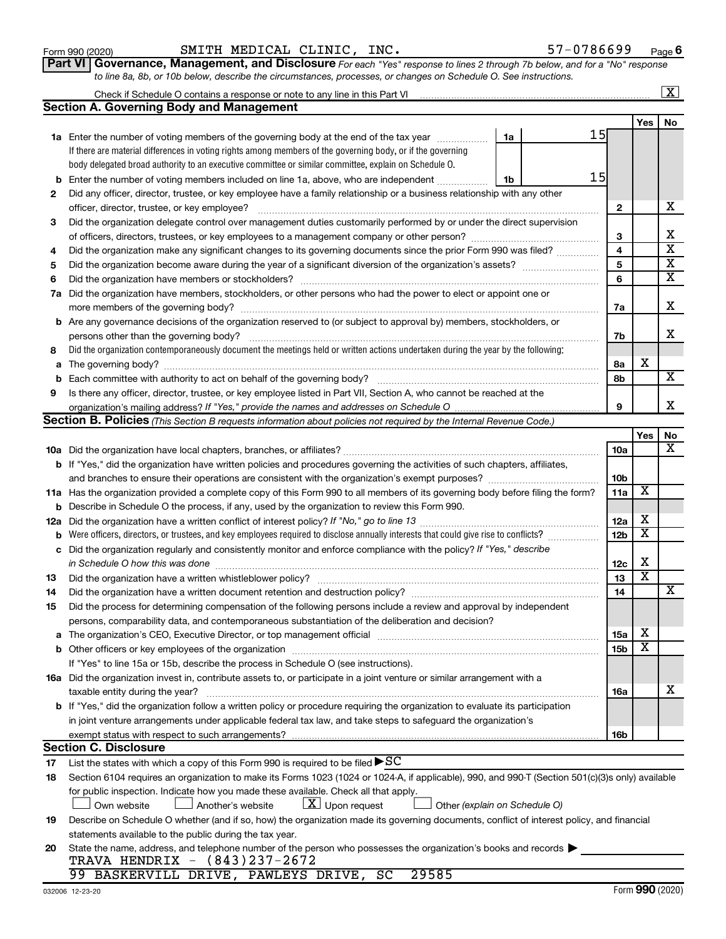| 2   | Did any officer, director, trustee, or key employee have a family relationship or a business relationship with any other                                                                                                       |                 |                            |                         |
|-----|--------------------------------------------------------------------------------------------------------------------------------------------------------------------------------------------------------------------------------|-----------------|----------------------------|-------------------------|
|     | officer, director, trustee, or key employee?                                                                                                                                                                                   | $\mathbf{2}$    |                            | х                       |
| З   | Did the organization delegate control over management duties customarily performed by or under the direct supervision                                                                                                          |                 |                            |                         |
|     |                                                                                                                                                                                                                                | 3               |                            | х                       |
| 4   | Did the organization make any significant changes to its governing documents since the prior Form 990 was filed?                                                                                                               | $\overline{4}$  |                            | $\overline{\mathbf{X}}$ |
| 5   |                                                                                                                                                                                                                                | 5               |                            | $\overline{\mathbf{X}}$ |
| 6   |                                                                                                                                                                                                                                | 6               |                            | $\overline{\mathbf{X}}$ |
|     | 7a Did the organization have members, stockholders, or other persons who had the power to elect or appoint one or                                                                                                              |                 |                            |                         |
|     |                                                                                                                                                                                                                                | 7a              |                            | Х                       |
|     | <b>b</b> Are any governance decisions of the organization reserved to (or subject to approval by) members, stockholders, or                                                                                                    |                 |                            |                         |
|     |                                                                                                                                                                                                                                | 7b              |                            | x                       |
| 8   | Did the organization contemporaneously document the meetings held or written actions undertaken during the year by the following:                                                                                              |                 |                            |                         |
| а   |                                                                                                                                                                                                                                | 8a              | х                          |                         |
|     |                                                                                                                                                                                                                                | 8b              |                            | X                       |
| 9   | Is there any officer, director, trustee, or key employee listed in Part VII, Section A, who cannot be reached at the                                                                                                           |                 |                            |                         |
|     |                                                                                                                                                                                                                                | 9               |                            | x                       |
|     | <b>Section B. Policies</b> (This Section B requests information about policies not required by the Internal Revenue Code.)                                                                                                     |                 |                            |                         |
|     |                                                                                                                                                                                                                                |                 | Yes                        | No                      |
|     |                                                                                                                                                                                                                                | 10a             |                            | x                       |
|     | b If "Yes," did the organization have written policies and procedures governing the activities of such chapters, affiliates,                                                                                                   |                 |                            |                         |
|     |                                                                                                                                                                                                                                | 10 <sub>b</sub> |                            |                         |
|     | 11a Has the organization provided a complete copy of this Form 990 to all members of its governing body before filing the form?                                                                                                | 11a             | X                          |                         |
|     | <b>b</b> Describe in Schedule O the process, if any, used by the organization to review this Form 990.                                                                                                                         |                 |                            |                         |
| 12a |                                                                                                                                                                                                                                | 12a             | х                          |                         |
| b   | Were officers, directors, or trustees, and key employees required to disclose annually interests that could give rise to conflicts?                                                                                            | 12 <sub>b</sub> | $\overline{\textbf{X}}$    |                         |
| с   | Did the organization regularly and consistently monitor and enforce compliance with the policy? If "Yes," describe                                                                                                             |                 |                            |                         |
|     |                                                                                                                                                                                                                                | 12c             | х<br>$\overline{\text{x}}$ |                         |
| 13  |                                                                                                                                                                                                                                | 13              |                            | x                       |
| 14  |                                                                                                                                                                                                                                | 14              |                            |                         |
| 15  | Did the process for determining compensation of the following persons include a review and approval by independent                                                                                                             |                 |                            |                         |
|     | persons, comparability data, and contemporaneous substantiation of the deliberation and decision?                                                                                                                              |                 | х                          |                         |
|     | The organization's CEO, Executive Director, or top management official manufactured content of the organization's CEO, Executive Director, or top management official manufactured content of the organization's CEO, Executiv | 15a             | x                          |                         |
|     |                                                                                                                                                                                                                                | 15 <sub>b</sub> |                            |                         |
|     | If "Yes" to line 15a or 15b, describe the process in Schedule O (see instructions).                                                                                                                                            |                 |                            |                         |
|     | 16a Did the organization invest in, contribute assets to, or participate in a joint venture or similar arrangement with a                                                                                                      |                 |                            | х                       |
|     | taxable entity during the year?                                                                                                                                                                                                | 16a             |                            |                         |
|     | <b>b</b> If "Yes," did the organization follow a written policy or procedure requiring the organization to evaluate its participation                                                                                          |                 |                            |                         |
|     | in joint venture arrangements under applicable federal tax law, and take steps to safeguard the organization's                                                                                                                 |                 |                            |                         |
|     | exempt status with respect to such arrangements?<br><b>Section C. Disclosure</b>                                                                                                                                               | 16 <sub>b</sub> |                            |                         |
| 17  | List the states with which a copy of this Form 990 is required to be filed $\blacktriangleright$ SC                                                                                                                            |                 |                            |                         |
| 18  | Section 6104 requires an organization to make its Forms 1023 (1024 or 1024-A, if applicable), 990, and 990-T (Section 501(c)(3)s only) available                                                                               |                 |                            |                         |
|     |                                                                                                                                                                                                                                |                 |                            |                         |
|     | for public inspection. Indicate how you made these available. Check all that apply.<br>$X$ Upon request<br>Other (explain on Schedule O)<br>Own website<br>Another's website                                                   |                 |                            |                         |
| 19  | Describe on Schedule O whether (and if so, how) the organization made its governing documents, conflict of interest policy, and financial                                                                                      |                 |                            |                         |
|     | statements available to the public during the tax year.                                                                                                                                                                        |                 |                            |                         |
| 20  | State the name, address, and telephone number of the person who possesses the organization's books and records                                                                                                                 |                 |                            |                         |
|     | $(843)$ 237-2672<br>TRAVA HENDRIX -                                                                                                                                                                                            |                 |                            |                         |
|     | 99 BASKERVILL DRIVE, PAWLEYS DRIVE,<br>SC<br>29585                                                                                                                                                                             |                 |                            |                         |
|     |                                                                                                                                                                                                                                |                 |                            |                         |

**Section A. Governing Body and Management**

**Part VI** Governance, Management, and Disclosure For each "Yes" response to lines 2 through 7b below, and for a "No" response *to line 8a, 8b, or 10b below, describe the circumstances, processes, or changes on Schedule O. See instructions.* Form 990 (2020) Page SMITH MEDICAL CLINIC, INC. 57-0786699

**1a** Enter the number of voting members of the governing body at the end of the tax year *www.www.* 

Check if Schedule O contains a response or note to any line in this Part VI

If there are material differences in voting rights among members of the governing body, or if the governing body delegated broad authority to an executive committee or similar committee, explain on Schedule O.

**b** Enter the number of voting members included on line 1a, above, who are independent *controllering* 

15

15

**1a**

**1b**

**Yes No**

 $\boxed{\text{X}}$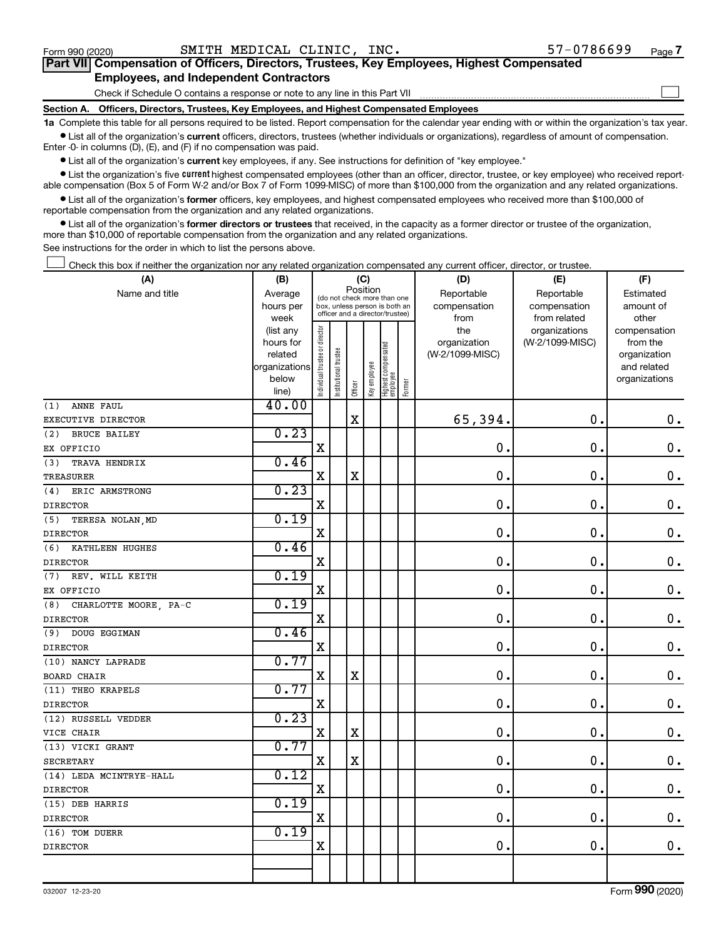#### Check if Schedule O contains a response or note to any line in this Part VII **Part VII Compensation of Officers, Directors, Trustees, Key Employees, Highest Compensated Employees, and Independent Contractors**  $\Box$

**Section A. Officers, Directors, Trustees, Key Employees, and Highest Compensated Employees**

**1a**  Complete this table for all persons required to be listed. Report compensation for the calendar year ending with or within the organization's tax year.  $\bullet$  List all of the organization's current officers, directors, trustees (whether individuals or organizations), regardless of amount of compensation.

Enter -0- in columns (D), (E), and (F) if no compensation was paid.

**•** List all of the organization's current key employees, if any. See instructions for definition of "key employee."

• List the organization's five *current* highest compensated employees (other than an officer, director, trustee, or key employee) who received reportable compensation (Box 5 of Form W-2 and/or Box 7 of Form 1099-MISC) of more than \$100,000 from the organization and any related organizations.

 $\bullet$  List all of the organization's former officers, key employees, and highest compensated employees who received more than \$100,000 of reportable compensation from the organization and any related organizations.

**•** List all of the organization's former directors or trustees that received, in the capacity as a former director or trustee of the organization, more than \$10,000 of reportable compensation from the organization and any related organizations.

See instructions for the order in which to list the persons above.

Check this box if neither the organization nor any related organization compensated any current officer, director, or trustee.  $\Box$ 

| (A)                          | (B)                    |                                                                                                             |                       | (C)         |              |                                 |              | (D)             | (E)             | (F)                          |
|------------------------------|------------------------|-------------------------------------------------------------------------------------------------------------|-----------------------|-------------|--------------|---------------------------------|--------------|-----------------|-----------------|------------------------------|
| Name and title               | Average                | Position<br>(do not check more than one<br>box, unless person is both an<br>officer and a director/trustee) |                       |             |              |                                 | Reportable   | Reportable      | Estimated       |                              |
|                              | hours per              |                                                                                                             |                       |             |              | compensation                    | compensation | amount of       |                 |                              |
|                              | week                   |                                                                                                             |                       |             |              |                                 |              | from            | from related    | other                        |
|                              | (list any              |                                                                                                             |                       |             |              |                                 |              | the             | organizations   | compensation                 |
|                              | hours for              |                                                                                                             |                       |             |              |                                 |              | organization    | (W-2/1099-MISC) | from the                     |
|                              | related                |                                                                                                             |                       |             |              |                                 |              | (W-2/1099-MISC) |                 | organization                 |
|                              | organizations<br>below |                                                                                                             |                       |             |              |                                 |              |                 |                 | and related<br>organizations |
|                              | line)                  | Individual trustee or director                                                                              | Institutional trustee | Officer     | Key employee | Highest compensated<br>employee | Former       |                 |                 |                              |
| ANNE FAUL<br>(1)             | 40.00                  |                                                                                                             |                       |             |              |                                 |              |                 |                 |                              |
| EXECUTIVE DIRECTOR           |                        |                                                                                                             |                       | $\mathbf X$ |              |                                 |              | 65,394.         | $\mathbf 0$ .   | $\mathbf 0$ .                |
| (2)<br><b>BRUCE BAILEY</b>   | 0.23                   |                                                                                                             |                       |             |              |                                 |              |                 |                 |                              |
| EX OFFICIO                   |                        | X                                                                                                           |                       |             |              |                                 |              | 0.              | $\mathbf 0$ .   | 0.                           |
| (3)<br>TRAVA HENDRIX         | 0.46                   |                                                                                                             |                       |             |              |                                 |              |                 |                 |                              |
| <b>TREASURER</b>             |                        | $\mathbf X$                                                                                                 |                       | $\mathbf X$ |              |                                 |              | 0.              | 0.              | $\mathbf 0$ .                |
| ERIC ARMSTRONG<br>(4)        | 0.23                   |                                                                                                             |                       |             |              |                                 |              |                 |                 |                              |
| <b>DIRECTOR</b>              |                        | X                                                                                                           |                       |             |              |                                 |              | 0.              | 0.              | $\mathbf 0$ .                |
| TERESA NOLAN, MD<br>(5)      | 0.19                   |                                                                                                             |                       |             |              |                                 |              |                 |                 |                              |
| <b>DIRECTOR</b>              |                        | $\mathbf X$                                                                                                 |                       |             |              |                                 |              | 0.              | 0.              | $\mathbf 0$ .                |
| (6) KATHLEEN HUGHES          | 0.46                   |                                                                                                             |                       |             |              |                                 |              |                 |                 |                              |
| <b>DIRECTOR</b>              |                        | X                                                                                                           |                       |             |              |                                 |              | 0.              | 0.              | $\mathbf 0$ .                |
| (7) REV. WILL KEITH          | 0.19                   |                                                                                                             |                       |             |              |                                 |              |                 |                 |                              |
| EX OFFICIO                   |                        | $\mathbf X$                                                                                                 |                       |             |              |                                 |              | 0.              | 0.              | $\mathbf 0$ .                |
| CHARLOTTE MOORE, PA-C<br>(8) | 0.19                   |                                                                                                             |                       |             |              |                                 |              |                 |                 |                              |
| <b>DIRECTOR</b>              |                        | $\mathbf X$                                                                                                 |                       |             |              |                                 |              | 0.              | 0.              | $\mathbf 0$ .                |
| (9) DOUG EGGIMAN             | 0.46                   |                                                                                                             |                       |             |              |                                 |              |                 |                 |                              |
| <b>DIRECTOR</b>              |                        | X                                                                                                           |                       |             |              |                                 |              | 0.              | 0.              | $\mathbf 0$ .                |
| (10) NANCY LAPRADE           | 0.77                   |                                                                                                             |                       |             |              |                                 |              |                 |                 |                              |
| <b>BOARD CHAIR</b>           |                        | $\mathbf X$                                                                                                 |                       | $\mathbf X$ |              |                                 |              | 0.              | $\mathbf 0$ .   | $\mathbf 0$ .                |
| (11) THEO KRAPELS            | 0.77                   |                                                                                                             |                       |             |              |                                 |              |                 |                 |                              |
| <b>DIRECTOR</b>              |                        | $\mathbf X$                                                                                                 |                       |             |              |                                 |              | 0.              | $\mathbf 0$ .   | $\mathbf 0$ .                |
| (12) RUSSELL VEDDER          | 0.23                   |                                                                                                             |                       |             |              |                                 |              |                 |                 |                              |
| VICE CHAIR                   |                        | $\rm X$                                                                                                     |                       | $\rm X$     |              |                                 |              | 0.              | $\mathbf 0$ .   | $\mathbf 0$ .                |
| (13) VICKI GRANT             | 0.77                   |                                                                                                             |                       |             |              |                                 |              |                 |                 |                              |
| SECRETARY                    |                        | X                                                                                                           |                       | $\mathbf X$ |              |                                 |              | 0.              | $\mathbf 0$ .   | $\mathbf 0$ .                |
| (14) LEDA MCINTRYE-HALL      | 0.12                   |                                                                                                             |                       |             |              |                                 |              |                 |                 |                              |
| <b>DIRECTOR</b>              |                        | $\mathbf X$                                                                                                 |                       |             |              |                                 |              | 0.              | $\mathbf 0$ .   | $\mathbf 0$ .                |
| (15) DEB HARRIS              | 0.19                   |                                                                                                             |                       |             |              |                                 |              |                 |                 |                              |
| <b>DIRECTOR</b>              |                        | X                                                                                                           |                       |             |              |                                 |              | 0.              | $\mathbf 0$ .   | $\mathbf 0$ .                |
| (16) TOM DUERR               | 0.19                   |                                                                                                             |                       |             |              |                                 |              |                 |                 |                              |
| <b>DIRECTOR</b>              |                        | X                                                                                                           |                       |             |              |                                 |              | 0.              | $\mathbf 0$ .   | $\mathbf 0$ .                |
|                              |                        |                                                                                                             |                       |             |              |                                 |              |                 |                 |                              |
|                              |                        |                                                                                                             |                       |             |              |                                 |              |                 |                 |                              |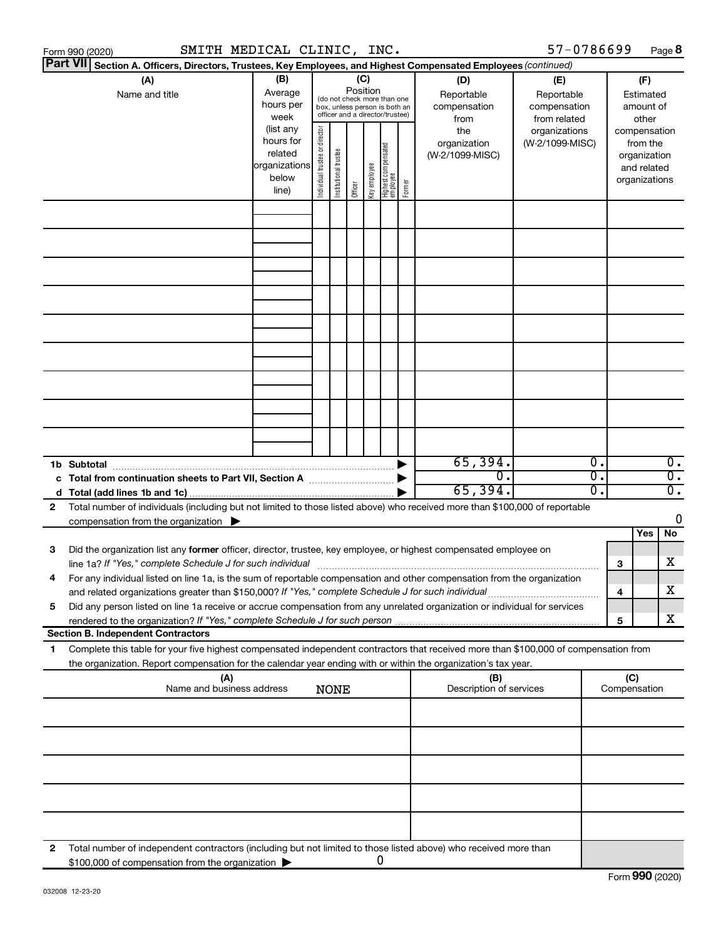|   | Form 990 (2020)                                                                                                                                                                                                                                                | SMITH MEDICAL CLINIC, INC.                              |                                                                                                                                                                        |                       |         |              |                                  |                       |                                 | 57-0786699      |          |                                                                    | Page 8                               |                                                        |  |
|---|----------------------------------------------------------------------------------------------------------------------------------------------------------------------------------------------------------------------------------------------------------------|---------------------------------------------------------|------------------------------------------------------------------------------------------------------------------------------------------------------------------------|-----------------------|---------|--------------|----------------------------------|-----------------------|---------------------------------|-----------------|----------|--------------------------------------------------------------------|--------------------------------------|--------------------------------------------------------|--|
|   | <b>Part VII</b><br>Section A. Officers, Directors, Trustees, Key Employees, and Highest Compensated Employees (continued)                                                                                                                                      |                                                         |                                                                                                                                                                        |                       |         |              |                                  |                       |                                 |                 |          |                                                                    |                                      |                                                        |  |
|   | (A)<br>Name and title                                                                                                                                                                                                                                          | (B)<br>Average<br>hours per<br>week<br>(list any        | (C)<br>(D)<br>Position<br>Reportable<br>(do not check more than one<br>compensation<br>box, unless person is both an<br>officer and a director/trustee)<br>from<br>the |                       |         |              |                                  |                       |                                 |                 |          | (E)<br>Reportable<br>compensation<br>from related<br>organizations |                                      | (F)<br>Estimated<br>amount of<br>other<br>compensation |  |
|   |                                                                                                                                                                                                                                                                | hours for<br>related<br>organizations<br>below<br>line) | director<br>Individual trustee or                                                                                                                                      | Institutional trustee | Officer | Key employee | Highest compensated<br> employee | Former                | organization<br>(W-2/1099-MISC) | (W-2/1099-MISC) |          | from the<br>organization<br>and related<br>organizations           |                                      |                                                        |  |
|   |                                                                                                                                                                                                                                                                |                                                         |                                                                                                                                                                        |                       |         |              |                                  |                       |                                 |                 |          |                                                                    |                                      |                                                        |  |
|   |                                                                                                                                                                                                                                                                |                                                         |                                                                                                                                                                        |                       |         |              |                                  |                       |                                 |                 |          |                                                                    |                                      |                                                        |  |
|   |                                                                                                                                                                                                                                                                |                                                         |                                                                                                                                                                        |                       |         |              |                                  |                       |                                 |                 |          |                                                                    |                                      |                                                        |  |
|   |                                                                                                                                                                                                                                                                |                                                         |                                                                                                                                                                        |                       |         |              |                                  |                       |                                 |                 |          |                                                                    |                                      |                                                        |  |
|   |                                                                                                                                                                                                                                                                |                                                         |                                                                                                                                                                        |                       |         |              |                                  |                       |                                 |                 |          |                                                                    |                                      |                                                        |  |
|   |                                                                                                                                                                                                                                                                |                                                         |                                                                                                                                                                        |                       |         |              |                                  |                       |                                 |                 |          |                                                                    |                                      |                                                        |  |
|   |                                                                                                                                                                                                                                                                |                                                         |                                                                                                                                                                        |                       |         |              |                                  |                       |                                 |                 |          |                                                                    |                                      |                                                        |  |
|   |                                                                                                                                                                                                                                                                |                                                         |                                                                                                                                                                        |                       |         |              |                                  |                       |                                 |                 |          |                                                                    |                                      |                                                        |  |
|   |                                                                                                                                                                                                                                                                |                                                         |                                                                                                                                                                        |                       |         |              |                                  |                       |                                 |                 |          |                                                                    |                                      |                                                        |  |
|   | 1b Subtotal<br>c Total from continuation sheets to Part VII, Section A manuscription of the State of Total Total Co                                                                                                                                            |                                                         |                                                                                                                                                                        |                       |         |              |                                  | $\blacktriangleright$ | 65,394.<br>σ.                   |                 | σ.<br>σ. |                                                                    | $\overline{0}$ .<br>$\overline{0}$ . |                                                        |  |
|   |                                                                                                                                                                                                                                                                |                                                         |                                                                                                                                                                        |                       |         |              |                                  |                       | 65,394.                         |                 | σ.       |                                                                    | $\overline{0}$ .                     |                                                        |  |
| 2 | Total number of individuals (including but not limited to those listed above) who received more than \$100,000 of reportable<br>compensation from the organization $\blacktriangleright$                                                                       |                                                         |                                                                                                                                                                        |                       |         |              |                                  |                       |                                 |                 |          |                                                                    | 0                                    |                                                        |  |
|   |                                                                                                                                                                                                                                                                |                                                         |                                                                                                                                                                        |                       |         |              |                                  |                       |                                 |                 |          | Yes                                                                | No                                   |                                                        |  |
| 3 | Did the organization list any former officer, director, trustee, key employee, or highest compensated employee on<br>line 1a? If "Yes," complete Schedule J for such individual manufactured content to the successive complete schedule J for such individual |                                                         |                                                                                                                                                                        |                       |         |              |                                  |                       |                                 |                 | 3        |                                                                    | X                                    |                                                        |  |
|   | For any individual listed on line 1a, is the sum of reportable compensation and other compensation from the organization<br>and related organizations greater than \$150,000? If "Yes," complete Schedule J for such individual                                |                                                         |                                                                                                                                                                        |                       |         |              |                                  |                       |                                 |                 | 4        |                                                                    | X                                    |                                                        |  |
| 5 | Did any person listed on line 1a receive or accrue compensation from any unrelated organization or individual for services                                                                                                                                     |                                                         |                                                                                                                                                                        |                       |         |              |                                  |                       |                                 |                 | 5        |                                                                    | x                                    |                                                        |  |
|   | <b>Section B. Independent Contractors</b>                                                                                                                                                                                                                      |                                                         |                                                                                                                                                                        |                       |         |              |                                  |                       |                                 |                 |          |                                                                    |                                      |                                                        |  |
| 1 | Complete this table for your five highest compensated independent contractors that received more than \$100,000 of compensation from<br>the organization. Report compensation for the calendar year ending with or within the organization's tax year.         |                                                         |                                                                                                                                                                        |                       |         |              |                                  |                       |                                 |                 |          |                                                                    |                                      |                                                        |  |
|   | (A)<br>Name and business address                                                                                                                                                                                                                               |                                                         |                                                                                                                                                                        | <b>NONE</b>           |         |              |                                  |                       | (B)<br>Description of services  |                 |          | (C)<br>Compensation                                                |                                      |                                                        |  |
|   |                                                                                                                                                                                                                                                                |                                                         |                                                                                                                                                                        |                       |         |              |                                  |                       |                                 |                 |          |                                                                    |                                      |                                                        |  |
|   |                                                                                                                                                                                                                                                                |                                                         |                                                                                                                                                                        |                       |         |              |                                  |                       |                                 |                 |          |                                                                    |                                      |                                                        |  |
|   |                                                                                                                                                                                                                                                                |                                                         |                                                                                                                                                                        |                       |         |              |                                  |                       |                                 |                 |          |                                                                    |                                      |                                                        |  |
|   |                                                                                                                                                                                                                                                                |                                                         |                                                                                                                                                                        |                       |         |              |                                  |                       |                                 |                 |          |                                                                    |                                      |                                                        |  |
| 2 | Total number of independent contractors (including but not limited to those listed above) who received more than<br>\$100,000 of compensation from the organization                                                                                            |                                                         |                                                                                                                                                                        |                       |         |              | 0                                |                       |                                 |                 |          |                                                                    |                                      |                                                        |  |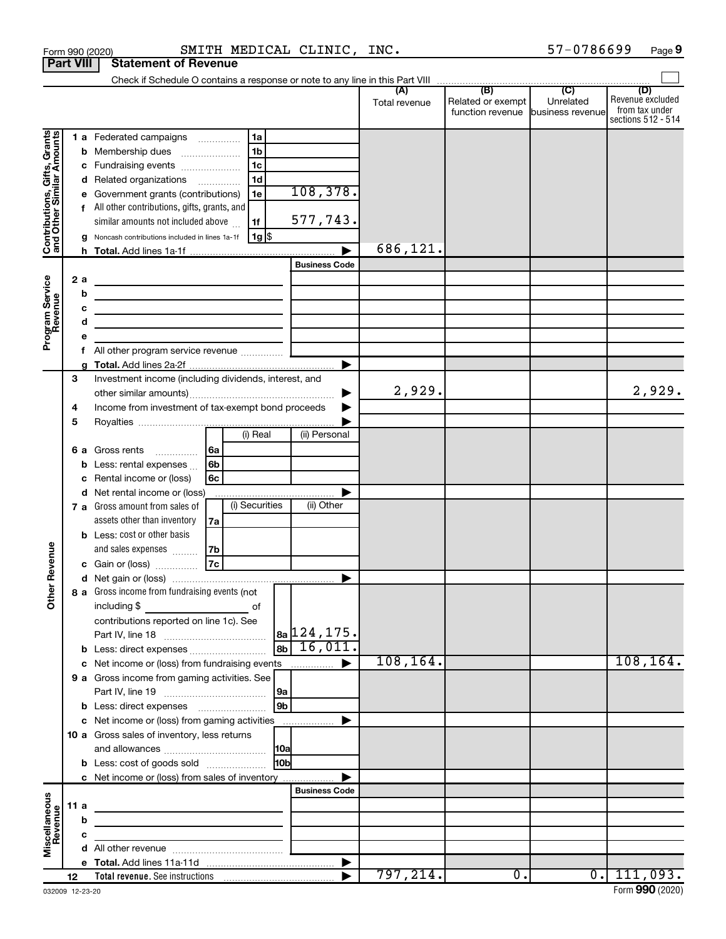|                                                           |                  | Form 990 (2020)                                                              |                | SMITH MEDICAL CLINIC, INC. |               |                                    | 57-0786699      | Page 9                               |
|-----------------------------------------------------------|------------------|------------------------------------------------------------------------------|----------------|----------------------------|---------------|------------------------------------|-----------------|--------------------------------------|
|                                                           | <b>Part VIII</b> | <b>Statement of Revenue</b>                                                  |                |                            |               |                                    |                 |                                      |
|                                                           |                  |                                                                              |                |                            | (A)           | (B)                                | $\overline{C}$  | (D)                                  |
|                                                           |                  |                                                                              |                |                            | Total revenue | Related or exempt                  | Unrelated       | Revenue excluded                     |
|                                                           |                  |                                                                              |                |                            |               | function revenue business revenuel |                 | from tax under<br>sections 512 - 514 |
|                                                           |                  | 1 a Federated campaigns                                                      | 1a             |                            |               |                                    |                 |                                      |
|                                                           |                  | <b>b</b> Membership dues                                                     | 1 <sub>b</sub> |                            |               |                                    |                 |                                      |
|                                                           |                  | c Fundraising events                                                         | 1 <sub>c</sub> |                            |               |                                    |                 |                                      |
| Contributions, Gifts, Grants<br>and Other Similar Amounts |                  | d Related organizations                                                      | 1 <sub>d</sub> |                            |               |                                    |                 |                                      |
|                                                           |                  | e Government grants (contributions)                                          | 1e             | 108,378.                   |               |                                    |                 |                                      |
|                                                           |                  | f All other contributions, gifts, grants, and                                |                |                            |               |                                    |                 |                                      |
|                                                           |                  | similar amounts not included above                                           | 1f             | 577,743.                   |               |                                    |                 |                                      |
|                                                           |                  | g Noncash contributions included in lines 1a-1f                              | $1g$ \$        |                            |               |                                    |                 |                                      |
|                                                           |                  |                                                                              |                |                            | 686,121.      |                                    |                 |                                      |
|                                                           |                  |                                                                              |                | <b>Business Code</b>       |               |                                    |                 |                                      |
|                                                           | 2 a              | the control of the control of the control of the control of the control of   |                |                            |               |                                    |                 |                                      |
|                                                           | b                | <u> 1989 - Johann Stein, mars an deus Amerikaansk kommunister (</u>          |                |                            |               |                                    |                 |                                      |
|                                                           | с                |                                                                              |                |                            |               |                                    |                 |                                      |
| Program Service<br>Revenue                                | d                | the contract of the contract of the contract of the contract of              |                |                            |               |                                    |                 |                                      |
|                                                           | f                | All other program service revenue                                            |                |                            |               |                                    |                 |                                      |
|                                                           |                  |                                                                              |                | ▶                          |               |                                    |                 |                                      |
|                                                           | З                | Investment income (including dividends, interest, and                        |                |                            |               |                                    |                 |                                      |
|                                                           |                  |                                                                              |                | ▶                          | 2,929.        |                                    |                 | 2,929.                               |
|                                                           | 4                | Income from investment of tax-exempt bond proceeds                           |                |                            |               |                                    |                 |                                      |
|                                                           | 5                |                                                                              |                |                            |               |                                    |                 |                                      |
|                                                           |                  |                                                                              | (i) Real       | (ii) Personal              |               |                                    |                 |                                      |
|                                                           |                  | l 6a<br>6 a Gross rents<br>$\overline{\phantom{a}}$                          |                |                            |               |                                    |                 |                                      |
|                                                           |                  | <b>b</b> Less: rental expenses $\ldots$<br>l 6b                              |                |                            |               |                                    |                 |                                      |
|                                                           | c                | Rental income or (loss)<br>6c                                                |                |                            |               |                                    |                 |                                      |
|                                                           |                  | d Net rental income or (loss)                                                |                |                            |               |                                    |                 |                                      |
|                                                           |                  | 7 a Gross amount from sales of                                               | (i) Securities | (ii) Other                 |               |                                    |                 |                                      |
|                                                           |                  | assets other than inventory<br>7a                                            |                |                            |               |                                    |                 |                                      |
|                                                           |                  | <b>b</b> Less: cost or other basis<br>and sales expenses<br>7b               |                |                            |               |                                    |                 |                                      |
| venue                                                     |                  | 7c<br>c Gain or (loss)                                                       |                |                            |               |                                    |                 |                                      |
| č                                                         |                  |                                                                              |                |                            |               |                                    |                 |                                      |
| Other                                                     |                  | 8 a Gross income from fundraising events (not                                |                |                            |               |                                    |                 |                                      |
|                                                           |                  |                                                                              |                |                            |               |                                    |                 |                                      |
|                                                           |                  | contributions reported on line 1c). See                                      |                |                            |               |                                    |                 |                                      |
|                                                           |                  |                                                                              |                | $ a_2 124, 175.$           |               |                                    |                 |                                      |
|                                                           |                  | <b>b</b> Less: direct expenses                                               |                | 16,011.<br> 8 <sub>b</sub> |               |                                    |                 |                                      |
|                                                           |                  | c Net income or (loss) from fundraising events                               |                |                            | 108, 164.     |                                    |                 | 108, 164.                            |
|                                                           |                  | 9 a Gross income from gaming activities. See                                 |                |                            |               |                                    |                 |                                      |
|                                                           |                  |                                                                              |                | 9a                         |               |                                    |                 |                                      |
|                                                           |                  | c Net income or (loss) from gaming activities                                |                | 9 <sub>b</sub>             |               |                                    |                 |                                      |
|                                                           |                  | 10 a Gross sales of inventory, less returns                                  |                |                            |               |                                    |                 |                                      |
|                                                           |                  |                                                                              |                | 10a                        |               |                                    |                 |                                      |
|                                                           |                  | <b>b</b> Less: cost of goods sold                                            |                | 10bl                       |               |                                    |                 |                                      |
|                                                           |                  | c Net income or (loss) from sales of inventory                               |                |                            |               |                                    |                 |                                      |
|                                                           |                  |                                                                              |                | <b>Business Code</b>       |               |                                    |                 |                                      |
|                                                           | 11 a             | the control of the control of the control of the control of the control of   |                |                            |               |                                    |                 |                                      |
|                                                           | b                | <u> 1989 - Johann Barbara, martxa alemaniar amerikan personal (h. 1989).</u> |                |                            |               |                                    |                 |                                      |
| Miscellaneous<br>Revenue                                  | C                | the control of the control of the control of the control of the control of   |                |                            |               |                                    |                 |                                      |
|                                                           |                  |                                                                              |                |                            |               |                                    |                 |                                      |
|                                                           |                  |                                                                              |                | ▶                          |               |                                    |                 |                                      |
|                                                           | 12               |                                                                              |                |                            | 797, 214.     | 0.                                 | $\overline{0.}$ | 111,093.                             |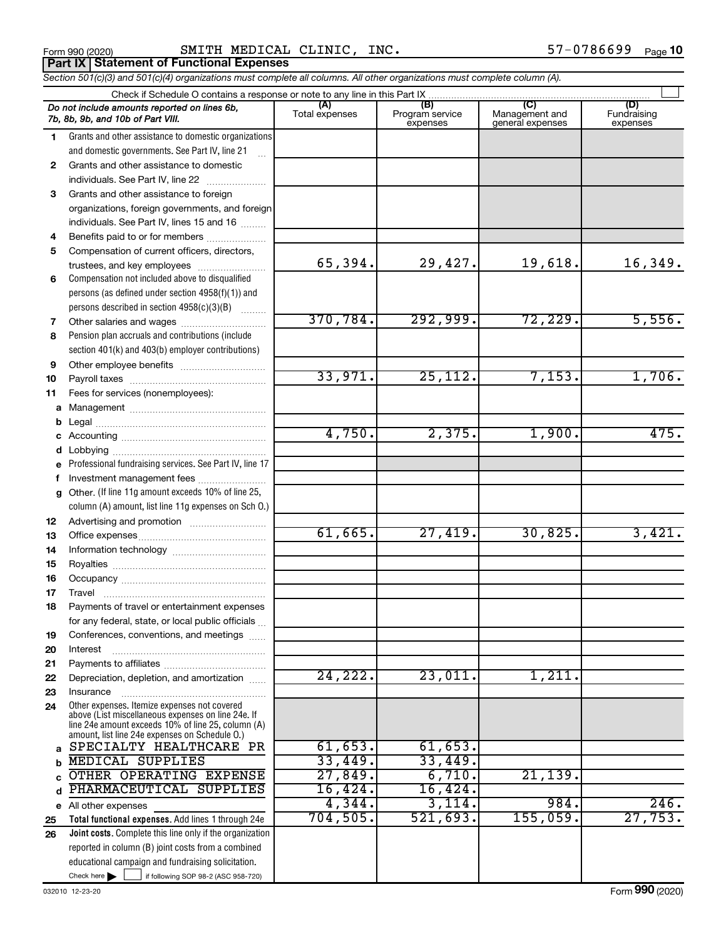Form 990 (2020) Page SMITH MEDICAL CLINIC, INC. 57-0786699 **Part IX Statement of Functional Expenses**

*Section 501(c)(3) and 501(c)(4) organizations must complete all columns. All other organizations must complete column (A).*

|              | Check if Schedule O contains a response or note to any line in this Part IX                              |                       |                                    |                                           |                                |  |  |  |
|--------------|----------------------------------------------------------------------------------------------------------|-----------------------|------------------------------------|-------------------------------------------|--------------------------------|--|--|--|
|              | Do not include amounts reported on lines 6b,<br>7b, 8b, 9b, and 10b of Part VIII.                        | (A)<br>Total expenses | (B)<br>Program service<br>expenses | (C)<br>Management and<br>general expenses | (D)<br>Fundraising<br>expenses |  |  |  |
| 1.           | Grants and other assistance to domestic organizations                                                    |                       |                                    |                                           |                                |  |  |  |
|              | and domestic governments. See Part IV, line 21                                                           |                       |                                    |                                           |                                |  |  |  |
| $\mathbf{2}$ | Grants and other assistance to domestic                                                                  |                       |                                    |                                           |                                |  |  |  |
|              | individuals. See Part IV, line 22                                                                        |                       |                                    |                                           |                                |  |  |  |
| 3            | Grants and other assistance to foreign                                                                   |                       |                                    |                                           |                                |  |  |  |
|              | organizations, foreign governments, and foreign                                                          |                       |                                    |                                           |                                |  |  |  |
|              | individuals. See Part IV, lines 15 and 16                                                                |                       |                                    |                                           |                                |  |  |  |
| 4            | Benefits paid to or for members                                                                          |                       |                                    |                                           |                                |  |  |  |
| 5            | Compensation of current officers, directors,                                                             |                       |                                    |                                           |                                |  |  |  |
|              | trustees, and key employees                                                                              | 65,394.               | 29,427.                            | 19,618.                                   | 16,349.                        |  |  |  |
| 6            | Compensation not included above to disqualified                                                          |                       |                                    |                                           |                                |  |  |  |
|              | persons (as defined under section $4958(f)(1)$ ) and                                                     |                       |                                    |                                           |                                |  |  |  |
|              | persons described in section 4958(c)(3)(B)                                                               | 370,784.              | 292,999.                           | 72,229.                                   | 5,556.                         |  |  |  |
| 7<br>8       | Pension plan accruals and contributions (include                                                         |                       |                                    |                                           |                                |  |  |  |
|              | section 401(k) and 403(b) employer contributions)                                                        |                       |                                    |                                           |                                |  |  |  |
| 9            |                                                                                                          |                       |                                    |                                           |                                |  |  |  |
| 10           |                                                                                                          | 33,971.               | $2\overline{5}$ , 112.             | 7,153.                                    | 1,706.                         |  |  |  |
| 11           | Fees for services (nonemployees):                                                                        |                       |                                    |                                           |                                |  |  |  |
|              |                                                                                                          |                       |                                    |                                           |                                |  |  |  |
|              |                                                                                                          |                       |                                    |                                           |                                |  |  |  |
|              |                                                                                                          | 4,750.                | 2,375.                             | 1,900.                                    | 475.                           |  |  |  |
|              |                                                                                                          |                       |                                    |                                           |                                |  |  |  |
|              | e Professional fundraising services. See Part IV, line 17                                                |                       |                                    |                                           |                                |  |  |  |
| f            | Investment management fees                                                                               |                       |                                    |                                           |                                |  |  |  |
|              | g Other. (If line 11g amount exceeds 10% of line 25,                                                     |                       |                                    |                                           |                                |  |  |  |
|              | column (A) amount, list line 11g expenses on Sch O.)                                                     |                       |                                    |                                           |                                |  |  |  |
| 12           |                                                                                                          |                       |                                    |                                           |                                |  |  |  |
| 13           |                                                                                                          | 61,665.               | 27,419.                            | 30,825.                                   | 3,421.                         |  |  |  |
| 14           |                                                                                                          |                       |                                    |                                           |                                |  |  |  |
| 15           |                                                                                                          |                       |                                    |                                           |                                |  |  |  |
| 16<br>17     |                                                                                                          |                       |                                    |                                           |                                |  |  |  |
| 18           | Payments of travel or entertainment expenses                                                             |                       |                                    |                                           |                                |  |  |  |
|              | for any federal, state, or local public officials                                                        |                       |                                    |                                           |                                |  |  |  |
| 19           | Conferences, conventions, and meetings                                                                   |                       |                                    |                                           |                                |  |  |  |
| 20           | Interest                                                                                                 |                       |                                    |                                           |                                |  |  |  |
| 21           |                                                                                                          |                       |                                    |                                           |                                |  |  |  |
| 22           | Depreciation, depletion, and amortization                                                                | 24,222.               | 23,011.                            | 1,211.                                    |                                |  |  |  |
| 23           | Insurance                                                                                                |                       |                                    |                                           |                                |  |  |  |
| 24           | Other expenses. Itemize expenses not covered<br>above (List miscellaneous expenses on line 24e. If       |                       |                                    |                                           |                                |  |  |  |
|              | line 24e amount exceeds 10% of line 25, column (A)<br>amount, list line 24e expenses on Schedule O.)     |                       |                                    |                                           |                                |  |  |  |
| a            | SPECIALTY HEALTHCARE PR                                                                                  | 61,653.               | 61, 653.                           |                                           |                                |  |  |  |
|              | MEDICAL SUPPLIES                                                                                         | 33,449.               | 33,449.                            |                                           |                                |  |  |  |
|              | OTHER OPERATING EXPENSE                                                                                  | 27,849.               | 6,710.                             | 21,139.                                   |                                |  |  |  |
| d            | PHARMACEUTICAL SUPPLIES                                                                                  | 16,424.               | 16,424.                            |                                           |                                |  |  |  |
|              | e All other expenses                                                                                     | 4,344.                | 3,114.                             | 984.                                      | 246.                           |  |  |  |
| 25           | Total functional expenses. Add lines 1 through 24e                                                       | 704,505.              | 521,693.                           | 155,059.                                  | 27,753.                        |  |  |  |
| 26           | Joint costs. Complete this line only if the organization                                                 |                       |                                    |                                           |                                |  |  |  |
|              | reported in column (B) joint costs from a combined<br>educational campaign and fundraising solicitation. |                       |                                    |                                           |                                |  |  |  |
|              | Check here $\blacktriangleright$<br>if following SOP 98-2 (ASC 958-720)                                  |                       |                                    |                                           |                                |  |  |  |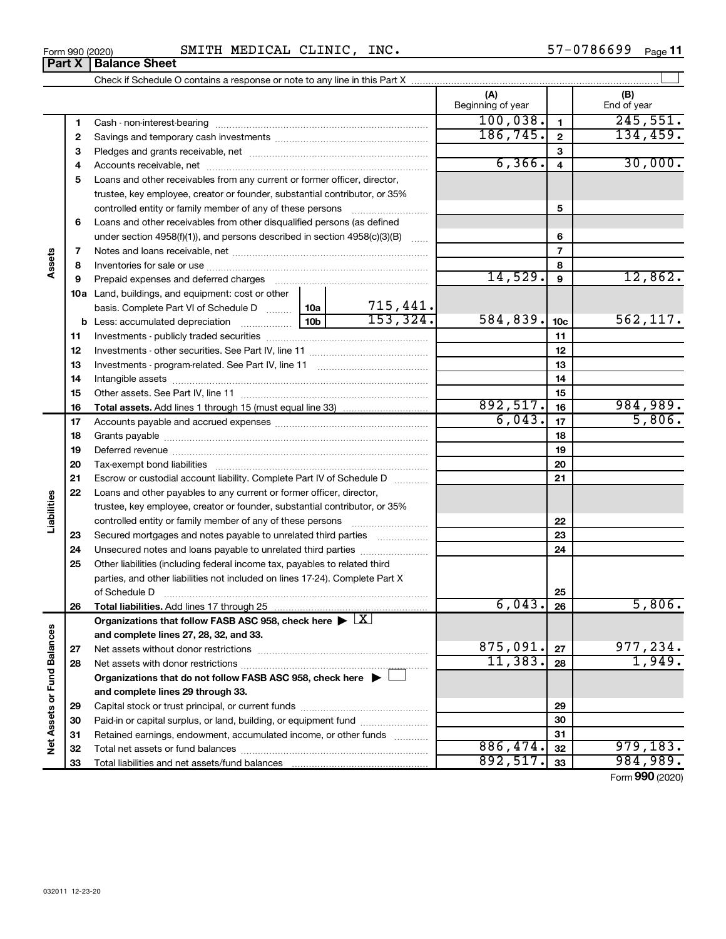| INC.<br>MEDICAL<br>CLINIC,<br>SMITH<br>Form 990 (2020) | 57-0786699<br>Page |
|--------------------------------------------------------|--------------------|
|--------------------------------------------------------|--------------------|

| <b>1 GILA</b>               |    | המומווטפ טוופפנ                                                                                                |           |                |                          |                 |                    |
|-----------------------------|----|----------------------------------------------------------------------------------------------------------------|-----------|----------------|--------------------------|-----------------|--------------------|
|                             |    |                                                                                                                |           |                |                          |                 |                    |
|                             |    |                                                                                                                |           |                | (A)<br>Beginning of year |                 | (B)<br>End of year |
|                             | 1  | Cash - non-interest-bearing                                                                                    |           |                | 100,038.                 | $\mathbf{1}$    | 245,551.           |
|                             | 2  |                                                                                                                | 186, 745. | $\overline{2}$ | 134, 459.                |                 |                    |
|                             | З  |                                                                                                                |           |                | 3                        |                 |                    |
|                             | 4  |                                                                                                                |           |                | 6, 366.                  | $\overline{4}$  | 30,000.            |
|                             | 5  | Loans and other receivables from any current or former officer, director,                                      |           |                |                          |                 |                    |
|                             |    | trustee, key employee, creator or founder, substantial contributor, or 35%                                     |           |                |                          |                 |                    |
|                             |    | controlled entity or family member of any of these persons                                                     |           |                |                          | 5               |                    |
|                             | 6  | Loans and other receivables from other disqualified persons (as defined                                        |           |                |                          |                 |                    |
|                             |    | under section 4958(f)(1)), and persons described in section 4958(c)(3)(B)                                      |           |                |                          | 6               |                    |
|                             | 7  |                                                                                                                |           |                |                          | $\overline{7}$  |                    |
| Assets                      | 8  |                                                                                                                |           |                |                          | 8               |                    |
|                             | 9  | Prepaid expenses and deferred charges [11] [11] Prepaid expenses and deferred charges [11] [11] [11] [11] [11] |           |                | 14,529.                  | 9               | 12,862.            |
|                             |    | <b>10a</b> Land, buildings, and equipment: cost or other                                                       |           |                |                          |                 |                    |
|                             |    | basis. Complete Part VI of Schedule D  10a                                                                     |           | 715,441.       |                          |                 |                    |
|                             |    |                                                                                                                |           | 153, 324.      | 584,839.                 | 10 <sub>c</sub> | 562, 117.          |
|                             | 11 |                                                                                                                |           |                |                          | 11              |                    |
|                             | 12 |                                                                                                                |           |                |                          | 12              |                    |
|                             | 13 |                                                                                                                |           |                |                          | 13              |                    |
|                             | 14 |                                                                                                                |           |                |                          | 14              |                    |
|                             | 15 |                                                                                                                |           | 15             |                          |                 |                    |
|                             | 16 |                                                                                                                |           |                | 892,517.                 | 16              | 984,989.           |
|                             | 17 |                                                                                                                | 6,043.    | 17             | 5,806.                   |                 |                    |
|                             | 18 |                                                                                                                |           |                |                          | 18              |                    |
|                             | 19 |                                                                                                                |           |                |                          | 19              |                    |
|                             | 20 |                                                                                                                |           |                |                          | 20              |                    |
|                             | 21 | Escrow or custodial account liability. Complete Part IV of Schedule D                                          |           |                |                          | 21              |                    |
|                             | 22 | Loans and other payables to any current or former officer, director,                                           |           |                |                          |                 |                    |
| Liabilities                 |    | trustee, key employee, creator or founder, substantial contributor, or 35%                                     |           |                |                          |                 |                    |
|                             |    | controlled entity or family member of any of these persons                                                     |           |                |                          | 22              |                    |
|                             | 23 | Secured mortgages and notes payable to unrelated third parties <i>manumum</i>                                  |           |                |                          | 23              |                    |
|                             | 24 | Unsecured notes and loans payable to unrelated third parties                                                   |           |                |                          | 24              |                    |
|                             | 25 | Other liabilities (including federal income tax, payables to related third                                     |           |                |                          |                 |                    |
|                             |    | parties, and other liabilities not included on lines 17-24). Complete Part X                                   |           |                |                          |                 |                    |
|                             |    | of Schedule D                                                                                                  |           |                |                          | 25              |                    |
|                             | 26 | Total liabilities. Add lines 17 through 25                                                                     |           |                | 6,043.                   | 26              | 5,806.             |
|                             |    | Organizations that follow FASB ASC 958, check here $\blacktriangleright \; \boxed{X}$                          |           |                |                          |                 |                    |
|                             |    | and complete lines 27, 28, 32, and 33.                                                                         |           |                |                          |                 |                    |
|                             | 27 |                                                                                                                |           |                | 875,091.                 | 27              | 977,234.           |
|                             | 28 |                                                                                                                |           |                | 11,383.                  | 28              | 1,949.             |
|                             |    | Organizations that do not follow FASB ASC 958, check here $\blacktriangleright$                                |           |                |                          |                 |                    |
|                             |    | and complete lines 29 through 33.                                                                              |           |                |                          |                 |                    |
|                             | 29 |                                                                                                                |           |                |                          | 29              |                    |
|                             | 30 | Paid-in or capital surplus, or land, building, or equipment fund                                               |           |                |                          | 30              |                    |
| Net Assets or Fund Balances | 31 | Retained earnings, endowment, accumulated income, or other funds                                               |           |                |                          | 31              |                    |
|                             | 32 |                                                                                                                |           |                | 886,474.                 | 32              | 979, 183.          |
|                             | 33 |                                                                                                                |           |                | 892,517.                 | 33              | 984,989.           |
|                             |    |                                                                                                                |           |                |                          |                 | Form 990 (2020)    |

**Part X** | Balance Sheet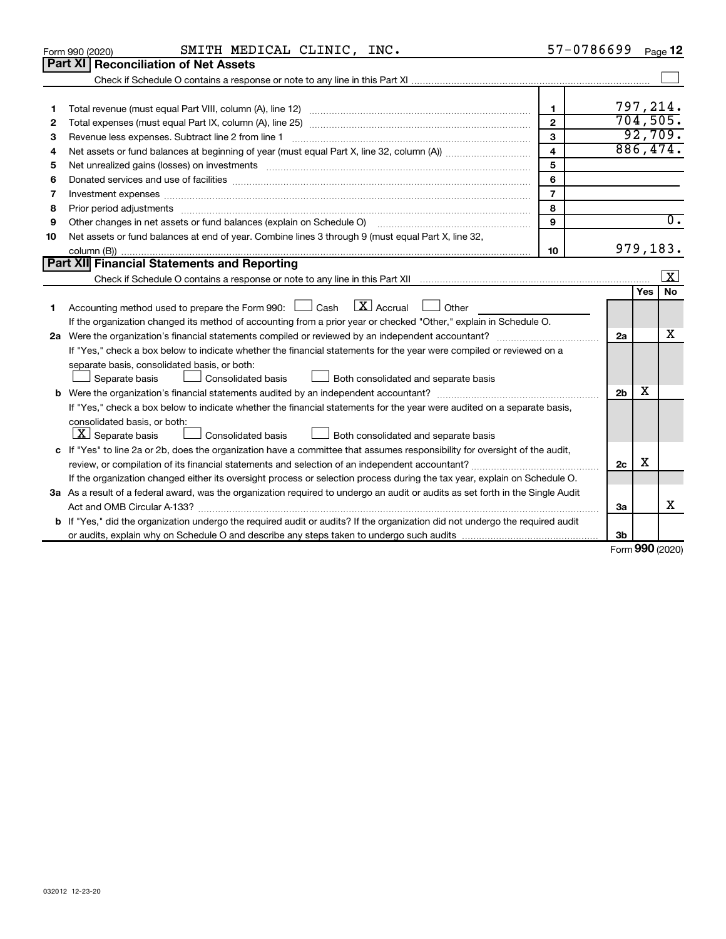|    | SMITH MEDICAL CLINIC, INC.<br>Form 990 (2020)                                                                                                                                                                                  | 57-0786699              |                | Page 12                 |
|----|--------------------------------------------------------------------------------------------------------------------------------------------------------------------------------------------------------------------------------|-------------------------|----------------|-------------------------|
|    | Part XI   Reconciliation of Net Assets                                                                                                                                                                                         |                         |                |                         |
|    |                                                                                                                                                                                                                                |                         |                |                         |
|    |                                                                                                                                                                                                                                |                         |                |                         |
|    |                                                                                                                                                                                                                                | $\mathbf{1}$            |                | 797,214.                |
| 2  |                                                                                                                                                                                                                                | $\mathbf{2}$            |                | 704, 505.               |
| 3  | Revenue less expenses. Subtract line 2 from line 1                                                                                                                                                                             | $\mathbf{3}$            |                | 92,709.                 |
| 4  |                                                                                                                                                                                                                                | $\overline{\mathbf{4}}$ |                | 886,474.                |
| 5  | Net unrealized gains (losses) on investments [11] matter contracts and the state of the state of the state of the state of the state of the state of the state of the state of the state of the state of the state of the stat | 5                       |                |                         |
| 6  |                                                                                                                                                                                                                                | 6                       |                |                         |
| 7  | Investment expenses www.communication.com/www.communication.com/www.communication.com/www.com                                                                                                                                  | $\overline{7}$          |                |                         |
| 8  | Prior period adjustments www.communication.communication.com/news/communication.com/news/communication.com/new                                                                                                                 | 8                       |                |                         |
| 9  |                                                                                                                                                                                                                                | 9                       |                | $\overline{0}$ .        |
| 10 | Net assets or fund balances at end of year. Combine lines 3 through 9 (must equal Part X, line 32,                                                                                                                             |                         |                |                         |
|    |                                                                                                                                                                                                                                | 10                      |                | 979,183.                |
|    | Part XII Financial Statements and Reporting                                                                                                                                                                                    |                         |                |                         |
|    |                                                                                                                                                                                                                                |                         |                | $\overline{\mathbf{x}}$ |
| 1  | Accounting method used to prepare the Form 990: $\Box$ Cash $\boxed{X}$ Accrual $\Box$ Other<br>If the organization changed its method of accounting from a prior year or checked "Other," explain in Schedule O.              |                         |                | <b>No</b><br><b>Yes</b> |
|    |                                                                                                                                                                                                                                |                         | 2a             | x                       |
|    | If "Yes," check a box below to indicate whether the financial statements for the year were compiled or reviewed on a                                                                                                           |                         |                |                         |
|    | separate basis, consolidated basis, or both:                                                                                                                                                                                   |                         |                |                         |
|    | Separate basis<br>Consolidated basis<br>Both consolidated and separate basis<br>$\Box$                                                                                                                                         |                         |                |                         |
|    |                                                                                                                                                                                                                                |                         | 2 <sub>b</sub> | х                       |
|    | If "Yes," check a box below to indicate whether the financial statements for the year were audited on a separate basis,                                                                                                        |                         |                |                         |
|    | consolidated basis, or both:<br>$ \mathbf{X} $ Separate basis<br><b>Consolidated basis</b><br>Both consolidated and separate basis                                                                                             |                         |                |                         |
|    | c If "Yes" to line 2a or 2b, does the organization have a committee that assumes responsibility for oversight of the audit,                                                                                                    |                         |                |                         |
|    | review, or compilation of its financial statements and selection of an independent accountant?                                                                                                                                 |                         | 2c             | X                       |
|    | If the organization changed either its oversight process or selection process during the tax year, explain on Schedule O.                                                                                                      |                         |                |                         |
|    | 3a As a result of a federal award, was the organization required to undergo an audit or audits as set forth in the Single Audit                                                                                                |                         |                |                         |
|    |                                                                                                                                                                                                                                |                         | За             | х                       |
|    | <b>b</b> If "Yes," did the organization undergo the required audit or audits? If the organization did not undergo the required audit                                                                                           |                         |                |                         |
|    |                                                                                                                                                                                                                                |                         |                |                         |

Form (2020) **990**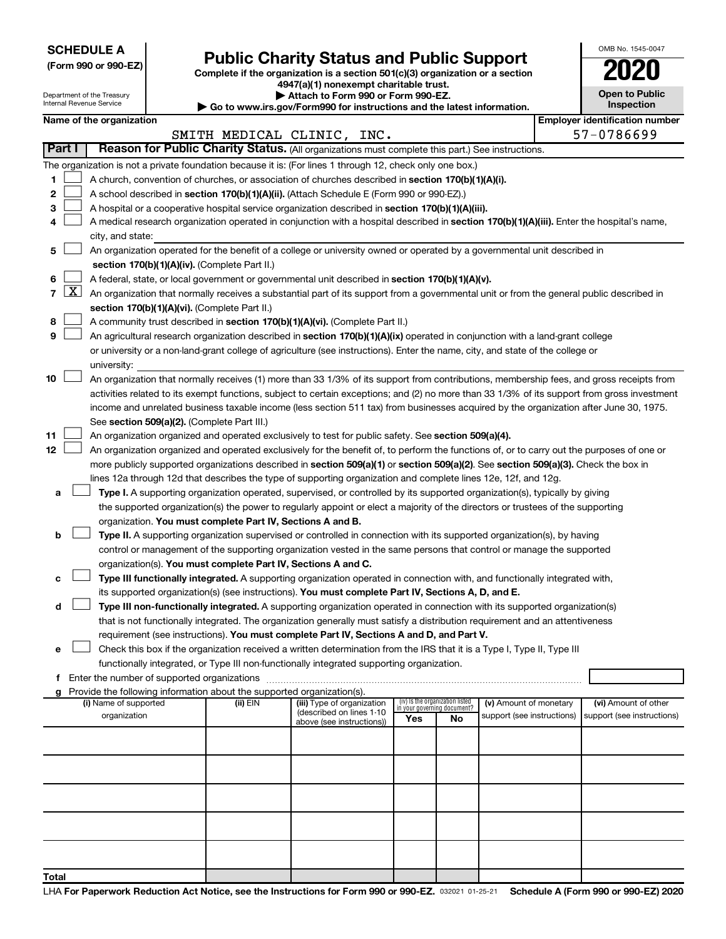**SCHEDULE A**

Department of the Treasury Internal Revenue Service

# Form 990 or 990-EZ) **Public Charity Status and Public Support**<br>
Complete if the organization is a section 501(c)(3) organization or a section<br> **2020**

**4947(a)(1) nonexempt charitable trust. | Attach to Form 990 or Form 990-EZ.** 

|  | Go to www.irs.gov/Form990 for instructions and the latest information. |
|--|------------------------------------------------------------------------|

| OMB No. 1545-0047                   |
|-------------------------------------|
| 02                                  |
| <b>Open to Public</b><br>Inspection |

I.

|        | Name of the organization                                                                                                                          |          |                                                       |                                    |    |                            | <b>Employer identification number</b> |
|--------|---------------------------------------------------------------------------------------------------------------------------------------------------|----------|-------------------------------------------------------|------------------------------------|----|----------------------------|---------------------------------------|
| Part I | Reason for Public Charity Status. (All organizations must complete this part.) See instructions.                                                  |          | SMITH MEDICAL CLINIC, INC.                            |                                    |    |                            | 57-0786699                            |
|        |                                                                                                                                                   |          |                                                       |                                    |    |                            |                                       |
|        | The organization is not a private foundation because it is: (For lines 1 through 12, check only one box.)                                         |          |                                                       |                                    |    |                            |                                       |
| 1.     | A church, convention of churches, or association of churches described in section 170(b)(1)(A)(i).                                                |          |                                                       |                                    |    |                            |                                       |
| 2      | A school described in section 170(b)(1)(A)(ii). (Attach Schedule E (Form 990 or 990-EZ).)                                                         |          |                                                       |                                    |    |                            |                                       |
| з      | A hospital or a cooperative hospital service organization described in section 170(b)(1)(A)(iii).                                                 |          |                                                       |                                    |    |                            |                                       |
| 4      | A medical research organization operated in conjunction with a hospital described in section 170(b)(1)(A)(iii). Enter the hospital's name,        |          |                                                       |                                    |    |                            |                                       |
|        | city, and state:<br>An organization operated for the benefit of a college or university owned or operated by a governmental unit described in     |          |                                                       |                                    |    |                            |                                       |
| 5.     | section 170(b)(1)(A)(iv). (Complete Part II.)                                                                                                     |          |                                                       |                                    |    |                            |                                       |
|        | A federal, state, or local government or governmental unit described in section 170(b)(1)(A)(v).                                                  |          |                                                       |                                    |    |                            |                                       |
| 6.     | 7 $ X $ An organization that normally receives a substantial part of its support from a governmental unit or from the general public described in |          |                                                       |                                    |    |                            |                                       |
|        | section 170(b)(1)(A)(vi). (Complete Part II.)                                                                                                     |          |                                                       |                                    |    |                            |                                       |
| 8      | A community trust described in section 170(b)(1)(A)(vi). (Complete Part II.)                                                                      |          |                                                       |                                    |    |                            |                                       |
| 9      | An agricultural research organization described in section 170(b)(1)(A)(ix) operated in conjunction with a land-grant college                     |          |                                                       |                                    |    |                            |                                       |
|        | or university or a non-land-grant college of agriculture (see instructions). Enter the name, city, and state of the college or                    |          |                                                       |                                    |    |                            |                                       |
|        | university:                                                                                                                                       |          |                                                       |                                    |    |                            |                                       |
| 10     | An organization that normally receives (1) more than 33 1/3% of its support from contributions, membership fees, and gross receipts from          |          |                                                       |                                    |    |                            |                                       |
|        | activities related to its exempt functions, subject to certain exceptions; and (2) no more than 33 1/3% of its support from gross investment      |          |                                                       |                                    |    |                            |                                       |
|        | income and unrelated business taxable income (less section 511 tax) from businesses acquired by the organization after June 30, 1975.             |          |                                                       |                                    |    |                            |                                       |
|        | See section 509(a)(2). (Complete Part III.)                                                                                                       |          |                                                       |                                    |    |                            |                                       |
| 11     | An organization organized and operated exclusively to test for public safety. See section 509(a)(4).                                              |          |                                                       |                                    |    |                            |                                       |
| 12     | An organization organized and operated exclusively for the benefit of, to perform the functions of, or to carry out the purposes of one or        |          |                                                       |                                    |    |                            |                                       |
|        | more publicly supported organizations described in section 509(a)(1) or section 509(a)(2). See section 509(a)(3). Check the box in                |          |                                                       |                                    |    |                            |                                       |
|        | lines 12a through 12d that describes the type of supporting organization and complete lines 12e, 12f, and 12g.                                    |          |                                                       |                                    |    |                            |                                       |
| а      | Type I. A supporting organization operated, supervised, or controlled by its supported organization(s), typically by giving                       |          |                                                       |                                    |    |                            |                                       |
|        | the supported organization(s) the power to regularly appoint or elect a majority of the directors or trustees of the supporting                   |          |                                                       |                                    |    |                            |                                       |
|        | organization. You must complete Part IV, Sections A and B.                                                                                        |          |                                                       |                                    |    |                            |                                       |
| b      | Type II. A supporting organization supervised or controlled in connection with its supported organization(s), by having                           |          |                                                       |                                    |    |                            |                                       |
|        | control or management of the supporting organization vested in the same persons that control or manage the supported                              |          |                                                       |                                    |    |                            |                                       |
|        | organization(s). You must complete Part IV, Sections A and C.                                                                                     |          |                                                       |                                    |    |                            |                                       |
| с      | Type III functionally integrated. A supporting organization operated in connection with, and functionally integrated with,                        |          |                                                       |                                    |    |                            |                                       |
|        | its supported organization(s) (see instructions). You must complete Part IV, Sections A, D, and E.                                                |          |                                                       |                                    |    |                            |                                       |
| d      | Type III non-functionally integrated. A supporting organization operated in connection with its supported organization(s)                         |          |                                                       |                                    |    |                            |                                       |
|        | that is not functionally integrated. The organization generally must satisfy a distribution requirement and an attentiveness                      |          |                                                       |                                    |    |                            |                                       |
|        | requirement (see instructions). You must complete Part IV, Sections A and D, and Part V.                                                          |          |                                                       |                                    |    |                            |                                       |
|        | Check this box if the organization received a written determination from the IRS that it is a Type I, Type II, Type III                           |          |                                                       |                                    |    |                            |                                       |
|        | functionally integrated, or Type III non-functionally integrated supporting organization.                                                         |          |                                                       |                                    |    |                            |                                       |
|        | f Enter the number of supported organizations<br>g Provide the following information about the supported organization(s).                         |          |                                                       |                                    |    |                            |                                       |
|        | (i) Name of supported                                                                                                                             | (ii) EIN | (iii) Type of organization                            | (iv) Is the organization listed    |    | (v) Amount of monetary     | (vi) Amount of other                  |
|        | organization                                                                                                                                      |          | (described on lines 1-10<br>above (see instructions)) | in your governing document?<br>Yes | No | support (see instructions) | support (see instructions)            |
|        |                                                                                                                                                   |          |                                                       |                                    |    |                            |                                       |
|        |                                                                                                                                                   |          |                                                       |                                    |    |                            |                                       |
|        |                                                                                                                                                   |          |                                                       |                                    |    |                            |                                       |
|        |                                                                                                                                                   |          |                                                       |                                    |    |                            |                                       |
|        |                                                                                                                                                   |          |                                                       |                                    |    |                            |                                       |
|        |                                                                                                                                                   |          |                                                       |                                    |    |                            |                                       |
|        |                                                                                                                                                   |          |                                                       |                                    |    |                            |                                       |
|        |                                                                                                                                                   |          |                                                       |                                    |    |                            |                                       |
|        |                                                                                                                                                   |          |                                                       |                                    |    |                            |                                       |
|        |                                                                                                                                                   |          |                                                       |                                    |    |                            |                                       |
| Total  |                                                                                                                                                   |          |                                                       |                                    |    |                            |                                       |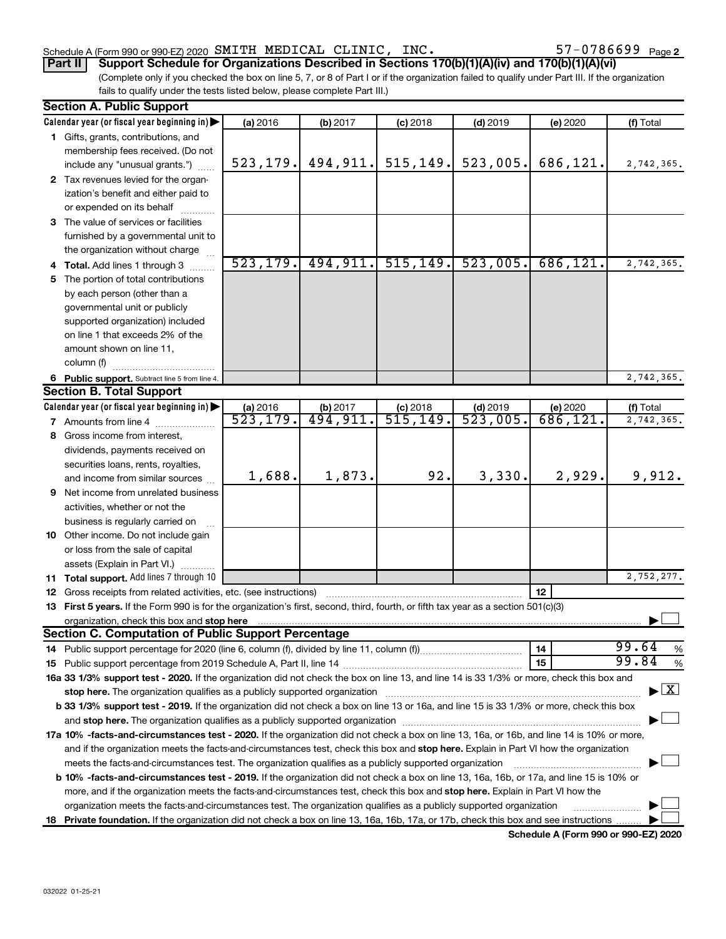#### Schedule A (Form 990 or 990-EZ) 2020 Page SMITH MEDICAL CLINIC, INC. 57-0786699

**Part II Support Schedule for Organizations Described in Sections 170(b)(1)(A)(iv) and 170(b)(1)(A)(vi)**

(Complete only if you checked the box on line 5, 7, or 8 of Part I or if the organization failed to qualify under Part III. If the organization fails to qualify under the tests listed below, please complete Part III.)

| <b>Section A. Public Support</b>                                                                                                                                                                                               |           |           |            |            |           |                                    |
|--------------------------------------------------------------------------------------------------------------------------------------------------------------------------------------------------------------------------------|-----------|-----------|------------|------------|-----------|------------------------------------|
| Calendar year (or fiscal year beginning in)                                                                                                                                                                                    | (a) 2016  | (b) 2017  | $(c)$ 2018 | $(d)$ 2019 | (e) 2020  | (f) Total                          |
| 1 Gifts, grants, contributions, and                                                                                                                                                                                            |           |           |            |            |           |                                    |
| membership fees received. (Do not                                                                                                                                                                                              |           |           |            |            |           |                                    |
| include any "unusual grants.")                                                                                                                                                                                                 | 523, 179. | 494, 911. | 515, 149.  | 523,005.   | 686,121.  | 2,742,365.                         |
| 2 Tax revenues levied for the organ-                                                                                                                                                                                           |           |           |            |            |           |                                    |
| ization's benefit and either paid to                                                                                                                                                                                           |           |           |            |            |           |                                    |
| or expended on its behalf                                                                                                                                                                                                      |           |           |            |            |           |                                    |
| 3 The value of services or facilities                                                                                                                                                                                          |           |           |            |            |           |                                    |
| furnished by a governmental unit to                                                                                                                                                                                            |           |           |            |            |           |                                    |
| the organization without charge                                                                                                                                                                                                |           |           |            |            |           |                                    |
| 4 Total. Add lines 1 through 3                                                                                                                                                                                                 | 523, 179. | 494, 911. | 515, 149.  | 523,005.   | 686, 121. | 2,742,365.                         |
| 5 The portion of total contributions                                                                                                                                                                                           |           |           |            |            |           |                                    |
| by each person (other than a                                                                                                                                                                                                   |           |           |            |            |           |                                    |
| governmental unit or publicly                                                                                                                                                                                                  |           |           |            |            |           |                                    |
| supported organization) included                                                                                                                                                                                               |           |           |            |            |           |                                    |
| on line 1 that exceeds 2% of the                                                                                                                                                                                               |           |           |            |            |           |                                    |
| amount shown on line 11,                                                                                                                                                                                                       |           |           |            |            |           |                                    |
| column (f)                                                                                                                                                                                                                     |           |           |            |            |           |                                    |
| 6 Public support. Subtract line 5 from line 4.                                                                                                                                                                                 |           |           |            |            |           | 2,742,365.                         |
| <b>Section B. Total Support</b>                                                                                                                                                                                                |           |           |            |            |           |                                    |
| Calendar year (or fiscal year beginning in)                                                                                                                                                                                    | (a) 2016  | (b) 2017  | $(c)$ 2018 | $(d)$ 2019 | (e) 2020  | (f) Total                          |
| 7 Amounts from line 4                                                                                                                                                                                                          | 523, 179. | 494,911.  | 515, 149.  | 523,005.   | 686, 121. | 2,742,365.                         |
| 8 Gross income from interest,                                                                                                                                                                                                  |           |           |            |            |           |                                    |
| dividends, payments received on                                                                                                                                                                                                |           |           |            |            |           |                                    |
| securities loans, rents, royalties,                                                                                                                                                                                            |           |           |            |            |           |                                    |
| and income from similar sources                                                                                                                                                                                                | 1,688.    | 1,873.    | 92.        | 3,330.     | 2,929.    | 9,912.                             |
| 9 Net income from unrelated business                                                                                                                                                                                           |           |           |            |            |           |                                    |
| activities, whether or not the                                                                                                                                                                                                 |           |           |            |            |           |                                    |
| business is regularly carried on                                                                                                                                                                                               |           |           |            |            |           |                                    |
| 10 Other income. Do not include gain                                                                                                                                                                                           |           |           |            |            |           |                                    |
| or loss from the sale of capital                                                                                                                                                                                               |           |           |            |            |           |                                    |
| assets (Explain in Part VI.)                                                                                                                                                                                                   |           |           |            |            |           |                                    |
| <b>11 Total support.</b> Add lines 7 through 10                                                                                                                                                                                |           |           |            |            |           | 2,752,277.                         |
| <b>12</b> Gross receipts from related activities, etc. (see instructions)                                                                                                                                                      |           |           |            |            | 12        |                                    |
| 13 First 5 years. If the Form 990 is for the organization's first, second, third, fourth, or fifth tax year as a section 501(c)(3)                                                                                             |           |           |            |            |           |                                    |
| organization, check this box and stop here                                                                                                                                                                                     |           |           |            |            |           |                                    |
| <b>Section C. Computation of Public Support Percentage</b>                                                                                                                                                                     |           |           |            |            |           |                                    |
|                                                                                                                                                                                                                                |           |           |            |            | 14        | 99.64<br>%                         |
|                                                                                                                                                                                                                                |           |           |            |            | 15        | 99.84<br>%                         |
| 16a 33 1/3% support test - 2020. If the organization did not check the box on line 13, and line 14 is 33 1/3% or more, check this box and                                                                                      |           |           |            |            |           |                                    |
| stop here. The organization qualifies as a publicly supported organization manufaction manufacture or the organization manufacture or the organization manufacture or the organization manufacture or the state of the state o |           |           |            |            |           | $\blacktriangleright$ $\mathbf{X}$ |
| b 33 1/3% support test - 2019. If the organization did not check a box on line 13 or 16a, and line 15 is 33 1/3% or more, check this box                                                                                       |           |           |            |            |           |                                    |
|                                                                                                                                                                                                                                |           |           |            |            |           |                                    |
| 17a 10% -facts-and-circumstances test - 2020. If the organization did not check a box on line 13, 16a, or 16b, and line 14 is 10% or more,                                                                                     |           |           |            |            |           |                                    |
| and if the organization meets the facts-and-circumstances test, check this box and stop here. Explain in Part VI how the organization                                                                                          |           |           |            |            |           |                                    |
| meets the facts-and-circumstances test. The organization qualifies as a publicly supported organization                                                                                                                        |           |           |            |            |           |                                    |
| <b>b 10%</b> -facts-and-circumstances test - 2019. If the organization did not check a box on line 13, 16a, 16b, or 17a, and line 15 is 10% or                                                                                 |           |           |            |            |           |                                    |
| more, and if the organization meets the facts-and-circumstances test, check this box and stop here. Explain in Part VI how the                                                                                                 |           |           |            |            |           |                                    |
| organization meets the facts-and-circumstances test. The organization qualifies as a publicly supported organization                                                                                                           |           |           |            |            |           |                                    |
| 18 Private foundation. If the organization did not check a box on line 13, 16a, 16b, 17a, or 17b, check this box and see instructions                                                                                          |           |           |            |            |           |                                    |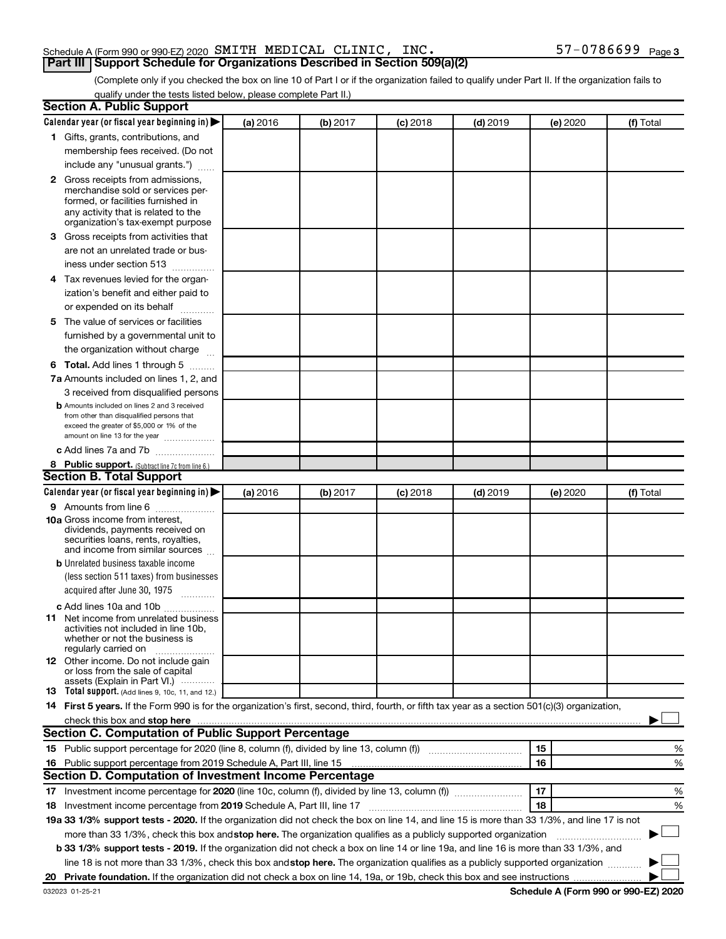#### Schedule A (Form 990 or 990-EZ) 2020 Page SMITH MEDICAL CLINIC, INC. 57-0786699**Part III Support Schedule for Organizations Described in Section 509(a)(2)**

(Complete only if you checked the box on line 10 of Part I or if the organization failed to qualify under Part II. If the organization fails to qualify under the tests listed below, please complete Part II.)

| <b>Section A. Public Support</b>                                                                                                                                                                                                                                                                |          |          |          |            |          |           |
|-------------------------------------------------------------------------------------------------------------------------------------------------------------------------------------------------------------------------------------------------------------------------------------------------|----------|----------|----------|------------|----------|-----------|
| Calendar year (or fiscal year beginning in)                                                                                                                                                                                                                                                     | (a) 2016 | (b) 2017 | (c) 2018 | $(d)$ 2019 | (e) 2020 | (f) Total |
| 1 Gifts, grants, contributions, and                                                                                                                                                                                                                                                             |          |          |          |            |          |           |
| membership fees received. (Do not                                                                                                                                                                                                                                                               |          |          |          |            |          |           |
| include any "unusual grants.")                                                                                                                                                                                                                                                                  |          |          |          |            |          |           |
| <b>2</b> Gross receipts from admissions,                                                                                                                                                                                                                                                        |          |          |          |            |          |           |
| merchandise sold or services per-                                                                                                                                                                                                                                                               |          |          |          |            |          |           |
| formed, or facilities furnished in                                                                                                                                                                                                                                                              |          |          |          |            |          |           |
| any activity that is related to the<br>organization's tax-exempt purpose                                                                                                                                                                                                                        |          |          |          |            |          |           |
| 3 Gross receipts from activities that                                                                                                                                                                                                                                                           |          |          |          |            |          |           |
| are not an unrelated trade or bus-                                                                                                                                                                                                                                                              |          |          |          |            |          |           |
| iness under section 513                                                                                                                                                                                                                                                                         |          |          |          |            |          |           |
| 4 Tax revenues levied for the organ-                                                                                                                                                                                                                                                            |          |          |          |            |          |           |
| ization's benefit and either paid to                                                                                                                                                                                                                                                            |          |          |          |            |          |           |
| or expended on its behalf                                                                                                                                                                                                                                                                       |          |          |          |            |          |           |
| .<br>5 The value of services or facilities                                                                                                                                                                                                                                                      |          |          |          |            |          |           |
|                                                                                                                                                                                                                                                                                                 |          |          |          |            |          |           |
| furnished by a governmental unit to                                                                                                                                                                                                                                                             |          |          |          |            |          |           |
| the organization without charge                                                                                                                                                                                                                                                                 |          |          |          |            |          |           |
| <b>6 Total.</b> Add lines 1 through 5                                                                                                                                                                                                                                                           |          |          |          |            |          |           |
| 7a Amounts included on lines 1, 2, and                                                                                                                                                                                                                                                          |          |          |          |            |          |           |
| 3 received from disqualified persons                                                                                                                                                                                                                                                            |          |          |          |            |          |           |
| <b>b</b> Amounts included on lines 2 and 3 received<br>from other than disqualified persons that                                                                                                                                                                                                |          |          |          |            |          |           |
| exceed the greater of \$5,000 or 1% of the                                                                                                                                                                                                                                                      |          |          |          |            |          |           |
| amount on line 13 for the year                                                                                                                                                                                                                                                                  |          |          |          |            |          |           |
| c Add lines 7a and 7b                                                                                                                                                                                                                                                                           |          |          |          |            |          |           |
| 8 Public support. (Subtract line 7c from line 6.)                                                                                                                                                                                                                                               |          |          |          |            |          |           |
| <b>Section B. Total Support</b>                                                                                                                                                                                                                                                                 |          |          |          |            |          |           |
| Calendar year (or fiscal year beginning in)                                                                                                                                                                                                                                                     | (a) 2016 | (b) 2017 | (c) 2018 | $(d)$ 2019 | (e) 2020 | (f) Total |
| <b>9</b> Amounts from line 6                                                                                                                                                                                                                                                                    |          |          |          |            |          |           |
| <b>10a</b> Gross income from interest,                                                                                                                                                                                                                                                          |          |          |          |            |          |           |
| dividends, payments received on<br>securities loans, rents, royalties,                                                                                                                                                                                                                          |          |          |          |            |          |           |
| and income from similar sources                                                                                                                                                                                                                                                                 |          |          |          |            |          |           |
| <b>b</b> Unrelated business taxable income                                                                                                                                                                                                                                                      |          |          |          |            |          |           |
| (less section 511 taxes) from businesses                                                                                                                                                                                                                                                        |          |          |          |            |          |           |
| acquired after June 30, 1975                                                                                                                                                                                                                                                                    |          |          |          |            |          |           |
| c Add lines 10a and 10b                                                                                                                                                                                                                                                                         |          |          |          |            |          |           |
| <b>11</b> Net income from unrelated business                                                                                                                                                                                                                                                    |          |          |          |            |          |           |
| activities not included in line 10b.                                                                                                                                                                                                                                                            |          |          |          |            |          |           |
| whether or not the business is<br>regularly carried on                                                                                                                                                                                                                                          |          |          |          |            |          |           |
| 12 Other income. Do not include gain                                                                                                                                                                                                                                                            |          |          |          |            |          |           |
| or loss from the sale of capital                                                                                                                                                                                                                                                                |          |          |          |            |          |           |
| assets (Explain in Part VI.)                                                                                                                                                                                                                                                                    |          |          |          |            |          |           |
| <b>13</b> Total support. (Add lines 9, 10c, 11, and 12.)                                                                                                                                                                                                                                        |          |          |          |            |          |           |
| 14 First 5 years. If the Form 990 is for the organization's first, second, third, fourth, or fifth tax year as a section 501(c)(3) organization,                                                                                                                                                |          |          |          |            |          |           |
| check this box and stop here <b>construction and construction</b> and check this box and stop here <b>construction</b> and construction and construction and construction and construction and construction and construction and constru<br>Section C. Computation of Public Support Percentage |          |          |          |            |          |           |
|                                                                                                                                                                                                                                                                                                 |          |          |          |            |          |           |
| 15 Public support percentage for 2020 (line 8, column (f), divided by line 13, column (f) <i>manumeronominium</i>                                                                                                                                                                               |          |          |          |            | 15       | %         |
| 16 Public support percentage from 2019 Schedule A, Part III, line 15                                                                                                                                                                                                                            |          |          |          |            | 16       | %         |
| Section D. Computation of Investment Income Percentage                                                                                                                                                                                                                                          |          |          |          |            |          |           |
| 17 Investment income percentage for 2020 (line 10c, column (f), divided by line 13, column (f))                                                                                                                                                                                                 |          |          |          |            | 17       | %         |
| 18 Investment income percentage from 2019 Schedule A, Part III, line 17                                                                                                                                                                                                                         |          |          |          |            | 18       | %         |
| 19a 33 1/3% support tests - 2020. If the organization did not check the box on line 14, and line 15 is more than 33 1/3%, and line 17 is not                                                                                                                                                    |          |          |          |            |          |           |
| more than 33 1/3%, check this box and stop here. The organization qualifies as a publicly supported organization                                                                                                                                                                                |          |          |          |            |          |           |
| b 33 1/3% support tests - 2019. If the organization did not check a box on line 14 or line 19a, and line 16 is more than 33 1/3%, and                                                                                                                                                           |          |          |          |            |          |           |
| line 18 is not more than 33 1/3%, check this box and stop here. The organization qualifies as a publicly supported organization                                                                                                                                                                 |          |          |          |            |          |           |
|                                                                                                                                                                                                                                                                                                 |          |          |          |            |          |           |

**Schedule A (Form 990 or 990-EZ) 2020**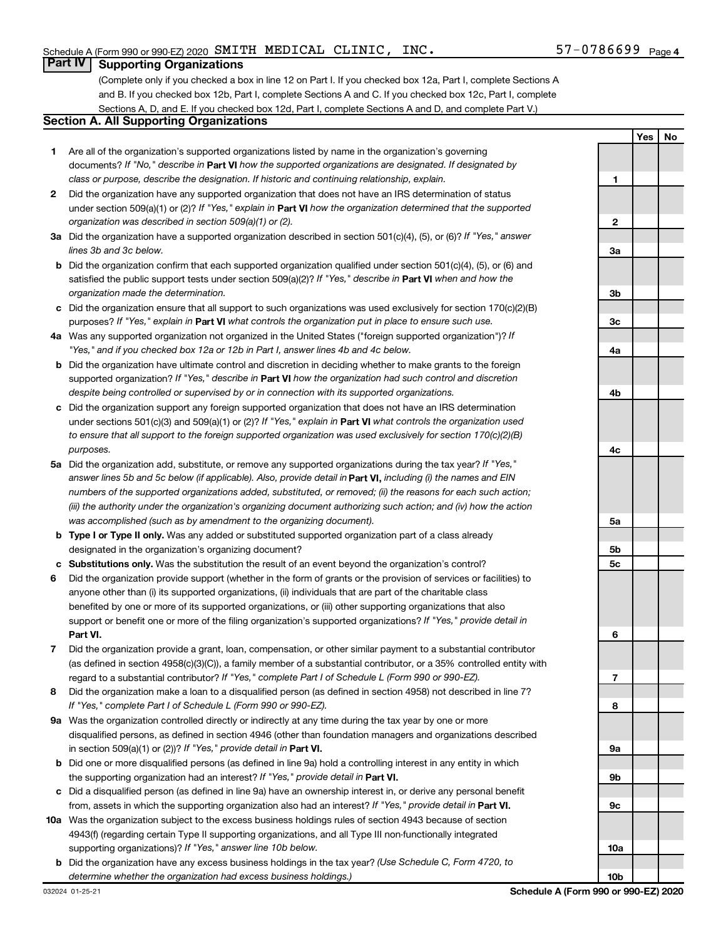## **Part IV Supporting Organizations**

(Complete only if you checked a box in line 12 on Part I. If you checked box 12a, Part I, complete Sections A and B. If you checked box 12b, Part I, complete Sections A and C. If you checked box 12c, Part I, complete Sections A, D, and E. If you checked box 12d, Part I, complete Sections A and D, and complete Part V.)

# **Section A. All Supporting Organizations**

- **1** Are all of the organization's supported organizations listed by name in the organization's governing documents? If "No," describe in Part VI how the supported organizations are designated. If designated by *class or purpose, describe the designation. If historic and continuing relationship, explain.*
- **2** Did the organization have any supported organization that does not have an IRS determination of status under section 509(a)(1) or (2)? If "Yes," explain in Part **VI** how the organization determined that the supported *organization was described in section 509(a)(1) or (2).*
- **3a** Did the organization have a supported organization described in section 501(c)(4), (5), or (6)? If "Yes," answer *lines 3b and 3c below.*
- **b** Did the organization confirm that each supported organization qualified under section 501(c)(4), (5), or (6) and satisfied the public support tests under section 509(a)(2)? If "Yes," describe in Part VI when and how the *organization made the determination.*
- **c** Did the organization ensure that all support to such organizations was used exclusively for section 170(c)(2)(B) purposes? If "Yes," explain in Part VI what controls the organization put in place to ensure such use.
- **4 a** *If* Was any supported organization not organized in the United States ("foreign supported organization")? *"Yes," and if you checked box 12a or 12b in Part I, answer lines 4b and 4c below.*
- **b** Did the organization have ultimate control and discretion in deciding whether to make grants to the foreign supported organization? If "Yes," describe in Part VI how the organization had such control and discretion *despite being controlled or supervised by or in connection with its supported organizations.*
- **c** Did the organization support any foreign supported organization that does not have an IRS determination under sections 501(c)(3) and 509(a)(1) or (2)? If "Yes," explain in Part VI what controls the organization used *to ensure that all support to the foreign supported organization was used exclusively for section 170(c)(2)(B) purposes.*
- **5a** Did the organization add, substitute, or remove any supported organizations during the tax year? If "Yes," answer lines 5b and 5c below (if applicable). Also, provide detail in **Part VI,** including (i) the names and EIN *numbers of the supported organizations added, substituted, or removed; (ii) the reasons for each such action; (iii) the authority under the organization's organizing document authorizing such action; and (iv) how the action was accomplished (such as by amendment to the organizing document).*
- **b** Type I or Type II only. Was any added or substituted supported organization part of a class already designated in the organization's organizing document?
- **c Substitutions only.**  Was the substitution the result of an event beyond the organization's control?
- **6** Did the organization provide support (whether in the form of grants or the provision of services or facilities) to **Part VI.** support or benefit one or more of the filing organization's supported organizations? If "Yes," provide detail in anyone other than (i) its supported organizations, (ii) individuals that are part of the charitable class benefited by one or more of its supported organizations, or (iii) other supporting organizations that also
- **7** Did the organization provide a grant, loan, compensation, or other similar payment to a substantial contributor regard to a substantial contributor? If "Yes," complete Part I of Schedule L (Form 990 or 990-EZ). (as defined in section 4958(c)(3)(C)), a family member of a substantial contributor, or a 35% controlled entity with
- **8** Did the organization make a loan to a disqualified person (as defined in section 4958) not described in line 7? *If "Yes," complete Part I of Schedule L (Form 990 or 990-EZ).*
- **9 a** Was the organization controlled directly or indirectly at any time during the tax year by one or more in section 509(a)(1) or (2))? If "Yes," provide detail in **Part VI.** disqualified persons, as defined in section 4946 (other than foundation managers and organizations described
- **b** Did one or more disqualified persons (as defined in line 9a) hold a controlling interest in any entity in which the supporting organization had an interest? If "Yes," provide detail in Part VI.
- **c** Did a disqualified person (as defined in line 9a) have an ownership interest in, or derive any personal benefit from, assets in which the supporting organization also had an interest? If "Yes," provide detail in Part VI.
- **10 a** Was the organization subject to the excess business holdings rules of section 4943 because of section supporting organizations)? If "Yes," answer line 10b below. 4943(f) (regarding certain Type II supporting organizations, and all Type III non-functionally integrated
	- **b** Did the organization have any excess business holdings in the tax year? (Use Schedule C, Form 4720, to *determine whether the organization had excess business holdings.)*

**Yes No 1 2 3a 3b 3c 4a 4b 4c 5a 5b 5c 6 7 8 9a 9b 9c 10a 10b**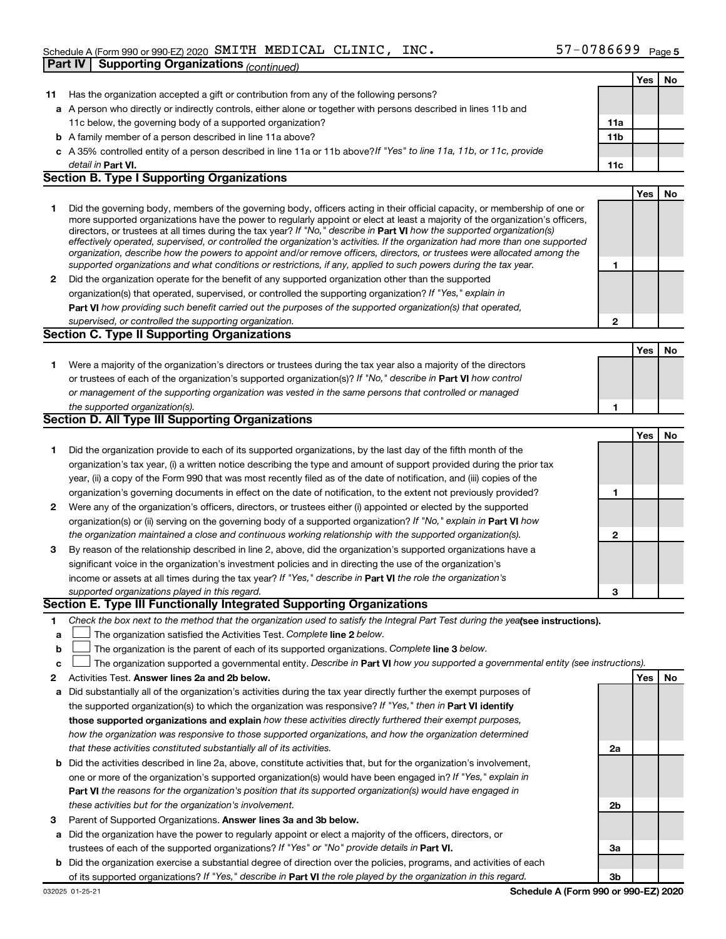| Has the organization accepted a gift or contribution from any of the following persons?<br>11<br>a A person who directly or indirectly controls, either alone or together with persons described in lines 11b and<br>11c below, the governing body of a supported organization?<br>11a<br>11 <sub>b</sub><br><b>b</b> A family member of a person described in line 11a above?<br>c A 35% controlled entity of a person described in line 11a or 11b above? If "Yes" to line 11a, 11b, or 11c, provide<br>detail in Part VI.<br>11c<br><b>Section B. Type I Supporting Organizations</b><br>Did the governing body, members of the governing body, officers acting in their official capacity, or membership of one or<br>1.<br>more supported organizations have the power to regularly appoint or elect at least a majority of the organization's officers,<br>directors, or trustees at all times during the tax year? If "No," describe in Part VI how the supported organization(s)<br>effectively operated, supervised, or controlled the organization's activities. If the organization had more than one supported<br>organization, describe how the powers to appoint and/or remove officers, directors, or trustees were allocated among the<br>supported organizations and what conditions or restrictions, if any, applied to such powers during the tax year.<br>1<br>2 Did the organization operate for the benefit of any supported organization other than the supported<br>organization(s) that operated, supervised, or controlled the supporting organization? If "Yes," explain in<br>Part VI how providing such benefit carried out the purposes of the supported organization(s) that operated,<br>$\mathbf{2}$<br>supervised, or controlled the supporting organization. | Yes<br>Yes | No<br>No |
|-------------------------------------------------------------------------------------------------------------------------------------------------------------------------------------------------------------------------------------------------------------------------------------------------------------------------------------------------------------------------------------------------------------------------------------------------------------------------------------------------------------------------------------------------------------------------------------------------------------------------------------------------------------------------------------------------------------------------------------------------------------------------------------------------------------------------------------------------------------------------------------------------------------------------------------------------------------------------------------------------------------------------------------------------------------------------------------------------------------------------------------------------------------------------------------------------------------------------------------------------------------------------------------------------------------------------------------------------------------------------------------------------------------------------------------------------------------------------------------------------------------------------------------------------------------------------------------------------------------------------------------------------------------------------------------------------------------------------------------------------------------------------------------------------|------------|----------|
|                                                                                                                                                                                                                                                                                                                                                                                                                                                                                                                                                                                                                                                                                                                                                                                                                                                                                                                                                                                                                                                                                                                                                                                                                                                                                                                                                                                                                                                                                                                                                                                                                                                                                                                                                                                                 |            |          |
|                                                                                                                                                                                                                                                                                                                                                                                                                                                                                                                                                                                                                                                                                                                                                                                                                                                                                                                                                                                                                                                                                                                                                                                                                                                                                                                                                                                                                                                                                                                                                                                                                                                                                                                                                                                                 |            |          |
|                                                                                                                                                                                                                                                                                                                                                                                                                                                                                                                                                                                                                                                                                                                                                                                                                                                                                                                                                                                                                                                                                                                                                                                                                                                                                                                                                                                                                                                                                                                                                                                                                                                                                                                                                                                                 |            |          |
|                                                                                                                                                                                                                                                                                                                                                                                                                                                                                                                                                                                                                                                                                                                                                                                                                                                                                                                                                                                                                                                                                                                                                                                                                                                                                                                                                                                                                                                                                                                                                                                                                                                                                                                                                                                                 |            |          |
|                                                                                                                                                                                                                                                                                                                                                                                                                                                                                                                                                                                                                                                                                                                                                                                                                                                                                                                                                                                                                                                                                                                                                                                                                                                                                                                                                                                                                                                                                                                                                                                                                                                                                                                                                                                                 |            |          |
|                                                                                                                                                                                                                                                                                                                                                                                                                                                                                                                                                                                                                                                                                                                                                                                                                                                                                                                                                                                                                                                                                                                                                                                                                                                                                                                                                                                                                                                                                                                                                                                                                                                                                                                                                                                                 |            |          |
|                                                                                                                                                                                                                                                                                                                                                                                                                                                                                                                                                                                                                                                                                                                                                                                                                                                                                                                                                                                                                                                                                                                                                                                                                                                                                                                                                                                                                                                                                                                                                                                                                                                                                                                                                                                                 |            |          |
|                                                                                                                                                                                                                                                                                                                                                                                                                                                                                                                                                                                                                                                                                                                                                                                                                                                                                                                                                                                                                                                                                                                                                                                                                                                                                                                                                                                                                                                                                                                                                                                                                                                                                                                                                                                                 |            |          |
|                                                                                                                                                                                                                                                                                                                                                                                                                                                                                                                                                                                                                                                                                                                                                                                                                                                                                                                                                                                                                                                                                                                                                                                                                                                                                                                                                                                                                                                                                                                                                                                                                                                                                                                                                                                                 |            |          |
|                                                                                                                                                                                                                                                                                                                                                                                                                                                                                                                                                                                                                                                                                                                                                                                                                                                                                                                                                                                                                                                                                                                                                                                                                                                                                                                                                                                                                                                                                                                                                                                                                                                                                                                                                                                                 |            |          |
|                                                                                                                                                                                                                                                                                                                                                                                                                                                                                                                                                                                                                                                                                                                                                                                                                                                                                                                                                                                                                                                                                                                                                                                                                                                                                                                                                                                                                                                                                                                                                                                                                                                                                                                                                                                                 |            |          |
|                                                                                                                                                                                                                                                                                                                                                                                                                                                                                                                                                                                                                                                                                                                                                                                                                                                                                                                                                                                                                                                                                                                                                                                                                                                                                                                                                                                                                                                                                                                                                                                                                                                                                                                                                                                                 |            |          |
|                                                                                                                                                                                                                                                                                                                                                                                                                                                                                                                                                                                                                                                                                                                                                                                                                                                                                                                                                                                                                                                                                                                                                                                                                                                                                                                                                                                                                                                                                                                                                                                                                                                                                                                                                                                                 |            |          |
|                                                                                                                                                                                                                                                                                                                                                                                                                                                                                                                                                                                                                                                                                                                                                                                                                                                                                                                                                                                                                                                                                                                                                                                                                                                                                                                                                                                                                                                                                                                                                                                                                                                                                                                                                                                                 |            |          |
|                                                                                                                                                                                                                                                                                                                                                                                                                                                                                                                                                                                                                                                                                                                                                                                                                                                                                                                                                                                                                                                                                                                                                                                                                                                                                                                                                                                                                                                                                                                                                                                                                                                                                                                                                                                                 |            |          |
| <b>Section C. Type II Supporting Organizations</b>                                                                                                                                                                                                                                                                                                                                                                                                                                                                                                                                                                                                                                                                                                                                                                                                                                                                                                                                                                                                                                                                                                                                                                                                                                                                                                                                                                                                                                                                                                                                                                                                                                                                                                                                              |            |          |
|                                                                                                                                                                                                                                                                                                                                                                                                                                                                                                                                                                                                                                                                                                                                                                                                                                                                                                                                                                                                                                                                                                                                                                                                                                                                                                                                                                                                                                                                                                                                                                                                                                                                                                                                                                                                 | Yes        | No       |
| Were a majority of the organization's directors or trustees during the tax year also a majority of the directors<br>1.                                                                                                                                                                                                                                                                                                                                                                                                                                                                                                                                                                                                                                                                                                                                                                                                                                                                                                                                                                                                                                                                                                                                                                                                                                                                                                                                                                                                                                                                                                                                                                                                                                                                          |            |          |
| or trustees of each of the organization's supported organization(s)? If "No," describe in Part VI how control                                                                                                                                                                                                                                                                                                                                                                                                                                                                                                                                                                                                                                                                                                                                                                                                                                                                                                                                                                                                                                                                                                                                                                                                                                                                                                                                                                                                                                                                                                                                                                                                                                                                                   |            |          |
| or management of the supporting organization was vested in the same persons that controlled or managed                                                                                                                                                                                                                                                                                                                                                                                                                                                                                                                                                                                                                                                                                                                                                                                                                                                                                                                                                                                                                                                                                                                                                                                                                                                                                                                                                                                                                                                                                                                                                                                                                                                                                          |            |          |
| the supported organization(s).<br>1<br><b>Section D. All Type III Supporting Organizations</b>                                                                                                                                                                                                                                                                                                                                                                                                                                                                                                                                                                                                                                                                                                                                                                                                                                                                                                                                                                                                                                                                                                                                                                                                                                                                                                                                                                                                                                                                                                                                                                                                                                                                                                  |            |          |
|                                                                                                                                                                                                                                                                                                                                                                                                                                                                                                                                                                                                                                                                                                                                                                                                                                                                                                                                                                                                                                                                                                                                                                                                                                                                                                                                                                                                                                                                                                                                                                                                                                                                                                                                                                                                 | Yes        | No       |
| Did the organization provide to each of its supported organizations, by the last day of the fifth month of the<br>1.                                                                                                                                                                                                                                                                                                                                                                                                                                                                                                                                                                                                                                                                                                                                                                                                                                                                                                                                                                                                                                                                                                                                                                                                                                                                                                                                                                                                                                                                                                                                                                                                                                                                            |            |          |
| organization's tax year, (i) a written notice describing the type and amount of support provided during the prior tax                                                                                                                                                                                                                                                                                                                                                                                                                                                                                                                                                                                                                                                                                                                                                                                                                                                                                                                                                                                                                                                                                                                                                                                                                                                                                                                                                                                                                                                                                                                                                                                                                                                                           |            |          |
| year, (ii) a copy of the Form 990 that was most recently filed as of the date of notification, and (iii) copies of the                                                                                                                                                                                                                                                                                                                                                                                                                                                                                                                                                                                                                                                                                                                                                                                                                                                                                                                                                                                                                                                                                                                                                                                                                                                                                                                                                                                                                                                                                                                                                                                                                                                                          |            |          |
| organization's governing documents in effect on the date of notification, to the extent not previously provided?<br>1                                                                                                                                                                                                                                                                                                                                                                                                                                                                                                                                                                                                                                                                                                                                                                                                                                                                                                                                                                                                                                                                                                                                                                                                                                                                                                                                                                                                                                                                                                                                                                                                                                                                           |            |          |
| Were any of the organization's officers, directors, or trustees either (i) appointed or elected by the supported<br>2                                                                                                                                                                                                                                                                                                                                                                                                                                                                                                                                                                                                                                                                                                                                                                                                                                                                                                                                                                                                                                                                                                                                                                                                                                                                                                                                                                                                                                                                                                                                                                                                                                                                           |            |          |
| organization(s) or (ii) serving on the governing body of a supported organization? If "No," explain in Part VI how                                                                                                                                                                                                                                                                                                                                                                                                                                                                                                                                                                                                                                                                                                                                                                                                                                                                                                                                                                                                                                                                                                                                                                                                                                                                                                                                                                                                                                                                                                                                                                                                                                                                              |            |          |
| the organization maintained a close and continuous working relationship with the supported organization(s).<br>2                                                                                                                                                                                                                                                                                                                                                                                                                                                                                                                                                                                                                                                                                                                                                                                                                                                                                                                                                                                                                                                                                                                                                                                                                                                                                                                                                                                                                                                                                                                                                                                                                                                                                |            |          |
| By reason of the relationship described in line 2, above, did the organization's supported organizations have a<br>3                                                                                                                                                                                                                                                                                                                                                                                                                                                                                                                                                                                                                                                                                                                                                                                                                                                                                                                                                                                                                                                                                                                                                                                                                                                                                                                                                                                                                                                                                                                                                                                                                                                                            |            |          |
| significant voice in the organization's investment policies and in directing the use of the organization's                                                                                                                                                                                                                                                                                                                                                                                                                                                                                                                                                                                                                                                                                                                                                                                                                                                                                                                                                                                                                                                                                                                                                                                                                                                                                                                                                                                                                                                                                                                                                                                                                                                                                      |            |          |
| income or assets at all times during the tax year? If "Yes," describe in Part VI the role the organization's                                                                                                                                                                                                                                                                                                                                                                                                                                                                                                                                                                                                                                                                                                                                                                                                                                                                                                                                                                                                                                                                                                                                                                                                                                                                                                                                                                                                                                                                                                                                                                                                                                                                                    |            |          |
| supported organizations played in this regard.<br>3                                                                                                                                                                                                                                                                                                                                                                                                                                                                                                                                                                                                                                                                                                                                                                                                                                                                                                                                                                                                                                                                                                                                                                                                                                                                                                                                                                                                                                                                                                                                                                                                                                                                                                                                             |            |          |
| Section E. Type III Functionally Integrated Supporting Organizations                                                                                                                                                                                                                                                                                                                                                                                                                                                                                                                                                                                                                                                                                                                                                                                                                                                                                                                                                                                                                                                                                                                                                                                                                                                                                                                                                                                                                                                                                                                                                                                                                                                                                                                            |            |          |
| Check the box next to the method that the organization used to satisfy the Integral Part Test during the yealsee instructions).<br>1                                                                                                                                                                                                                                                                                                                                                                                                                                                                                                                                                                                                                                                                                                                                                                                                                                                                                                                                                                                                                                                                                                                                                                                                                                                                                                                                                                                                                                                                                                                                                                                                                                                            |            |          |
| The organization satisfied the Activities Test. Complete line 2 below.<br>а                                                                                                                                                                                                                                                                                                                                                                                                                                                                                                                                                                                                                                                                                                                                                                                                                                                                                                                                                                                                                                                                                                                                                                                                                                                                                                                                                                                                                                                                                                                                                                                                                                                                                                                     |            |          |
| The organization is the parent of each of its supported organizations. Complete line 3 below.<br>b                                                                                                                                                                                                                                                                                                                                                                                                                                                                                                                                                                                                                                                                                                                                                                                                                                                                                                                                                                                                                                                                                                                                                                                                                                                                                                                                                                                                                                                                                                                                                                                                                                                                                              |            |          |
| The organization supported a governmental entity. Describe in Part VI how you supported a governmental entity (see instructions).<br>с                                                                                                                                                                                                                                                                                                                                                                                                                                                                                                                                                                                                                                                                                                                                                                                                                                                                                                                                                                                                                                                                                                                                                                                                                                                                                                                                                                                                                                                                                                                                                                                                                                                          |            |          |
| Activities Test. Answer lines 2a and 2b below.<br>2                                                                                                                                                                                                                                                                                                                                                                                                                                                                                                                                                                                                                                                                                                                                                                                                                                                                                                                                                                                                                                                                                                                                                                                                                                                                                                                                                                                                                                                                                                                                                                                                                                                                                                                                             | Yes        | No       |
| Did substantially all of the organization's activities during the tax year directly further the exempt purposes of<br>а                                                                                                                                                                                                                                                                                                                                                                                                                                                                                                                                                                                                                                                                                                                                                                                                                                                                                                                                                                                                                                                                                                                                                                                                                                                                                                                                                                                                                                                                                                                                                                                                                                                                         |            |          |
| the supported organization(s) to which the organization was responsive? If "Yes," then in Part VI identify                                                                                                                                                                                                                                                                                                                                                                                                                                                                                                                                                                                                                                                                                                                                                                                                                                                                                                                                                                                                                                                                                                                                                                                                                                                                                                                                                                                                                                                                                                                                                                                                                                                                                      |            |          |
| those supported organizations and explain how these activities directly furthered their exempt purposes,                                                                                                                                                                                                                                                                                                                                                                                                                                                                                                                                                                                                                                                                                                                                                                                                                                                                                                                                                                                                                                                                                                                                                                                                                                                                                                                                                                                                                                                                                                                                                                                                                                                                                        |            |          |
| how the organization was responsive to those supported organizations, and how the organization determined                                                                                                                                                                                                                                                                                                                                                                                                                                                                                                                                                                                                                                                                                                                                                                                                                                                                                                                                                                                                                                                                                                                                                                                                                                                                                                                                                                                                                                                                                                                                                                                                                                                                                       |            |          |
| that these activities constituted substantially all of its activities.<br>2a                                                                                                                                                                                                                                                                                                                                                                                                                                                                                                                                                                                                                                                                                                                                                                                                                                                                                                                                                                                                                                                                                                                                                                                                                                                                                                                                                                                                                                                                                                                                                                                                                                                                                                                    |            |          |
| Did the activities described in line 2a, above, constitute activities that, but for the organization's involvement,<br>b                                                                                                                                                                                                                                                                                                                                                                                                                                                                                                                                                                                                                                                                                                                                                                                                                                                                                                                                                                                                                                                                                                                                                                                                                                                                                                                                                                                                                                                                                                                                                                                                                                                                        |            |          |
| one or more of the organization's supported organization(s) would have been engaged in? If "Yes," explain in                                                                                                                                                                                                                                                                                                                                                                                                                                                                                                                                                                                                                                                                                                                                                                                                                                                                                                                                                                                                                                                                                                                                                                                                                                                                                                                                                                                                                                                                                                                                                                                                                                                                                    |            |          |
| <b>Part VI</b> the reasons for the organization's position that its supported organization(s) would have engaged in                                                                                                                                                                                                                                                                                                                                                                                                                                                                                                                                                                                                                                                                                                                                                                                                                                                                                                                                                                                                                                                                                                                                                                                                                                                                                                                                                                                                                                                                                                                                                                                                                                                                             |            |          |
| these activities but for the organization's involvement.<br>2b                                                                                                                                                                                                                                                                                                                                                                                                                                                                                                                                                                                                                                                                                                                                                                                                                                                                                                                                                                                                                                                                                                                                                                                                                                                                                                                                                                                                                                                                                                                                                                                                                                                                                                                                  |            |          |
| Parent of Supported Organizations. Answer lines 3a and 3b below.<br>З                                                                                                                                                                                                                                                                                                                                                                                                                                                                                                                                                                                                                                                                                                                                                                                                                                                                                                                                                                                                                                                                                                                                                                                                                                                                                                                                                                                                                                                                                                                                                                                                                                                                                                                           |            |          |
| Did the organization have the power to regularly appoint or elect a majority of the officers, directors, or<br>а                                                                                                                                                                                                                                                                                                                                                                                                                                                                                                                                                                                                                                                                                                                                                                                                                                                                                                                                                                                                                                                                                                                                                                                                                                                                                                                                                                                                                                                                                                                                                                                                                                                                                |            |          |
| trustees of each of the supported organizations? If "Yes" or "No" provide details in Part VI.<br>За<br>Did the organization exercise a substantial degree of direction over the policies, programs, and activities of each<br>b                                                                                                                                                                                                                                                                                                                                                                                                                                                                                                                                                                                                                                                                                                                                                                                                                                                                                                                                                                                                                                                                                                                                                                                                                                                                                                                                                                                                                                                                                                                                                                 |            |          |
| of its supported organizations? If "Yes," describe in Part VI the role played by the organization in this regard.<br>3b                                                                                                                                                                                                                                                                                                                                                                                                                                                                                                                                                                                                                                                                                                                                                                                                                                                                                                                                                                                                                                                                                                                                                                                                                                                                                                                                                                                                                                                                                                                                                                                                                                                                         |            |          |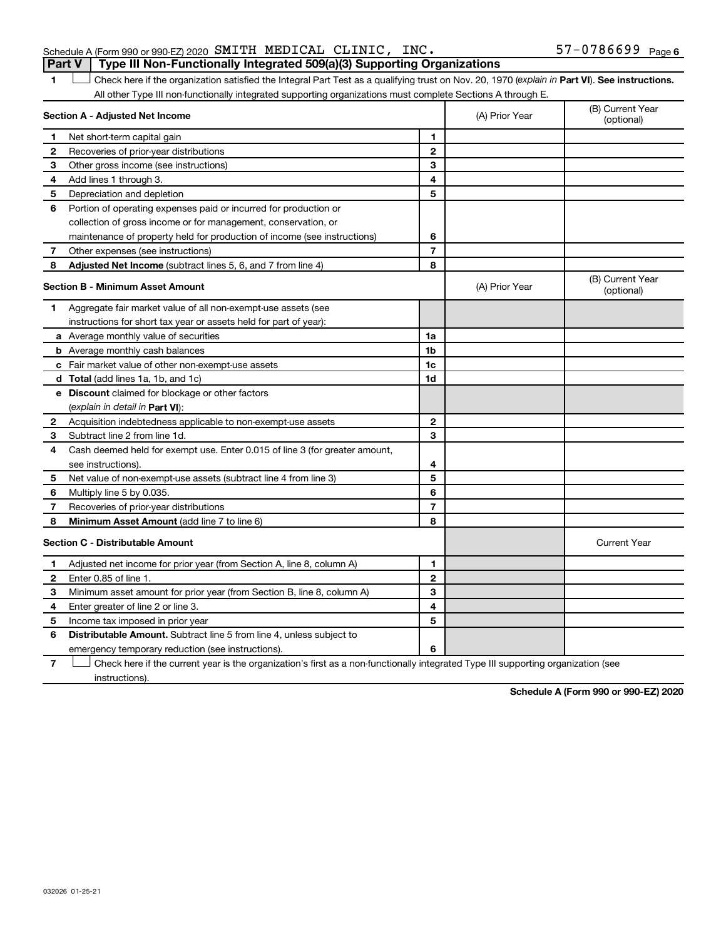| Schedule A (Form 990 or 990-EZ) 2020 $\,$ SMITH $\,$ MEDICAL $\,$ CLINIC , $\,$ INC $\,$ |  |  | 57-0786699 <sub>Page 6</sub> |  |
|------------------------------------------------------------------------------------------|--|--|------------------------------|--|
| Part V   Type III Non-Functionally Integrated 509(a)(3) Supporting Organizations         |  |  |                              |  |

1 **Letter See instructions.** Check here if the organization satisfied the Integral Part Test as a qualifying trust on Nov. 20, 1970 (*explain in* Part **VI**). See instructions. All other Type III non-functionally integrated supporting organizations must complete Sections A through E.

|              | Section A - Adjusted Net Income                                             |                          | (A) Prior Year | (B) Current Year<br>(optional) |
|--------------|-----------------------------------------------------------------------------|--------------------------|----------------|--------------------------------|
| 1            | Net short-term capital gain                                                 | 1                        |                |                                |
| $\mathbf{2}$ | Recoveries of prior-year distributions                                      | $\mathbf{2}$             |                |                                |
| З            | Other gross income (see instructions)                                       | 3                        |                |                                |
| 4            | Add lines 1 through 3.                                                      | 4                        |                |                                |
| 5            | Depreciation and depletion                                                  | 5                        |                |                                |
| 6            | Portion of operating expenses paid or incurred for production or            |                          |                |                                |
|              | collection of gross income or for management, conservation, or              |                          |                |                                |
|              | maintenance of property held for production of income (see instructions)    | 6                        |                |                                |
| 7            | Other expenses (see instructions)                                           | $\overline{7}$           |                |                                |
| 8            | Adjusted Net Income (subtract lines 5, 6, and 7 from line 4)                | 8                        |                |                                |
|              | <b>Section B - Minimum Asset Amount</b>                                     |                          | (A) Prior Year | (B) Current Year<br>(optional) |
| 1            | Aggregate fair market value of all non-exempt-use assets (see               |                          |                |                                |
|              | instructions for short tax year or assets held for part of year):           |                          |                |                                |
|              | a Average monthly value of securities                                       | 1a                       |                |                                |
|              | <b>b</b> Average monthly cash balances                                      | 1b                       |                |                                |
|              | c Fair market value of other non-exempt-use assets                          | 1c                       |                |                                |
|              | <b>d</b> Total (add lines 1a, 1b, and 1c)                                   | 1d                       |                |                                |
|              | e Discount claimed for blockage or other factors                            |                          |                |                                |
|              | (explain in detail in Part VI):                                             |                          |                |                                |
| 2            | Acquisition indebtedness applicable to non-exempt-use assets                | $\mathbf{2}$             |                |                                |
| 3            | Subtract line 2 from line 1d.                                               | 3                        |                |                                |
| 4            | Cash deemed held for exempt use. Enter 0.015 of line 3 (for greater amount, |                          |                |                                |
|              | see instructions).                                                          | 4                        |                |                                |
| 5            | Net value of non-exempt-use assets (subtract line 4 from line 3)            | 5                        |                |                                |
| 6            | Multiply line 5 by 0.035.                                                   | 6                        |                |                                |
| 7            | Recoveries of prior-year distributions                                      | $\overline{\phantom{a}}$ |                |                                |
| 8            | Minimum Asset Amount (add line 7 to line 6)                                 | 8                        |                |                                |
|              | <b>Section C - Distributable Amount</b>                                     |                          |                | <b>Current Year</b>            |
| 1            | Adjusted net income for prior year (from Section A, line 8, column A)       | 1                        |                |                                |
| $\mathbf{2}$ | Enter 0.85 of line 1.                                                       | $\mathbf{2}$             |                |                                |
| З            | Minimum asset amount for prior year (from Section B, line 8, column A)      | 3                        |                |                                |
| 4            | Enter greater of line 2 or line 3.                                          | 4                        |                |                                |
| 5            | Income tax imposed in prior year                                            | 5                        |                |                                |
| 6            | <b>Distributable Amount.</b> Subtract line 5 from line 4, unless subject to |                          |                |                                |
|              | emergency temporary reduction (see instructions).                           | 6                        |                |                                |

**7** Check here if the current year is the organization's first as a non-functionally integrated Type III supporting organization (see † instructions).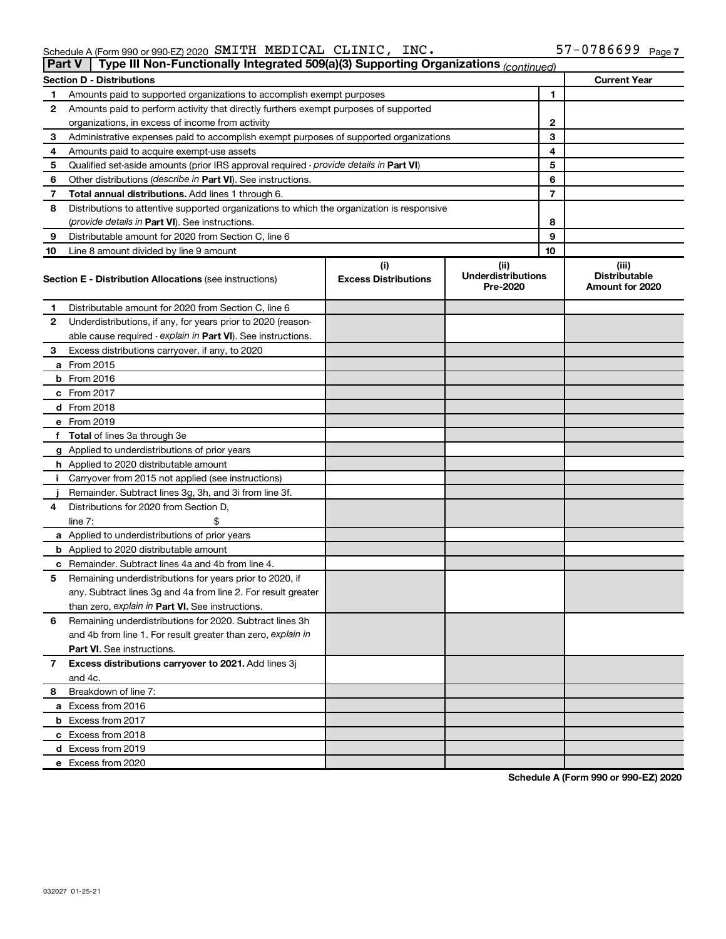| Schedule A (Form 990 or 990-EZ) 2020 $\,$ SMITH $\,$ MEDICAL $\,$ CLINIC , $\,$ INC $\,$ |  |  |  |  | $57 - 0786699$ Page 7 |  |
|------------------------------------------------------------------------------------------|--|--|--|--|-----------------------|--|
|------------------------------------------------------------------------------------------|--|--|--|--|-----------------------|--|

| <b>Part V</b> | Type III Non-Functionally Integrated 509(a)(3) Supporting Organizations (continued)        |                             |                                       |                                         |
|---------------|--------------------------------------------------------------------------------------------|-----------------------------|---------------------------------------|-----------------------------------------|
|               | <b>Section D - Distributions</b>                                                           |                             |                                       | <b>Current Year</b>                     |
| 1             | Amounts paid to supported organizations to accomplish exempt purposes                      |                             | 1                                     |                                         |
| 2             | Amounts paid to perform activity that directly furthers exempt purposes of supported       |                             |                                       |                                         |
|               | organizations, in excess of income from activity                                           |                             |                                       | 2                                       |
| 3             | Administrative expenses paid to accomplish exempt purposes of supported organizations      | 3                           |                                       |                                         |
| 4             | Amounts paid to acquire exempt-use assets                                                  |                             | 4                                     |                                         |
| 5             | Qualified set-aside amounts (prior IRS approval required - provide details in Part VI)     |                             | 5                                     |                                         |
| 6             | Other distributions ( <i>describe in Part VI</i> ). See instructions.                      |                             | 6                                     |                                         |
| 7             | Total annual distributions. Add lines 1 through 6.                                         |                             | 7                                     |                                         |
| 8             | Distributions to attentive supported organizations to which the organization is responsive |                             |                                       |                                         |
|               | ( <i>provide details in Part VI</i> ). See instructions.                                   |                             | 8                                     |                                         |
| 9             | Distributable amount for 2020 from Section C, line 6                                       |                             | 9                                     |                                         |
| 10            | Line 8 amount divided by line 9 amount                                                     |                             | 10                                    |                                         |
|               |                                                                                            | (i)                         | (ii)                                  | (iii)                                   |
|               | <b>Section E - Distribution Allocations (see instructions)</b>                             | <b>Excess Distributions</b> | <b>Underdistributions</b><br>Pre-2020 | <b>Distributable</b><br>Amount for 2020 |
| 1.            | Distributable amount for 2020 from Section C, line 6                                       |                             |                                       |                                         |
| 2             | Underdistributions, if any, for years prior to 2020 (reason-                               |                             |                                       |                                         |
|               | able cause required - explain in Part VI). See instructions.                               |                             |                                       |                                         |
| 3             | Excess distributions carryover, if any, to 2020                                            |                             |                                       |                                         |
|               | a From 2015                                                                                |                             |                                       |                                         |
|               | $b$ From 2016                                                                              |                             |                                       |                                         |
|               | c From 2017                                                                                |                             |                                       |                                         |
|               | d From 2018                                                                                |                             |                                       |                                         |
|               | e From 2019                                                                                |                             |                                       |                                         |
|               | f Total of lines 3a through 3e                                                             |                             |                                       |                                         |
|               | g Applied to underdistributions of prior years                                             |                             |                                       |                                         |
|               | <b>h</b> Applied to 2020 distributable amount                                              |                             |                                       |                                         |
| Ť.            | Carryover from 2015 not applied (see instructions)                                         |                             |                                       |                                         |
|               | Remainder. Subtract lines 3g, 3h, and 3i from line 3f.                                     |                             |                                       |                                         |
| 4             | Distributions for 2020 from Section D,                                                     |                             |                                       |                                         |
|               | line $7:$                                                                                  |                             |                                       |                                         |
|               | a Applied to underdistributions of prior years                                             |                             |                                       |                                         |
|               | <b>b</b> Applied to 2020 distributable amount                                              |                             |                                       |                                         |
| с             | Remainder. Subtract lines 4a and 4b from line 4.                                           |                             |                                       |                                         |
| 5             | Remaining underdistributions for years prior to 2020, if                                   |                             |                                       |                                         |
|               | any. Subtract lines 3g and 4a from line 2. For result greater                              |                             |                                       |                                         |
|               | than zero, explain in Part VI. See instructions.                                           |                             |                                       |                                         |
| 6             | Remaining underdistributions for 2020. Subtract lines 3h                                   |                             |                                       |                                         |
|               | and 4b from line 1. For result greater than zero, explain in                               |                             |                                       |                                         |
|               | <b>Part VI.</b> See instructions.                                                          |                             |                                       |                                         |
| 7             | Excess distributions carryover to 2021. Add lines 3j                                       |                             |                                       |                                         |
|               | and 4c.                                                                                    |                             |                                       |                                         |
| 8             | Breakdown of line 7:                                                                       |                             |                                       |                                         |
|               | a Excess from 2016                                                                         |                             |                                       |                                         |
|               | <b>b</b> Excess from 2017                                                                  |                             |                                       |                                         |
|               |                                                                                            |                             |                                       |                                         |
|               | c Excess from 2018                                                                         |                             |                                       |                                         |
|               | d Excess from 2019                                                                         |                             |                                       |                                         |
|               | e Excess from 2020                                                                         |                             |                                       |                                         |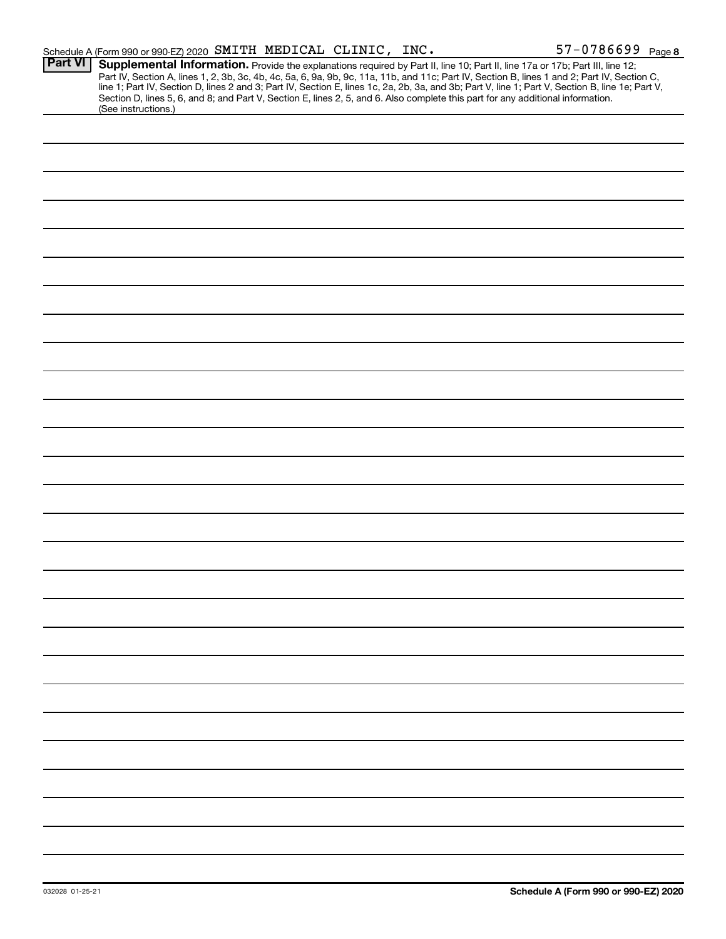|                | Schedule A (Form 990 or 990-EZ) 2020 SMITH MEDICAL CLINIC, INC.                                                                                                                                                                                                                                                                                                                                                                                                                                                                                                                             |  | 57-0786699 Page 8 |
|----------------|---------------------------------------------------------------------------------------------------------------------------------------------------------------------------------------------------------------------------------------------------------------------------------------------------------------------------------------------------------------------------------------------------------------------------------------------------------------------------------------------------------------------------------------------------------------------------------------------|--|-------------------|
| <b>Part VI</b> | Supplemental Information. Provide the explanations required by Part II, line 10; Part II, line 17a or 17b; Part III, line 12;<br>Part IV, Section A, lines 1, 2, 3b, 3c, 4b, 4c, 5a, 6, 9a, 9b, 9c, 11a, 11b, and 11c; Part IV, Section B, lines 1 and 2; Part IV, Section C,<br>line 1; Part IV, Section D, lines 2 and 3; Part IV, Section E, lines 1c, 2a, 2b, 3a, and 3b; Part V, line 1; Part V, Section B, line 1e; Part V,<br>Section D, lines 5, 6, and 8; and Part V, Section E, lines 2, 5, and 6. Also complete this part for any additional information.<br>(See instructions.) |  |                   |
|                |                                                                                                                                                                                                                                                                                                                                                                                                                                                                                                                                                                                             |  |                   |
|                |                                                                                                                                                                                                                                                                                                                                                                                                                                                                                                                                                                                             |  |                   |
|                |                                                                                                                                                                                                                                                                                                                                                                                                                                                                                                                                                                                             |  |                   |
|                |                                                                                                                                                                                                                                                                                                                                                                                                                                                                                                                                                                                             |  |                   |
|                |                                                                                                                                                                                                                                                                                                                                                                                                                                                                                                                                                                                             |  |                   |
|                |                                                                                                                                                                                                                                                                                                                                                                                                                                                                                                                                                                                             |  |                   |
|                |                                                                                                                                                                                                                                                                                                                                                                                                                                                                                                                                                                                             |  |                   |
|                |                                                                                                                                                                                                                                                                                                                                                                                                                                                                                                                                                                                             |  |                   |
|                |                                                                                                                                                                                                                                                                                                                                                                                                                                                                                                                                                                                             |  |                   |
|                |                                                                                                                                                                                                                                                                                                                                                                                                                                                                                                                                                                                             |  |                   |
|                |                                                                                                                                                                                                                                                                                                                                                                                                                                                                                                                                                                                             |  |                   |
|                |                                                                                                                                                                                                                                                                                                                                                                                                                                                                                                                                                                                             |  |                   |
|                |                                                                                                                                                                                                                                                                                                                                                                                                                                                                                                                                                                                             |  |                   |
|                |                                                                                                                                                                                                                                                                                                                                                                                                                                                                                                                                                                                             |  |                   |
|                |                                                                                                                                                                                                                                                                                                                                                                                                                                                                                                                                                                                             |  |                   |
|                |                                                                                                                                                                                                                                                                                                                                                                                                                                                                                                                                                                                             |  |                   |
|                |                                                                                                                                                                                                                                                                                                                                                                                                                                                                                                                                                                                             |  |                   |
|                |                                                                                                                                                                                                                                                                                                                                                                                                                                                                                                                                                                                             |  |                   |
|                |                                                                                                                                                                                                                                                                                                                                                                                                                                                                                                                                                                                             |  |                   |
|                |                                                                                                                                                                                                                                                                                                                                                                                                                                                                                                                                                                                             |  |                   |
|                |                                                                                                                                                                                                                                                                                                                                                                                                                                                                                                                                                                                             |  |                   |
|                |                                                                                                                                                                                                                                                                                                                                                                                                                                                                                                                                                                                             |  |                   |
|                |                                                                                                                                                                                                                                                                                                                                                                                                                                                                                                                                                                                             |  |                   |
|                |                                                                                                                                                                                                                                                                                                                                                                                                                                                                                                                                                                                             |  |                   |
|                |                                                                                                                                                                                                                                                                                                                                                                                                                                                                                                                                                                                             |  |                   |
|                |                                                                                                                                                                                                                                                                                                                                                                                                                                                                                                                                                                                             |  |                   |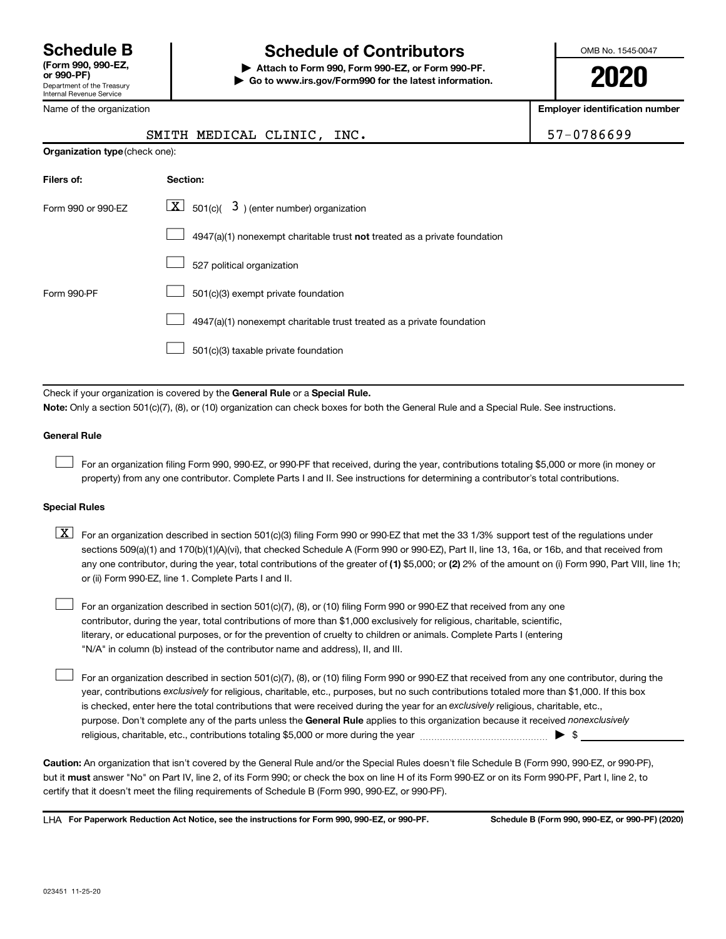Name of the organization

# **Schedule B Schedule of Contributors**

**or 990-PF) | Attach to Form 990, Form 990-EZ, or Form 990-PF. | Go to www.irs.gov/Form990 for the latest information.** OMB No. 1545-0047

**2020**

**Employer identification number**

|                                | SMITH MEDICAL CLINIC, INC.                                                                                                                                                                                                                                                                                                                                                                                                                       | 57-0786699 |
|--------------------------------|--------------------------------------------------------------------------------------------------------------------------------------------------------------------------------------------------------------------------------------------------------------------------------------------------------------------------------------------------------------------------------------------------------------------------------------------------|------------|
| Organization type (check one): |                                                                                                                                                                                                                                                                                                                                                                                                                                                  |            |
| Filers of:                     | Section:                                                                                                                                                                                                                                                                                                                                                                                                                                         |            |
| Form 990 or 990-EZ             | $\lfloor x \rfloor$ 501(c)( 3) (enter number) organization                                                                                                                                                                                                                                                                                                                                                                                       |            |
|                                | 4947(a)(1) nonexempt charitable trust not treated as a private foundation                                                                                                                                                                                                                                                                                                                                                                        |            |
|                                | 527 political organization                                                                                                                                                                                                                                                                                                                                                                                                                       |            |
| Form 990-PF                    | 501(c)(3) exempt private foundation                                                                                                                                                                                                                                                                                                                                                                                                              |            |
|                                | 4947(a)(1) nonexempt charitable trust treated as a private foundation                                                                                                                                                                                                                                                                                                                                                                            |            |
|                                | 501(c)(3) taxable private foundation                                                                                                                                                                                                                                                                                                                                                                                                             |            |
|                                | Check if your organization is covered by the General Rule or a Special Rule.                                                                                                                                                                                                                                                                                                                                                                     |            |
|                                | Note: Only a section 501(c)(7), (8), or (10) organization can check boxes for both the General Rule and a Special Rule. See instructions.                                                                                                                                                                                                                                                                                                        |            |
| <b>General Rule</b>            |                                                                                                                                                                                                                                                                                                                                                                                                                                                  |            |
|                                | For an organization filing Form 990, 990-EZ, or 990-PF that received, during the year, contributions totaling \$5,000 or more (in money or<br>property) from any one contributor. Complete Parts I and II. See instructions for determining a contributor's total contributions.                                                                                                                                                                 |            |
| <b>Special Rules</b>           |                                                                                                                                                                                                                                                                                                                                                                                                                                                  |            |
| $\lfloor \texttt{X} \rfloor$   | For an organization described in section 501(c)(3) filing Form 990 or 990-EZ that met the 33 1/3% support test of the regulations under<br>sections 509(a)(1) and 170(b)(1)(A)(vi), that checked Schedule A (Form 990 or 990-EZ), Part II, line 13, 16a, or 16b, and that received from<br>any one contributor, during the year, total contributions of the greater of (1) \$5,000; or (2) 2% of the amount on (i) Form 990, Part VIII, line 1h; |            |

For an organization described in section 501(c)(7), (8), or (10) filing Form 990 or 990-EZ that received from any one contributor, during the year, total contributions of more than \$1,000 exclusively for religious, charitable, scientific, literary, or educational purposes, or for the prevention of cruelty to children or animals. Complete Parts I (entering "N/A" in column (b) instead of the contributor name and address), II, and III.  $\Box$ 

purpose. Don't complete any of the parts unless the General Rule applies to this organization because it received nonexclusively year, contributions exclusively for religious, charitable, etc., purposes, but no such contributions totaled more than \$1,000. If this box is checked, enter here the total contributions that were received during the year for an exclusively religious, charitable, etc., For an organization described in section 501(c)(7), (8), or (10) filing Form 990 or 990-EZ that received from any one contributor, during the religious, charitable, etc., contributions totaling \$5,000 or more during the year  $~\ldots\ldots\ldots\ldots\ldots\ldots\ldots\ldots\ldots\blacktriangleright~$ \$

**Caution:**  An organization that isn't covered by the General Rule and/or the Special Rules doesn't file Schedule B (Form 990, 990-EZ, or 990-PF),  **must** but it answer "No" on Part IV, line 2, of its Form 990; or check the box on line H of its Form 990-EZ or on its Form 990-PF, Part I, line 2, to certify that it doesn't meet the filing requirements of Schedule B (Form 990, 990-EZ, or 990-PF).

**For Paperwork Reduction Act Notice, see the instructions for Form 990, 990-EZ, or 990-PF. Schedule B (Form 990, 990-EZ, or 990-PF) (2020)** LHA

or (ii) Form 990-EZ, line 1. Complete Parts I and II.

 $\Box$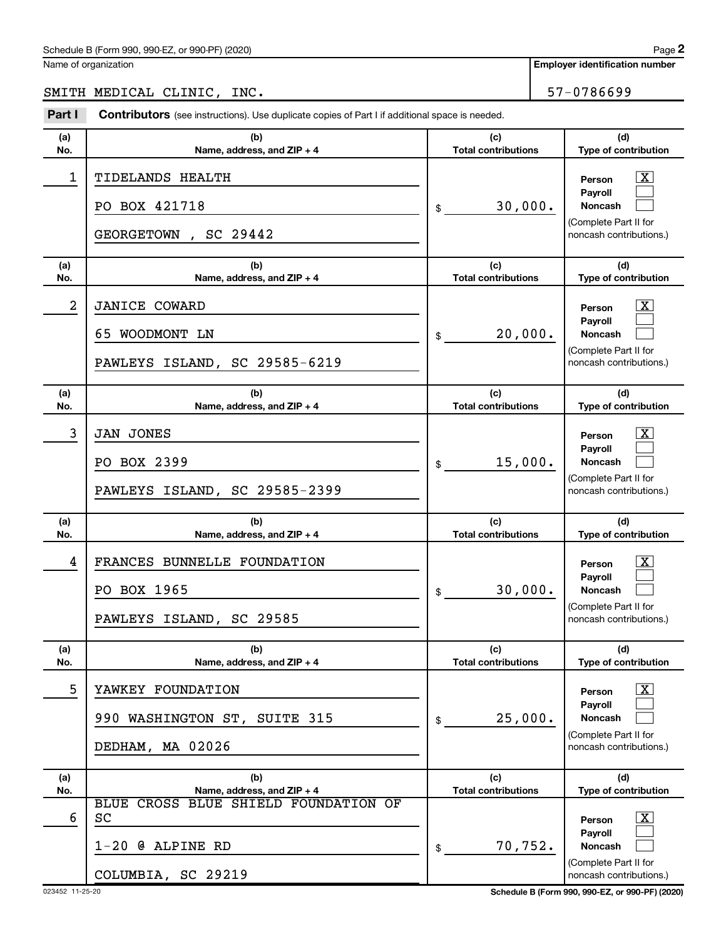#### Schedule B (Form 990, 990-EZ, or 990-PF) (2020)

Name of organization

**Employer identification number**

SMITH MEDICAL CLINIC, INC. | 57-0786699

| Part I     | <b>Contributors</b> (see instructions). Use duplicate copies of Part I if additional space is needed. |                                   |                                                                                                  |
|------------|-------------------------------------------------------------------------------------------------------|-----------------------------------|--------------------------------------------------------------------------------------------------|
| (a)<br>No. | (b)<br>Name, address, and ZIP + 4                                                                     | (c)<br><b>Total contributions</b> | (d)<br>Type of contribution                                                                      |
| 1          | TIDELANDS HEALTH<br>PO BOX 421718<br>, SC 29442<br><b>GEORGETOWN</b>                                  | 30,000.<br>\$                     | $\mathbf{X}$<br>Person<br>Payroll<br>Noncash<br>(Complete Part II for<br>noncash contributions.) |
| (a)<br>No. | (b)<br>Name, address, and ZIP + 4                                                                     | (c)<br><b>Total contributions</b> | (d)<br>Type of contribution                                                                      |
| 2          | <b>JANICE COWARD</b><br>65 WOODMONT LN<br>PAWLEYS ISLAND, SC 29585-6219                               | 20,000.<br>\$                     | $\mathbf{X}$<br>Person<br>Payroll<br>Noncash<br>(Complete Part II for<br>noncash contributions.) |
| (a)<br>No. | (b)<br>Name, address, and ZIP + 4                                                                     | (c)<br><b>Total contributions</b> | (d)<br>Type of contribution                                                                      |
| 3          | <b>JAN JONES</b><br>PO BOX 2399<br>PAWLEYS ISLAND, SC 29585-2399                                      | 15,000.<br>\$                     | $\mathbf{X}$<br>Person<br>Payroll<br>Noncash<br>(Complete Part II for<br>noncash contributions.) |
| (a)<br>No. | (b)<br>Name, address, and ZIP + 4                                                                     | (c)<br><b>Total contributions</b> | (d)<br>Type of contribution                                                                      |
| 4          | FRANCES BUNNELLE FOUNDATION<br>PO BOX 1965<br>PAWLEYS ISLAND, SC 29585                                | 30,000.<br>\$                     | X <br>Person<br>Pavroll<br><b>Noncash</b><br>(Complete Part II for<br>noncash contributions.)    |
| (a)<br>No. | (b)<br>Name, address, and ZIP + 4                                                                     | (c)<br><b>Total contributions</b> | (d)<br>Type of contribution                                                                      |
| 5          | YAWKEY FOUNDATION<br>990 WASHINGTON ST, SUITE 315<br>DEDHAM, MA 02026                                 | 25,000.<br>\$                     | x<br>Person<br>Pavroll<br><b>Noncash</b><br>(Complete Part II for<br>noncash contributions.)     |
| (a)<br>No. | (b)<br>Name, address, and ZIP + 4                                                                     | (c)<br><b>Total contributions</b> | (d)<br>Type of contribution                                                                      |
| 6          | BLUE CROSS BLUE SHIELD FOUNDATION OF<br>SC<br>$1-20$ @ ALPINE RD<br>COLUMBIA, SC 29219                | 70,752.<br>\$                     | х<br>Person<br>Payroll<br><b>Noncash</b><br>(Complete Part II for<br>noncash contributions.)     |

023452 11-25-20 **Schedule B (Form 990, 990-EZ, or 990-PF) (2020)**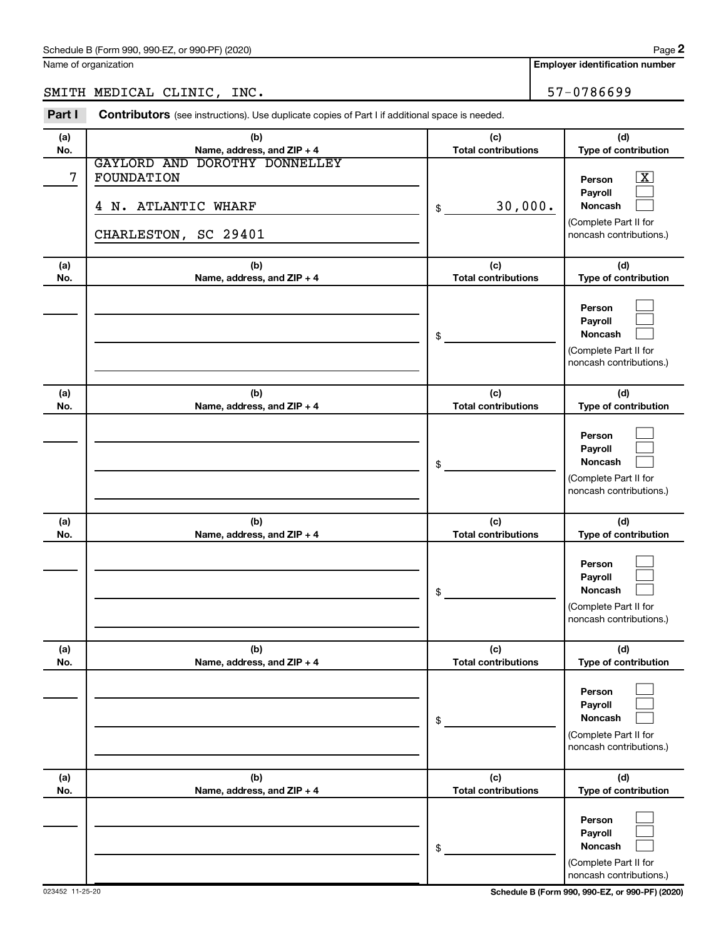Name of organization

SMITH MEDICAL CLINIC, INC. 57-0786699

| Part I     | <b>Contributors</b> (see instructions). Use duplicate copies of Part I if additional space is needed. |                                   |                                                                                                             |
|------------|-------------------------------------------------------------------------------------------------------|-----------------------------------|-------------------------------------------------------------------------------------------------------------|
| (a)<br>No. | (b)<br>Name, address, and ZIP + 4                                                                     | (c)<br><b>Total contributions</b> | (d)<br>Type of contribution                                                                                 |
| 7          | GAYLORD AND DOROTHY DONNELLEY<br>FOUNDATION<br>4 N. ATLANTIC WHARF<br>CHARLESTON, SC 29401            | 30,000.<br>\$                     | $\overline{\mathbf{X}}$<br>Person<br>Payroll<br>Noncash<br>(Complete Part II for<br>noncash contributions.) |
| (a)<br>No. | (b)<br>Name, address, and ZIP + 4                                                                     | (c)<br><b>Total contributions</b> | (d)<br>Type of contribution                                                                                 |
|            |                                                                                                       | \$                                | Person<br>Payroll<br>Noncash<br>(Complete Part II for<br>noncash contributions.)                            |
| (a)<br>No. | (b)<br>Name, address, and ZIP + 4                                                                     | (c)<br><b>Total contributions</b> | (d)<br>Type of contribution                                                                                 |
|            |                                                                                                       | \$                                | Person<br>Payroll<br>Noncash<br>(Complete Part II for<br>noncash contributions.)                            |
| (a)<br>No. | (b)<br>Name, address, and ZIP + 4                                                                     | (c)<br><b>Total contributions</b> | (d)<br>Type of contribution                                                                                 |
|            |                                                                                                       | \$                                | Person<br>Payroll<br><b>Noncash</b><br>(Complete Part II for<br>noncash contributions.)                     |
| (a)<br>No. | (b)<br>Name, address, and ZIP + 4                                                                     | (c)<br><b>Total contributions</b> | (d)<br>Type of contribution                                                                                 |
|            |                                                                                                       | \$                                | Person<br>Payroll<br>Noncash<br>(Complete Part II for<br>noncash contributions.)                            |
| (a)<br>No. | (b)<br>Name, address, and ZIP + 4                                                                     | (c)<br><b>Total contributions</b> | (d)<br>Type of contribution                                                                                 |
|            |                                                                                                       | \$                                | Person<br>Payroll<br>Noncash<br>(Complete Part II for<br>noncash contributions.)                            |

023452 11-25-20 **Schedule B (Form 990, 990-EZ, or 990-PF) (2020)**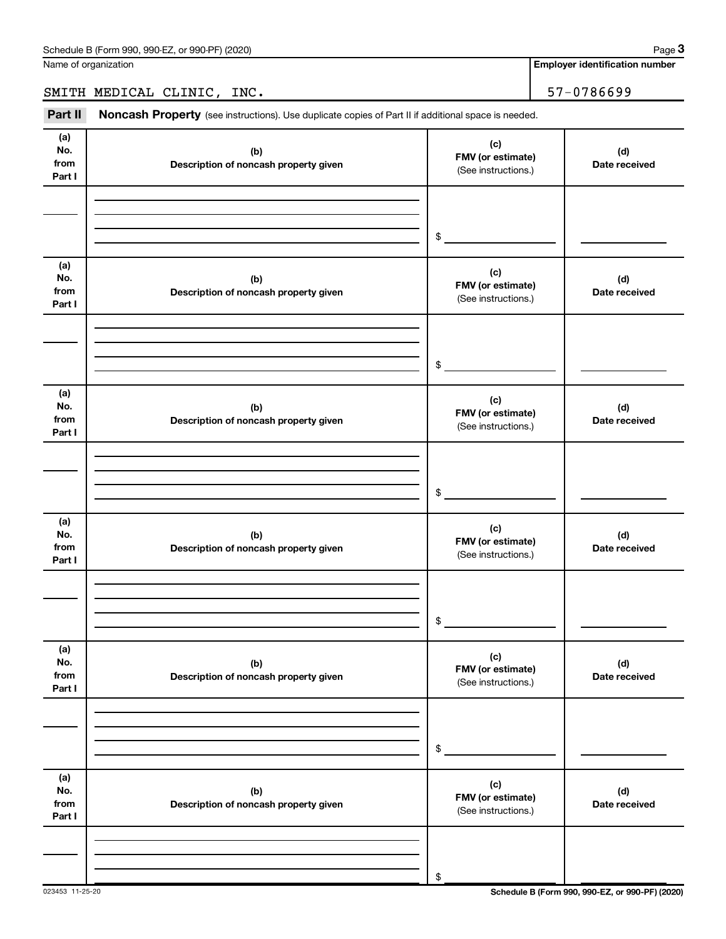Name of organization

**Employer identification number**

SMITH MEDICAL CLINIC, INC. 57-0786699

Part II Noncash Property (see instructions). Use duplicate copies of Part II if additional space is needed.

| (a)<br>No.<br>from<br>Part I | (b)<br>Description of noncash property given | (c)<br>FMV (or estimate)<br>(See instructions.) | (d)<br>Date received |
|------------------------------|----------------------------------------------|-------------------------------------------------|----------------------|
|                              |                                              |                                                 |                      |
|                              |                                              | \$                                              |                      |
| (a)<br>No.<br>from<br>Part I | (b)<br>Description of noncash property given | (c)<br>FMV (or estimate)<br>(See instructions.) | (d)<br>Date received |
|                              |                                              |                                                 |                      |
|                              |                                              | \$                                              |                      |
| (a)<br>No.<br>from<br>Part I | (b)<br>Description of noncash property given | (c)<br>FMV (or estimate)<br>(See instructions.) | (d)<br>Date received |
|                              |                                              |                                                 |                      |
|                              |                                              | \$                                              |                      |
| (a)<br>No.<br>from<br>Part I | (b)<br>Description of noncash property given | (c)<br>FMV (or estimate)<br>(See instructions.) | (d)<br>Date received |
|                              |                                              |                                                 |                      |
|                              |                                              | \$                                              |                      |
| (a)<br>No.<br>from<br>Part I | (b)<br>Description of noncash property given | (c)<br>FMV (or estimate)<br>(See instructions.) | (d)<br>Date received |
|                              |                                              |                                                 |                      |
|                              |                                              | \$                                              |                      |
| (a)<br>No.<br>from<br>Part I | (b)<br>Description of noncash property given | (c)<br>FMV (or estimate)<br>(See instructions.) | (d)<br>Date received |
|                              |                                              |                                                 |                      |
|                              |                                              | \$                                              |                      |

023453 11-25-20 **Schedule B (Form 990, 990-EZ, or 990-PF) (2020)**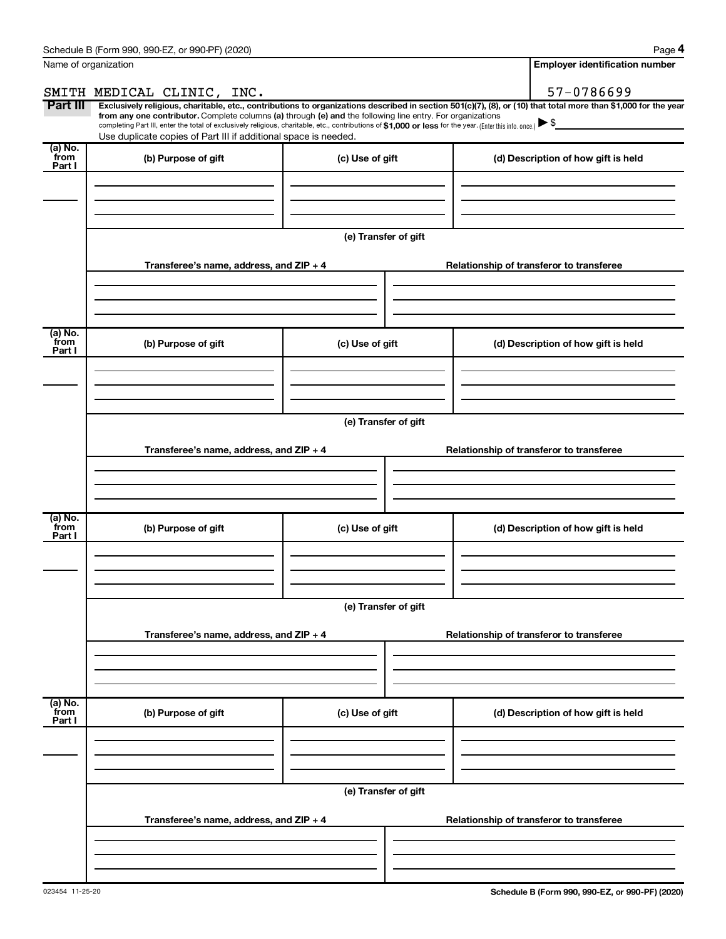| Name of organization      |                                                                                                                                                                                                                                                                                                                                           |                      | <b>Employer identification number</b>                                                                                                                          |
|---------------------------|-------------------------------------------------------------------------------------------------------------------------------------------------------------------------------------------------------------------------------------------------------------------------------------------------------------------------------------------|----------------------|----------------------------------------------------------------------------------------------------------------------------------------------------------------|
|                           | SMITH MEDICAL CLINIC, INC.                                                                                                                                                                                                                                                                                                                |                      | 57-0786699                                                                                                                                                     |
| Part III                  | from any one contributor. Complete columns (a) through (e) and the following line entry. For organizations<br>completing Part III, enter the total of exclusively religious, charitable, etc., contributions of \$1,000 or less for the year. (Enter this info. once.)<br>Use duplicate copies of Part III if additional space is needed. |                      | Exclusively religious, charitable, etc., contributions to organizations described in section 501(c)(7), (8), or (10) that total more than \$1,000 for the year |
| (a) No.<br>from<br>Part I | (b) Purpose of gift                                                                                                                                                                                                                                                                                                                       | (c) Use of gift      | (d) Description of how gift is held                                                                                                                            |
|                           |                                                                                                                                                                                                                                                                                                                                           | (e) Transfer of gift |                                                                                                                                                                |
|                           | Transferee's name, address, and ZIP + 4                                                                                                                                                                                                                                                                                                   |                      | Relationship of transferor to transferee                                                                                                                       |
| (a) No.<br>from<br>Part I | (b) Purpose of gift                                                                                                                                                                                                                                                                                                                       | (c) Use of gift      | (d) Description of how gift is held                                                                                                                            |
|                           | Transferee's name, address, and ZIP + 4                                                                                                                                                                                                                                                                                                   | (e) Transfer of gift | Relationship of transferor to transferee                                                                                                                       |
|                           |                                                                                                                                                                                                                                                                                                                                           |                      |                                                                                                                                                                |
| (a) No.<br>from<br>Part I | (b) Purpose of gift                                                                                                                                                                                                                                                                                                                       | (c) Use of gift      | (d) Description of how gift is held                                                                                                                            |
|                           |                                                                                                                                                                                                                                                                                                                                           | (e) Transfer of gift |                                                                                                                                                                |
|                           | Transferee's name, address, and ZIP + 4                                                                                                                                                                                                                                                                                                   |                      | Relationship of transferor to transferee                                                                                                                       |
| (a) No.<br>from<br>Part I | (b) Purpose of gift                                                                                                                                                                                                                                                                                                                       | (c) Use of gift      | (d) Description of how gift is held                                                                                                                            |
|                           |                                                                                                                                                                                                                                                                                                                                           | (e) Transfer of gift |                                                                                                                                                                |
|                           | Transferee's name, address, and ZIP + 4                                                                                                                                                                                                                                                                                                   |                      | Relationship of transferor to transferee                                                                                                                       |
|                           |                                                                                                                                                                                                                                                                                                                                           |                      |                                                                                                                                                                |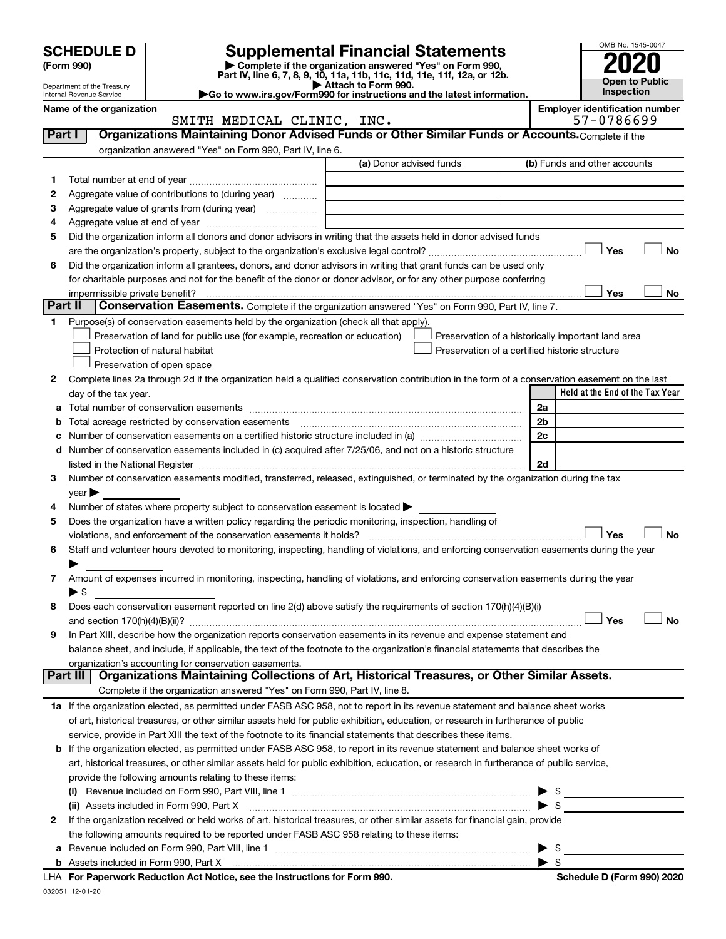|              |                                                      |                                                                                                                                                                                  |                                           |                                                    |                          |                                                     | OMB No. 1545-0047     |
|--------------|------------------------------------------------------|----------------------------------------------------------------------------------------------------------------------------------------------------------------------------------|-------------------------------------------|----------------------------------------------------|--------------------------|-----------------------------------------------------|-----------------------|
|              | <b>SCHEDULE D</b><br>(Form 990)                      | <b>Supplemental Financial Statements</b><br>Complete if the organization answered "Yes" on Form 990,<br>Part IV, line 6, 7, 8, 9, 10, 11a, 11b, 11c, 11d, 11e, 11f, 12a, or 12b. |                                           |                                                    |                          |                                                     |                       |
|              | Department of the Treasury                           | Go to www.irs.gov/Form990 for instructions and the latest information.                                                                                                           | $\blacktriangleright$ Attach to Form 990. |                                                    |                          | Inspection                                          | <b>Open to Public</b> |
|              | Internal Revenue Service<br>Name of the organization |                                                                                                                                                                                  |                                           |                                                    |                          | <b>Employer identification number</b><br>57-0786699 |                       |
| Part I       |                                                      | SMITH MEDICAL CLINIC, INC.<br>Organizations Maintaining Donor Advised Funds or Other Similar Funds or Accounts. Complete if the                                                  |                                           |                                                    |                          |                                                     |                       |
|              |                                                      | organization answered "Yes" on Form 990, Part IV, line 6.                                                                                                                        |                                           |                                                    |                          |                                                     |                       |
|              |                                                      |                                                                                                                                                                                  | (a) Donor advised funds                   |                                                    |                          | (b) Funds and other accounts                        |                       |
| 1.           |                                                      |                                                                                                                                                                                  |                                           |                                                    |                          |                                                     |                       |
| 2            |                                                      | Aggregate value of contributions to (during year)                                                                                                                                |                                           |                                                    |                          |                                                     |                       |
| з            |                                                      | Aggregate value of grants from (during year)                                                                                                                                     |                                           |                                                    |                          |                                                     |                       |
| 4            |                                                      |                                                                                                                                                                                  |                                           |                                                    |                          |                                                     |                       |
| 5            |                                                      | Did the organization inform all donors and donor advisors in writing that the assets held in donor advised funds                                                                 |                                           |                                                    |                          |                                                     |                       |
|              |                                                      |                                                                                                                                                                                  |                                           |                                                    |                          | Yes                                                 | No                    |
| 6            |                                                      | Did the organization inform all grantees, donors, and donor advisors in writing that grant funds can be used only                                                                |                                           |                                                    |                          |                                                     |                       |
|              |                                                      | for charitable purposes and not for the benefit of the donor or donor advisor, or for any other purpose conferring                                                               |                                           |                                                    |                          |                                                     |                       |
|              | impermissible private benefit?                       |                                                                                                                                                                                  |                                           |                                                    |                          | Yes                                                 | No                    |
|              | Part II                                              | Conservation Easements. Complete if the organization answered "Yes" on Form 990, Part IV, line 7.                                                                                |                                           |                                                    |                          |                                                     |                       |
| 1.           |                                                      | Purpose(s) of conservation easements held by the organization (check all that apply).                                                                                            |                                           |                                                    |                          |                                                     |                       |
|              |                                                      | Preservation of land for public use (for example, recreation or education)                                                                                                       |                                           | Preservation of a historically important land area |                          |                                                     |                       |
|              |                                                      | Protection of natural habitat                                                                                                                                                    |                                           | Preservation of a certified historic structure     |                          |                                                     |                       |
| 2            |                                                      | Preservation of open space                                                                                                                                                       |                                           |                                                    |                          |                                                     |                       |
|              | day of the tax year.                                 | Complete lines 2a through 2d if the organization held a qualified conservation contribution in the form of a conservation easement on the last                                   |                                           |                                                    |                          | Held at the End of the Tax Year                     |                       |
| а            |                                                      |                                                                                                                                                                                  |                                           |                                                    | 2a                       |                                                     |                       |
| b            |                                                      |                                                                                                                                                                                  |                                           |                                                    | 2b                       |                                                     |                       |
| с            |                                                      |                                                                                                                                                                                  |                                           |                                                    | 2c                       |                                                     |                       |
| d            |                                                      | Number of conservation easements included in (c) acquired after 7/25/06, and not on a historic structure                                                                         |                                           |                                                    |                          |                                                     |                       |
|              |                                                      |                                                                                                                                                                                  |                                           |                                                    | 2d                       |                                                     |                       |
| З            |                                                      | Number of conservation easements modified, transferred, released, extinguished, or terminated by the organization during the tax                                                 |                                           |                                                    |                          |                                                     |                       |
|              | $\mathsf{year}$                                      |                                                                                                                                                                                  |                                           |                                                    |                          |                                                     |                       |
| 4            |                                                      | Number of states where property subject to conservation easement is located >                                                                                                    |                                           |                                                    |                          |                                                     |                       |
| 5            |                                                      | Does the organization have a written policy regarding the periodic monitoring, inspection, handling of                                                                           |                                           |                                                    |                          |                                                     |                       |
|              |                                                      |                                                                                                                                                                                  |                                           |                                                    |                          | Yes                                                 | <b>No</b>             |
|              |                                                      | Staff and volunteer hours devoted to monitoring, inspecting, handling of violations, and enforcing conservation easements during the year                                        |                                           |                                                    |                          |                                                     |                       |
|              |                                                      |                                                                                                                                                                                  |                                           |                                                    |                          |                                                     |                       |
| 7            |                                                      | Amount of expenses incurred in monitoring, inspecting, handling of violations, and enforcing conservation easements during the year                                              |                                           |                                                    |                          |                                                     |                       |
|              | $\blacktriangleright$ \$                             |                                                                                                                                                                                  |                                           |                                                    |                          |                                                     |                       |
| 8            |                                                      | Does each conservation easement reported on line 2(d) above satisfy the requirements of section 170(h)(4)(B)(i)                                                                  |                                           |                                                    |                          | Yes                                                 | <b>No</b>             |
| 9            |                                                      | In Part XIII, describe how the organization reports conservation easements in its revenue and expense statement and                                                              |                                           |                                                    |                          |                                                     |                       |
|              |                                                      | balance sheet, and include, if applicable, the text of the footnote to the organization's financial statements that describes the                                                |                                           |                                                    |                          |                                                     |                       |
|              |                                                      | organization's accounting for conservation easements.                                                                                                                            |                                           |                                                    |                          |                                                     |                       |
|              | Part III                                             | Organizations Maintaining Collections of Art, Historical Treasures, or Other Similar Assets.                                                                                     |                                           |                                                    |                          |                                                     |                       |
|              |                                                      | Complete if the organization answered "Yes" on Form 990, Part IV, line 8.                                                                                                        |                                           |                                                    |                          |                                                     |                       |
|              |                                                      | 1a If the organization elected, as permitted under FASB ASC 958, not to report in its revenue statement and balance sheet works                                                  |                                           |                                                    |                          |                                                     |                       |
|              |                                                      | of art, historical treasures, or other similar assets held for public exhibition, education, or research in furtherance of public                                                |                                           |                                                    |                          |                                                     |                       |
|              |                                                      | service, provide in Part XIII the text of the footnote to its financial statements that describes these items.                                                                   |                                           |                                                    |                          |                                                     |                       |
|              |                                                      | <b>b</b> If the organization elected, as permitted under FASB ASC 958, to report in its revenue statement and balance sheet works of                                             |                                           |                                                    |                          |                                                     |                       |
|              |                                                      | art, historical treasures, or other similar assets held for public exhibition, education, or research in furtherance of public service,                                          |                                           |                                                    |                          |                                                     |                       |
|              |                                                      | provide the following amounts relating to these items:                                                                                                                           |                                           |                                                    |                          |                                                     |                       |
|              |                                                      |                                                                                                                                                                                  |                                           |                                                    |                          | \$                                                  |                       |
|              |                                                      | (ii) Assets included in Form 990, Part X                                                                                                                                         |                                           |                                                    |                          | \$                                                  |                       |
| $\mathbf{2}$ |                                                      | If the organization received or held works of art, historical treasures, or other similar assets for financial gain, provide                                                     |                                           |                                                    |                          |                                                     |                       |
|              |                                                      | the following amounts required to be reported under FASB ASC 958 relating to these items:<br>a Revenue included on Form 990, Part VIII, line 1                                   |                                           |                                                    | $\blacktriangleright$ \$ |                                                     |                       |
|              |                                                      |                                                                                                                                                                                  |                                           |                                                    |                          |                                                     |                       |

|       | -990<br>` Part ∧<br>⊢orn                                                            |        |
|-------|-------------------------------------------------------------------------------------|--------|
| LHA I | 990.<br>For<br>erwork Reduction Act Notice, see the Instructions :<br>. Pano<br>וחז | , 2020 |

032051 12-01-20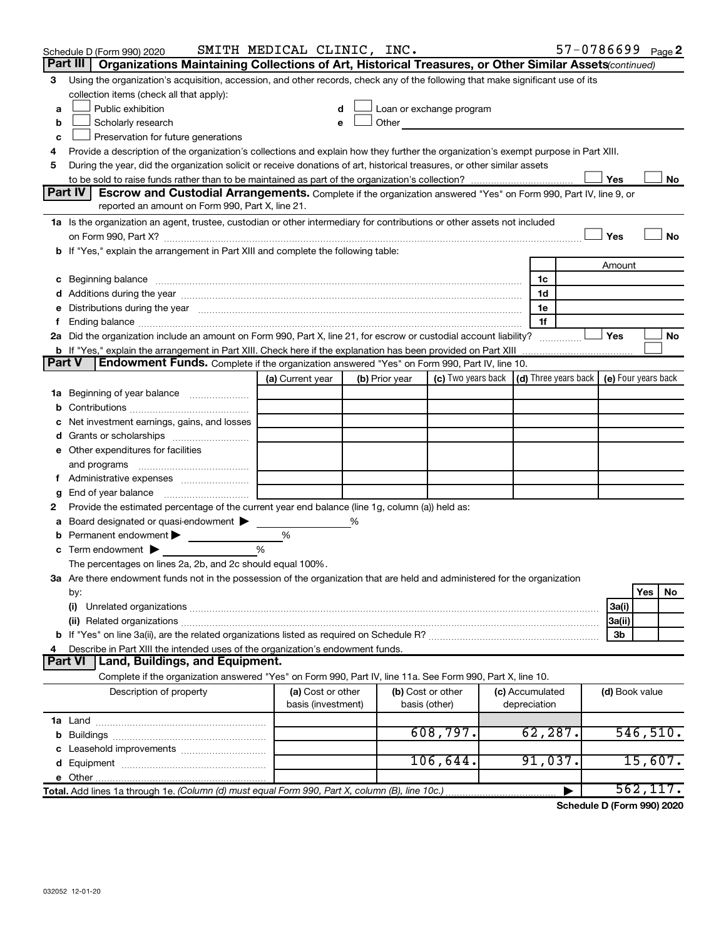|               | Schedule D (Form 990) 2020                                                                                                                                                                                                     | SMITH MEDICAL CLINIC, INC.              |   |                |                                                                                                                                                                                                                                |                                 |                | 57-0786699 Page 2 |
|---------------|--------------------------------------------------------------------------------------------------------------------------------------------------------------------------------------------------------------------------------|-----------------------------------------|---|----------------|--------------------------------------------------------------------------------------------------------------------------------------------------------------------------------------------------------------------------------|---------------------------------|----------------|-------------------|
|               | Part III  <br>Organizations Maintaining Collections of Art, Historical Treasures, or Other Similar Assets (continued)                                                                                                          |                                         |   |                |                                                                                                                                                                                                                                |                                 |                |                   |
| 3             | Using the organization's acquisition, accession, and other records, check any of the following that make significant use of its                                                                                                |                                         |   |                |                                                                                                                                                                                                                                |                                 |                |                   |
|               | collection items (check all that apply):                                                                                                                                                                                       |                                         |   |                |                                                                                                                                                                                                                                |                                 |                |                   |
| a             | Public exhibition                                                                                                                                                                                                              |                                         |   |                | Loan or exchange program                                                                                                                                                                                                       |                                 |                |                   |
| b             | Scholarly research                                                                                                                                                                                                             |                                         |   |                | Other and the control of the control of the control of the control of the control of the control of the control of the control of the control of the control of the control of the control of the control of the control of th |                                 |                |                   |
| c             | Preservation for future generations                                                                                                                                                                                            |                                         |   |                |                                                                                                                                                                                                                                |                                 |                |                   |
| 4             | Provide a description of the organization's collections and explain how they further the organization's exempt purpose in Part XIII.                                                                                           |                                         |   |                |                                                                                                                                                                                                                                |                                 |                |                   |
| 5             | During the year, did the organization solicit or receive donations of art, historical treasures, or other similar assets                                                                                                       |                                         |   |                |                                                                                                                                                                                                                                |                                 |                |                   |
|               |                                                                                                                                                                                                                                |                                         |   |                |                                                                                                                                                                                                                                |                                 | Yes            | No                |
|               | Part IV<br><b>Escrow and Custodial Arrangements.</b> Complete if the organization answered "Yes" on Form 990, Part IV, line 9, or                                                                                              |                                         |   |                |                                                                                                                                                                                                                                |                                 |                |                   |
|               | reported an amount on Form 990, Part X, line 21.                                                                                                                                                                               |                                         |   |                |                                                                                                                                                                                                                                |                                 |                |                   |
|               | 1a Is the organization an agent, trustee, custodian or other intermediary for contributions or other assets not included                                                                                                       |                                         |   |                |                                                                                                                                                                                                                                |                                 |                |                   |
|               | on Form 990, Part X? [11] matter and the contract of the contract of the contract of the contract of the contract of the contract of the contract of the contract of the contract of the contract of the contract of the contr |                                         |   |                |                                                                                                                                                                                                                                |                                 | Yes            | No                |
|               | b If "Yes," explain the arrangement in Part XIII and complete the following table:                                                                                                                                             |                                         |   |                |                                                                                                                                                                                                                                |                                 |                |                   |
|               |                                                                                                                                                                                                                                |                                         |   |                |                                                                                                                                                                                                                                |                                 | Amount         |                   |
|               | c Beginning balance measurements and the contract of the contract of the contract of the contract of the contract of the contract of the contract of the contract of the contract of the contract of the contract of the contr |                                         |   |                |                                                                                                                                                                                                                                | 1c<br>1d                        |                |                   |
|               |                                                                                                                                                                                                                                |                                         |   |                |                                                                                                                                                                                                                                | 1e                              |                |                   |
| е<br>f.       | Distributions during the year manufactured and an account of the year manufactured and the year manufactured and the year manufactured and the year manufactured and the year manufactured and the year manufactured and the y |                                         |   |                |                                                                                                                                                                                                                                | 1f                              |                |                   |
|               | 2a Did the organization include an amount on Form 990, Part X, line 21, for escrow or custodial account liability?                                                                                                             |                                         |   |                |                                                                                                                                                                                                                                |                                 | Yes            | No                |
|               |                                                                                                                                                                                                                                |                                         |   |                |                                                                                                                                                                                                                                |                                 |                |                   |
| <b>Part V</b> | Endowment Funds. Complete if the organization answered "Yes" on Form 990, Part IV, line 10.                                                                                                                                    |                                         |   |                |                                                                                                                                                                                                                                |                                 |                |                   |
|               |                                                                                                                                                                                                                                | (a) Current year                        |   | (b) Prior year | (c) Two years back $\vert$ (d) Three years back $\vert$ (e) Four years back                                                                                                                                                    |                                 |                |                   |
|               | 1a Beginning of year balance                                                                                                                                                                                                   |                                         |   |                |                                                                                                                                                                                                                                |                                 |                |                   |
| b             |                                                                                                                                                                                                                                |                                         |   |                |                                                                                                                                                                                                                                |                                 |                |                   |
| с             | Net investment earnings, gains, and losses                                                                                                                                                                                     |                                         |   |                |                                                                                                                                                                                                                                |                                 |                |                   |
| d             | Grants or scholarships <i>manually contained</i>                                                                                                                                                                               |                                         |   |                |                                                                                                                                                                                                                                |                                 |                |                   |
|               | e Other expenditures for facilities                                                                                                                                                                                            |                                         |   |                |                                                                                                                                                                                                                                |                                 |                |                   |
|               | and programs                                                                                                                                                                                                                   |                                         |   |                |                                                                                                                                                                                                                                |                                 |                |                   |
|               | f Administrative expenses                                                                                                                                                                                                      |                                         |   |                |                                                                                                                                                                                                                                |                                 |                |                   |
| g             | End of year balance <i>manually contained</i>                                                                                                                                                                                  |                                         |   |                |                                                                                                                                                                                                                                |                                 |                |                   |
| 2             | Provide the estimated percentage of the current year end balance (line 1g, column (a)) held as:                                                                                                                                |                                         |   |                |                                                                                                                                                                                                                                |                                 |                |                   |
| а             | Board designated or quasi-endowment                                                                                                                                                                                            |                                         | % |                |                                                                                                                                                                                                                                |                                 |                |                   |
| b             | Permanent endowment                                                                                                                                                                                                            | %                                       |   |                |                                                                                                                                                                                                                                |                                 |                |                   |
| с             | Term endowment $\blacktriangleright$                                                                                                                                                                                           | %                                       |   |                |                                                                                                                                                                                                                                |                                 |                |                   |
|               | The percentages on lines 2a, 2b, and 2c should equal 100%.                                                                                                                                                                     |                                         |   |                |                                                                                                                                                                                                                                |                                 |                |                   |
|               | 3a Are there endowment funds not in the possession of the organization that are held and administered for the organization                                                                                                     |                                         |   |                |                                                                                                                                                                                                                                |                                 |                |                   |
|               | by:                                                                                                                                                                                                                            |                                         |   |                |                                                                                                                                                                                                                                |                                 |                | Yes<br>No         |
|               | (i)                                                                                                                                                                                                                            |                                         |   |                |                                                                                                                                                                                                                                |                                 | 3a(i)          |                   |
|               |                                                                                                                                                                                                                                |                                         |   |                |                                                                                                                                                                                                                                |                                 | 3a(ii)         |                   |
|               |                                                                                                                                                                                                                                |                                         |   |                |                                                                                                                                                                                                                                |                                 | 3b             |                   |
| 4             | Describe in Part XIII the intended uses of the organization's endowment funds.                                                                                                                                                 |                                         |   |                |                                                                                                                                                                                                                                |                                 |                |                   |
|               | Land, Buildings, and Equipment.<br><b>Part VI</b>                                                                                                                                                                              |                                         |   |                |                                                                                                                                                                                                                                |                                 |                |                   |
|               | Complete if the organization answered "Yes" on Form 990, Part IV, line 11a. See Form 990, Part X, line 10.                                                                                                                     |                                         |   |                |                                                                                                                                                                                                                                |                                 |                |                   |
|               | Description of property                                                                                                                                                                                                        | (a) Cost or other<br>basis (investment) |   |                | (b) Cost or other<br>basis (other)                                                                                                                                                                                             | (c) Accumulated<br>depreciation | (d) Book value |                   |
|               |                                                                                                                                                                                                                                |                                         |   |                |                                                                                                                                                                                                                                |                                 |                |                   |
|               |                                                                                                                                                                                                                                |                                         |   |                | 608,797.                                                                                                                                                                                                                       | 62, 287.                        |                | 546, 510.         |
|               |                                                                                                                                                                                                                                |                                         |   |                |                                                                                                                                                                                                                                |                                 |                |                   |
|               |                                                                                                                                                                                                                                |                                         |   |                | 106,644.                                                                                                                                                                                                                       | 91,037.                         |                | 15,607.           |
|               |                                                                                                                                                                                                                                |                                         |   |                |                                                                                                                                                                                                                                |                                 |                |                   |
|               | Total. Add lines 1a through 1e. (Column (d) must equal Form 990, Part X, column (B), line 10c.)                                                                                                                                |                                         |   |                |                                                                                                                                                                                                                                |                                 |                | 562, 117.         |

**Schedule D (Form 990) 2020**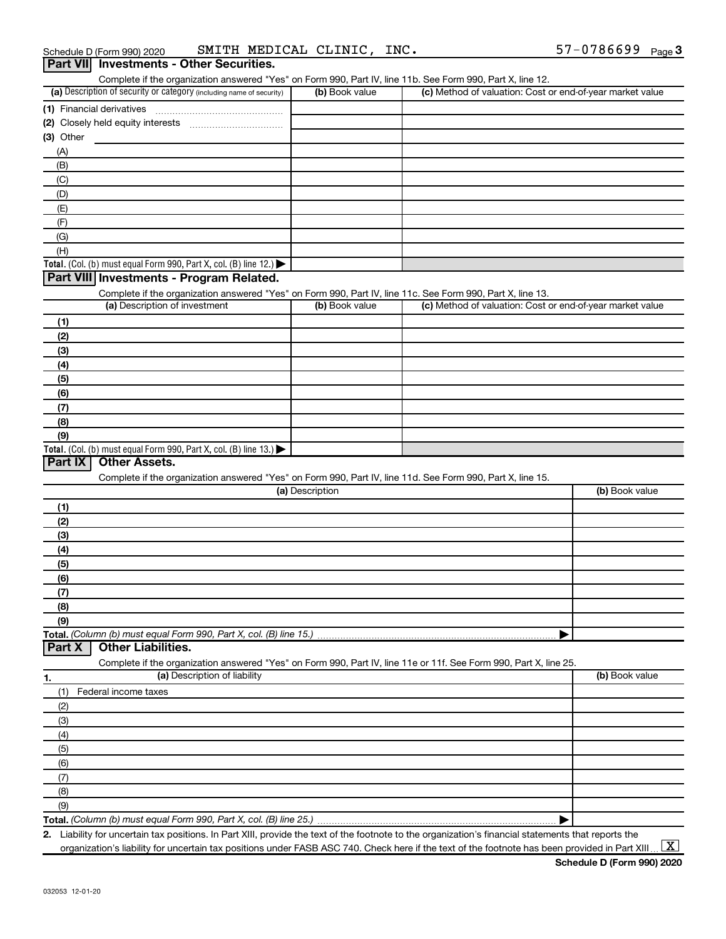| Complete if the organization answered "Yes" on Form 990, Part IV, line 11b. See Form 990, Part X, line 12.                                            |                 |                                                           |                |
|-------------------------------------------------------------------------------------------------------------------------------------------------------|-----------------|-----------------------------------------------------------|----------------|
| (a) Description of security or category (including name of security)                                                                                  | (b) Book value  | (c) Method of valuation: Cost or end-of-year market value |                |
| (1) Financial derivatives                                                                                                                             |                 |                                                           |                |
|                                                                                                                                                       |                 |                                                           |                |
| (3) Other                                                                                                                                             |                 |                                                           |                |
| (A)                                                                                                                                                   |                 |                                                           |                |
| (B)                                                                                                                                                   |                 |                                                           |                |
| (C)                                                                                                                                                   |                 |                                                           |                |
| (D)                                                                                                                                                   |                 |                                                           |                |
| (E)                                                                                                                                                   |                 |                                                           |                |
| (F)                                                                                                                                                   |                 |                                                           |                |
| (G)                                                                                                                                                   |                 |                                                           |                |
| (H)                                                                                                                                                   |                 |                                                           |                |
| Total. (Col. (b) must equal Form 990, Part X, col. (B) line 12.) $\blacktriangleright$                                                                |                 |                                                           |                |
| Part VIII Investments - Program Related.                                                                                                              |                 |                                                           |                |
| Complete if the organization answered "Yes" on Form 990, Part IV, line 11c. See Form 990, Part X, line 13.                                            |                 |                                                           |                |
| (a) Description of investment                                                                                                                         | (b) Book value  | (c) Method of valuation: Cost or end-of-year market value |                |
| (1)                                                                                                                                                   |                 |                                                           |                |
| (2)                                                                                                                                                   |                 |                                                           |                |
| (3)                                                                                                                                                   |                 |                                                           |                |
| (4)                                                                                                                                                   |                 |                                                           |                |
| (5)                                                                                                                                                   |                 |                                                           |                |
| (6)                                                                                                                                                   |                 |                                                           |                |
| (7)                                                                                                                                                   |                 |                                                           |                |
| (8)                                                                                                                                                   |                 |                                                           |                |
| (9)                                                                                                                                                   |                 |                                                           |                |
| Total. (Col. (b) must equal Form 990, Part X, col. (B) line 13.)                                                                                      |                 |                                                           |                |
| <b>Other Assets.</b><br>Part IX                                                                                                                       |                 |                                                           |                |
| Complete if the organization answered "Yes" on Form 990, Part IV, line 11d. See Form 990, Part X, line 15.                                            |                 |                                                           |                |
|                                                                                                                                                       |                 |                                                           |                |
|                                                                                                                                                       | (a) Description |                                                           | (b) Book value |
|                                                                                                                                                       |                 |                                                           |                |
| (1)                                                                                                                                                   |                 |                                                           |                |
| (2)                                                                                                                                                   |                 |                                                           |                |
| (3)                                                                                                                                                   |                 |                                                           |                |
| (4)                                                                                                                                                   |                 |                                                           |                |
| (5)                                                                                                                                                   |                 |                                                           |                |
| (6)                                                                                                                                                   |                 |                                                           |                |
| (7)                                                                                                                                                   |                 |                                                           |                |
| (8)                                                                                                                                                   |                 |                                                           |                |
| (9)                                                                                                                                                   |                 |                                                           |                |
|                                                                                                                                                       |                 |                                                           |                |
| <b>Other Liabilities.</b>                                                                                                                             |                 |                                                           |                |
| Complete if the organization answered "Yes" on Form 990, Part IV, line 11e or 11f. See Form 990, Part X, line 25.                                     |                 |                                                           |                |
| (a) Description of liability                                                                                                                          |                 |                                                           | (b) Book value |
| (1)<br>Federal income taxes                                                                                                                           |                 |                                                           |                |
| (2)                                                                                                                                                   |                 |                                                           |                |
| (3)                                                                                                                                                   |                 |                                                           |                |
| (4)                                                                                                                                                   |                 |                                                           |                |
| (5)                                                                                                                                                   |                 |                                                           |                |
| (6)                                                                                                                                                   |                 |                                                           |                |
| (7)                                                                                                                                                   |                 |                                                           |                |
| Part X<br>(8)                                                                                                                                         |                 |                                                           |                |
| Total. (Column (b) must equal Form 990, Part X, col. (B) line 15.)<br>1.<br>(9)<br>Total. (Column (b) must equal Form 990, Part X, col. (B) line 25.) |                 |                                                           |                |

**2.** Liability for uncertain tax positions. In Part XIII, provide the text of the footnote to the organization's financial statements that reports the organization's liability for uncertain tax positions under FASB ASC 740. Check here if the text of the footnote has been provided in Part XIII.

 $\boxed{\text{X}}$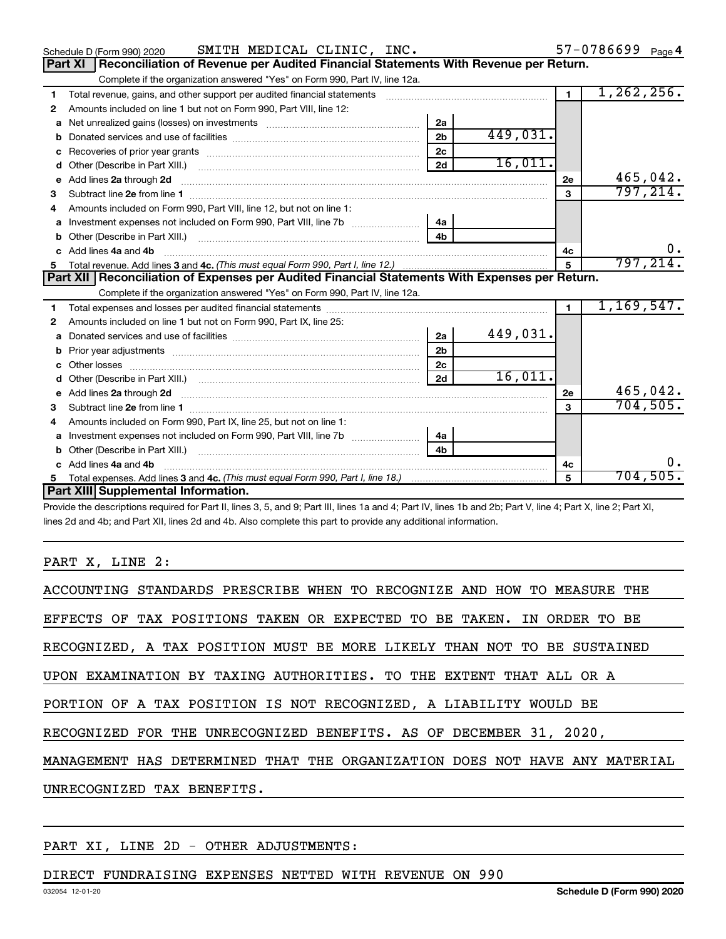|    | SMITH MEDICAL CLINIC, INC.<br>Schedule D (Form 990) 2020                                                                                                                                                                            |                |          |                | $57 - 0786699$ Page 4 |
|----|-------------------------------------------------------------------------------------------------------------------------------------------------------------------------------------------------------------------------------------|----------------|----------|----------------|-----------------------|
|    | Reconciliation of Revenue per Audited Financial Statements With Revenue per Return.<br><b>Part XI</b>                                                                                                                               |                |          |                |                       |
|    | Complete if the organization answered "Yes" on Form 990, Part IV, line 12a.                                                                                                                                                         |                |          |                |                       |
| 1  | Total revenue, gains, and other support per audited financial statements                                                                                                                                                            |                |          | $\overline{1}$ | 1, 262, 256.          |
| 2  | Amounts included on line 1 but not on Form 990, Part VIII, line 12:                                                                                                                                                                 |                |          |                |                       |
| a  |                                                                                                                                                                                                                                     | 2a             |          |                |                       |
|    |                                                                                                                                                                                                                                     | 2 <sub>b</sub> | 449,031. |                |                       |
| c  | Recoveries of prior year grants [11,111] Recoveries of prior year grants [11] Recoveries of prior year grants                                                                                                                       | 2 <sub>c</sub> |          |                |                       |
| d  |                                                                                                                                                                                                                                     | 2d             | 16,011.  |                |                       |
| е  | Add lines 2a through 2d                                                                                                                                                                                                             |                |          | 2e             | 465,042.              |
| 3  |                                                                                                                                                                                                                                     |                |          | 3              | 797, 214.             |
| 4  | Amounts included on Form 990, Part VIII, line 12, but not on line 1:                                                                                                                                                                |                |          |                |                       |
|    | Investment expenses not included on Form 990, Part VIII, line 7b [11] [11] Investment expenses not included on Form 990, Part VIII, line 7b                                                                                         | 4a             |          |                |                       |
| b  |                                                                                                                                                                                                                                     | 4 <sub>b</sub> |          |                |                       |
| C. | Add lines 4a and 4b                                                                                                                                                                                                                 |                |          | 4с             | 0.                    |
|    |                                                                                                                                                                                                                                     |                |          | 5              | 797, 214.             |
|    |                                                                                                                                                                                                                                     |                |          |                |                       |
|    | Part XII   Reconciliation of Expenses per Audited Financial Statements With Expenses per Return.                                                                                                                                    |                |          |                |                       |
|    | Complete if the organization answered "Yes" on Form 990, Part IV, line 12a.                                                                                                                                                         |                |          |                |                       |
| 1  |                                                                                                                                                                                                                                     |                |          | $\mathbf{1}$   | 1,169,547.            |
| 2  | Amounts included on line 1 but not on Form 990, Part IX, line 25:                                                                                                                                                                   |                |          |                |                       |
| a  |                                                                                                                                                                                                                                     | 2a             | 449,031. |                |                       |
| b  |                                                                                                                                                                                                                                     | 2 <sub>b</sub> |          |                |                       |
| c  |                                                                                                                                                                                                                                     | 2 <sub>c</sub> |          |                |                       |
|    |                                                                                                                                                                                                                                     | 2d             | 16,011.  |                |                       |
|    | Add lines 2a through 2d <b>must be a constructed as the constant of the construction of the construction</b> and the construction of the construction of the construction of the construction of the construction of the constructi |                |          | 2e             | 465,042.              |
| з  |                                                                                                                                                                                                                                     |                |          | 3              | 704, 505.             |
| 4  | Amounts included on Form 990, Part IX, line 25, but not on line 1:                                                                                                                                                                  |                |          |                |                       |
| a  |                                                                                                                                                                                                                                     |                |          |                |                       |
| b  |                                                                                                                                                                                                                                     | 4b             |          |                |                       |
| C. | Add lines 4a and 4b                                                                                                                                                                                                                 |                |          | 4с             | О.                    |
|    | Part XIII Supplemental Information.                                                                                                                                                                                                 |                |          | 5              | 704,505.              |

Provide the descriptions required for Part II, lines 3, 5, and 9; Part III, lines 1a and 4; Part IV, lines 1b and 2b; Part V, line 4; Part X, line 2; Part XI, lines 2d and 4b; and Part XII, lines 2d and 4b. Also complete this part to provide any additional information.

#### PART X, LINE 2:

| ACCOUNTING STANDARDS PRESCRIBE WHEN TO RECOGNIZE AND HOW TO MEASURE THE    |
|----------------------------------------------------------------------------|
| EFFECTS OF TAX POSITIONS TAKEN OR EXPECTED TO BE TAKEN. IN ORDER TO BE     |
| RECOGNIZED, A TAX POSITION MUST BE MORE LIKELY THAN NOT TO BE SUSTAINED    |
| UPON EXAMINATION BY TAXING AUTHORITIES. TO THE EXTENT THAT ALL OR A        |
| PORTION OF A TAX POSITION IS NOT RECOGNIZED, A LIABILITY WOULD BE          |
| RECOGNIZED FOR THE UNRECOGNIZED BENEFITS. AS OF DECEMBER 31, 2020,         |
| MANAGEMENT HAS DETERMINED THAT THE ORGANIZATION DOES NOT HAVE ANY MATERIAL |
| UNRECOGNIZED TAX BENEFITS.                                                 |
|                                                                            |

## PART XI, LINE 2D - OTHER ADJUSTMENTS:

## DIRECT FUNDRAISING EXPENSES NETTED WITH REVENUE ON 990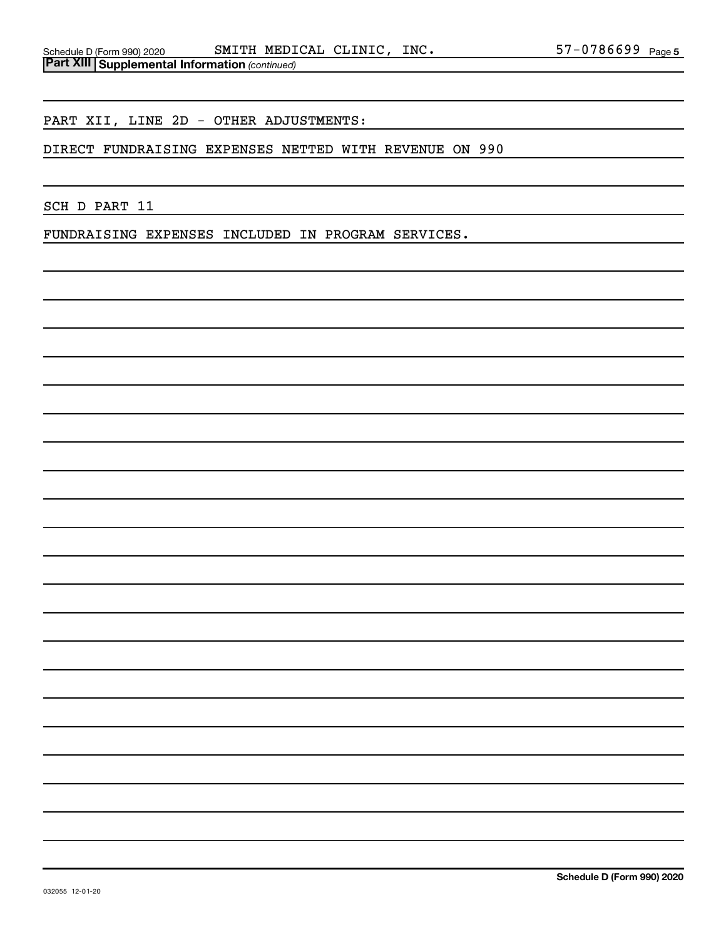PART XII, LINE 2D - OTHER ADJUSTMENTS:

DIRECT FUNDRAISING EXPENSES NETTED WITH REVENUE ON 990

SCH D PART 11

FUNDRAISING EXPENSES INCLUDED IN PROGRAM SERVICES.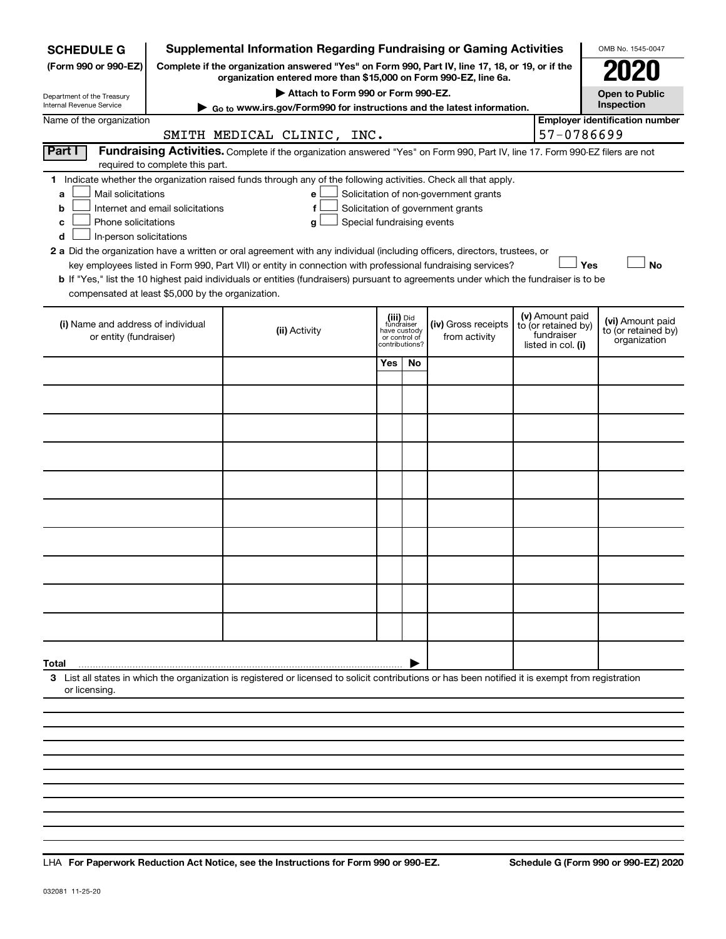| <b>SCHEDULE G</b>                                                     |                                                                                                                                                                                                                                                                                                                                                                                                                                                                                                                                                                                                                                                                                                                                                                  | <b>Supplemental Information Regarding Fundraising or Gaming Activities</b>                                                                                          |     |                                                                            |                                      |                                                                            |  | OMB No. 1545-0047                                       |  |  |
|-----------------------------------------------------------------------|------------------------------------------------------------------------------------------------------------------------------------------------------------------------------------------------------------------------------------------------------------------------------------------------------------------------------------------------------------------------------------------------------------------------------------------------------------------------------------------------------------------------------------------------------------------------------------------------------------------------------------------------------------------------------------------------------------------------------------------------------------------|---------------------------------------------------------------------------------------------------------------------------------------------------------------------|-----|----------------------------------------------------------------------------|--------------------------------------|----------------------------------------------------------------------------|--|---------------------------------------------------------|--|--|
| (Form 990 or 990-EZ)                                                  |                                                                                                                                                                                                                                                                                                                                                                                                                                                                                                                                                                                                                                                                                                                                                                  | Complete if the organization answered "Yes" on Form 990, Part IV, line 17, 18, or 19, or if the<br>organization entered more than \$15,000 on Form 990-EZ, line 6a. |     |                                                                            |                                      |                                                                            |  |                                                         |  |  |
| Department of the Treasury                                            |                                                                                                                                                                                                                                                                                                                                                                                                                                                                                                                                                                                                                                                                                                                                                                  | Attach to Form 990 or Form 990-EZ.                                                                                                                                  |     |                                                                            |                                      |                                                                            |  | <b>Open to Public</b>                                   |  |  |
| Internal Revenue Service                                              | Go to www.irs.gov/Form990 for instructions and the latest information.                                                                                                                                                                                                                                                                                                                                                                                                                                                                                                                                                                                                                                                                                           |                                                                                                                                                                     |     |                                                                            |                                      |                                                                            |  |                                                         |  |  |
| <b>Employer identification number</b><br>Name of the organization     |                                                                                                                                                                                                                                                                                                                                                                                                                                                                                                                                                                                                                                                                                                                                                                  |                                                                                                                                                                     |     |                                                                            |                                      |                                                                            |  |                                                         |  |  |
| 57-0786699<br>SMITH MEDICAL CLINIC, INC.                              |                                                                                                                                                                                                                                                                                                                                                                                                                                                                                                                                                                                                                                                                                                                                                                  |                                                                                                                                                                     |     |                                                                            |                                      |                                                                            |  |                                                         |  |  |
| Part I                                                                | required to complete this part.                                                                                                                                                                                                                                                                                                                                                                                                                                                                                                                                                                                                                                                                                                                                  | Fundraising Activities. Complete if the organization answered "Yes" on Form 990, Part IV, line 17. Form 990-EZ filers are not                                       |     |                                                                            |                                      |                                                                            |  |                                                         |  |  |
| a<br>b<br>с<br>d<br>compensated at least \$5,000 by the organization. | 1 Indicate whether the organization raised funds through any of the following activities. Check all that apply.<br>Mail solicitations<br>Solicitation of non-government grants<br>e<br>Internet and email solicitations<br>Solicitation of government grants<br>f<br>Special fundraising events<br>Phone solicitations<br>g<br>In-person solicitations<br>2 a Did the organization have a written or oral agreement with any individual (including officers, directors, trustees, or<br>Yes<br><b>No</b><br>key employees listed in Form 990, Part VII) or entity in connection with professional fundraising services?<br>b If "Yes," list the 10 highest paid individuals or entities (fundraisers) pursuant to agreements under which the fundraiser is to be |                                                                                                                                                                     |     |                                                                            |                                      |                                                                            |  |                                                         |  |  |
|                                                                       |                                                                                                                                                                                                                                                                                                                                                                                                                                                                                                                                                                                                                                                                                                                                                                  |                                                                                                                                                                     |     |                                                                            |                                      |                                                                            |  |                                                         |  |  |
| (i) Name and address of individual<br>or entity (fundraiser)          |                                                                                                                                                                                                                                                                                                                                                                                                                                                                                                                                                                                                                                                                                                                                                                  | (ii) Activity                                                                                                                                                       |     | (iii) Did<br>fundraiser<br>have custody<br>or control of<br>contributions? | (iv) Gross receipts<br>from activity | (v) Amount paid<br>to (or retained by)<br>fundraiser<br>listed in col. (i) |  | (vi) Amount paid<br>to (or retained by)<br>organization |  |  |
|                                                                       |                                                                                                                                                                                                                                                                                                                                                                                                                                                                                                                                                                                                                                                                                                                                                                  |                                                                                                                                                                     | Yes | No.                                                                        |                                      |                                                                            |  |                                                         |  |  |
|                                                                       |                                                                                                                                                                                                                                                                                                                                                                                                                                                                                                                                                                                                                                                                                                                                                                  |                                                                                                                                                                     |     |                                                                            |                                      |                                                                            |  |                                                         |  |  |
|                                                                       |                                                                                                                                                                                                                                                                                                                                                                                                                                                                                                                                                                                                                                                                                                                                                                  |                                                                                                                                                                     |     |                                                                            |                                      |                                                                            |  |                                                         |  |  |
|                                                                       |                                                                                                                                                                                                                                                                                                                                                                                                                                                                                                                                                                                                                                                                                                                                                                  |                                                                                                                                                                     |     |                                                                            |                                      |                                                                            |  |                                                         |  |  |
|                                                                       |                                                                                                                                                                                                                                                                                                                                                                                                                                                                                                                                                                                                                                                                                                                                                                  |                                                                                                                                                                     |     |                                                                            |                                      |                                                                            |  |                                                         |  |  |
|                                                                       |                                                                                                                                                                                                                                                                                                                                                                                                                                                                                                                                                                                                                                                                                                                                                                  |                                                                                                                                                                     |     |                                                                            |                                      |                                                                            |  |                                                         |  |  |
|                                                                       |                                                                                                                                                                                                                                                                                                                                                                                                                                                                                                                                                                                                                                                                                                                                                                  |                                                                                                                                                                     |     |                                                                            |                                      |                                                                            |  |                                                         |  |  |
|                                                                       |                                                                                                                                                                                                                                                                                                                                                                                                                                                                                                                                                                                                                                                                                                                                                                  |                                                                                                                                                                     |     |                                                                            |                                      |                                                                            |  |                                                         |  |  |
|                                                                       |                                                                                                                                                                                                                                                                                                                                                                                                                                                                                                                                                                                                                                                                                                                                                                  |                                                                                                                                                                     |     |                                                                            |                                      |                                                                            |  |                                                         |  |  |
|                                                                       |                                                                                                                                                                                                                                                                                                                                                                                                                                                                                                                                                                                                                                                                                                                                                                  |                                                                                                                                                                     |     |                                                                            |                                      |                                                                            |  |                                                         |  |  |
| Total                                                                 |                                                                                                                                                                                                                                                                                                                                                                                                                                                                                                                                                                                                                                                                                                                                                                  |                                                                                                                                                                     |     |                                                                            |                                      |                                                                            |  |                                                         |  |  |
| or licensing.                                                         |                                                                                                                                                                                                                                                                                                                                                                                                                                                                                                                                                                                                                                                                                                                                                                  | 3 List all states in which the organization is registered or licensed to solicit contributions or has been notified it is exempt from registration                  |     |                                                                            |                                      |                                                                            |  |                                                         |  |  |
|                                                                       |                                                                                                                                                                                                                                                                                                                                                                                                                                                                                                                                                                                                                                                                                                                                                                  |                                                                                                                                                                     |     |                                                                            |                                      |                                                                            |  |                                                         |  |  |
|                                                                       |                                                                                                                                                                                                                                                                                                                                                                                                                                                                                                                                                                                                                                                                                                                                                                  |                                                                                                                                                                     |     |                                                                            |                                      |                                                                            |  |                                                         |  |  |

**For Paperwork Reduction Act Notice, see the Instructions for Form 990 or 990-EZ. Schedule G (Form 990 or 990-EZ) 2020** LHA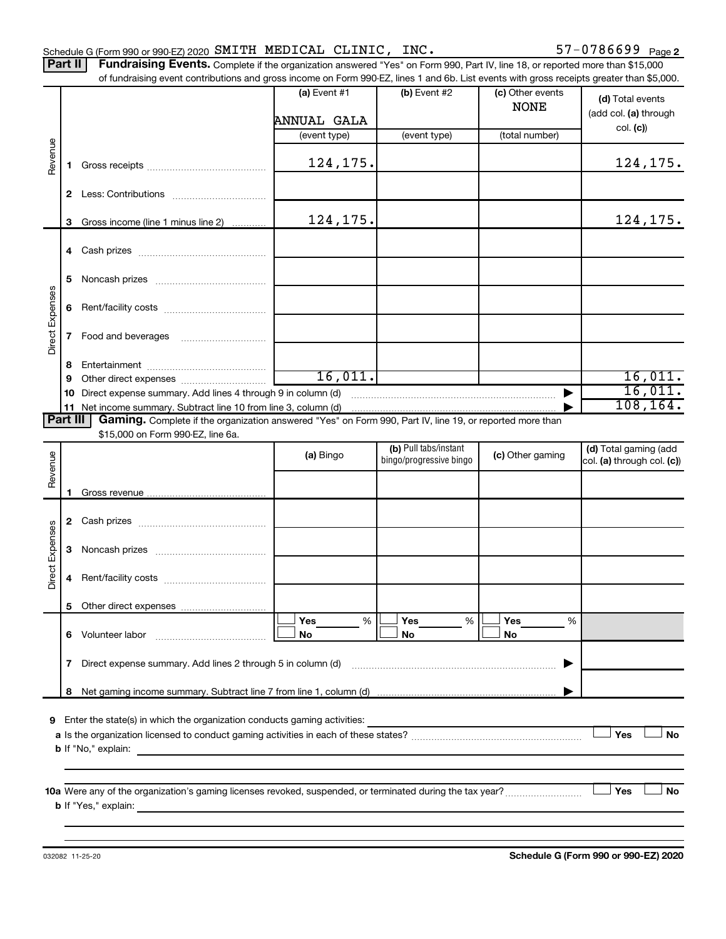Part II | Fundraising Events. Complete if the organization answered "Yes" on Form 990, Part IV, line 18, or reported more than \$15,000 of fundraising event contributions and gross income on Form 990-EZ, lines 1 and 6b. List events with gross receipts greater than \$5,000.

|                        |    | of fundraising event contributions and gross income on Form 990-EZ, lines T and 6D. List events with gross receipts greater than \$5,000. | (a) Event $#1$<br>ANNUAL GALA | $(b)$ Event #2          | (c) Other events<br><b>NONE</b> | (d) Total events<br>(add col. (a) through |
|------------------------|----|-------------------------------------------------------------------------------------------------------------------------------------------|-------------------------------|-------------------------|---------------------------------|-------------------------------------------|
|                        |    |                                                                                                                                           | (event type)                  | (event type)            | (total number)                  | col. (c)                                  |
| Revenue                | 1. |                                                                                                                                           | 124,175.                      |                         |                                 | 124, 175.                                 |
|                        |    |                                                                                                                                           |                               |                         |                                 |                                           |
|                        | 3  | Gross income (line 1 minus line 2)                                                                                                        | 124,175.                      |                         |                                 | 124,175.                                  |
|                        |    |                                                                                                                                           |                               |                         |                                 |                                           |
| Direct Expenses        | 5  |                                                                                                                                           |                               |                         |                                 |                                           |
|                        | 6  |                                                                                                                                           |                               |                         |                                 |                                           |
|                        | 7  |                                                                                                                                           |                               |                         |                                 |                                           |
|                        | 8  |                                                                                                                                           |                               |                         |                                 |                                           |
|                        | 9  |                                                                                                                                           | 16,011.                       |                         |                                 | 16,011.                                   |
|                        |    | 10 Direct expense summary. Add lines 4 through 9 in column (d)                                                                            |                               |                         |                                 | 16,011.<br>108, 164.                      |
| Part III               |    | Gaming. Complete if the organization answered "Yes" on Form 990, Part IV, line 19, or reported more than                                  |                               |                         |                                 |                                           |
|                        |    | \$15,000 on Form 990-EZ, line 6a.                                                                                                         |                               |                         |                                 |                                           |
|                        |    |                                                                                                                                           |                               | (b) Pull tabs/instant   |                                 | (d) Total gaming (add                     |
| Revenue                |    |                                                                                                                                           | (a) Bingo                     | bingo/progressive bingo | (c) Other gaming                | col. (a) through col. (c))                |
|                        |    |                                                                                                                                           |                               |                         |                                 |                                           |
|                        | 1. |                                                                                                                                           |                               |                         |                                 |                                           |
|                        |    |                                                                                                                                           |                               |                         |                                 |                                           |
|                        | 3  |                                                                                                                                           |                               |                         |                                 |                                           |
| <b>Direct Expenses</b> | 4  |                                                                                                                                           |                               |                         |                                 |                                           |
|                        | 5  |                                                                                                                                           |                               |                         |                                 |                                           |
|                        |    |                                                                                                                                           | Yes<br>%                      | Yes<br>%                | Yes<br>%                        |                                           |
|                        |    |                                                                                                                                           | No                            | No                      | No                              |                                           |
|                        | 7  | Direct expense summary. Add lines 2 through 5 in column (d)                                                                               |                               |                         | ▸                               |                                           |
|                        | 8  |                                                                                                                                           |                               |                         |                                 |                                           |
|                        |    | 9 Enter the state(s) in which the organization conducts gaming activities:                                                                |                               |                         |                                 | Yes<br>No                                 |
|                        |    |                                                                                                                                           |                               |                         |                                 |                                           |
|                        |    |                                                                                                                                           |                               |                         |                                 | Yes<br>No                                 |
|                        |    |                                                                                                                                           |                               |                         |                                 |                                           |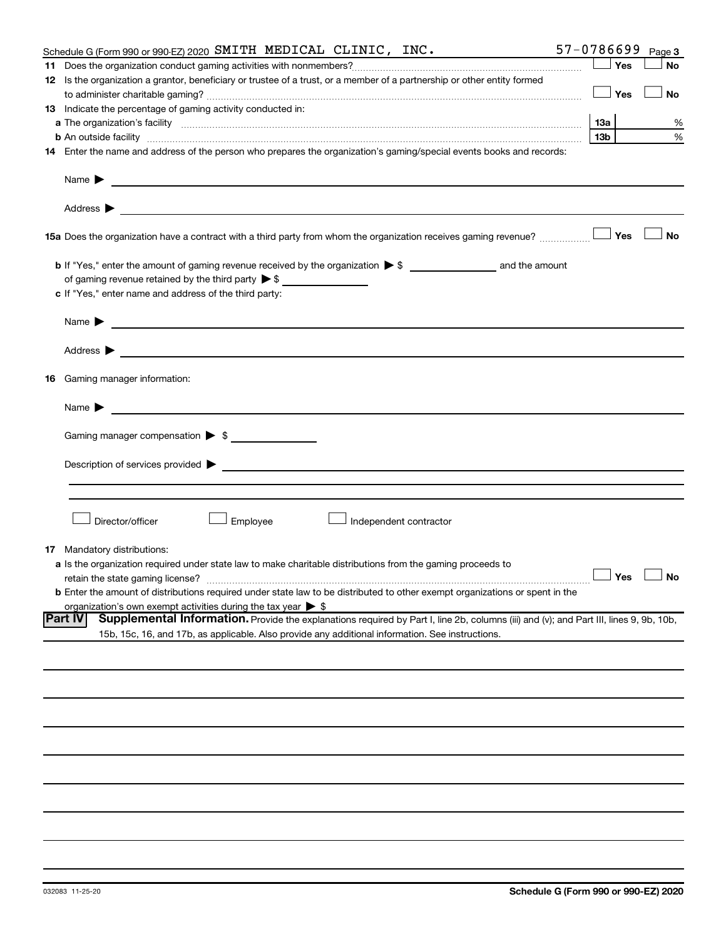| 57-0786699<br>Schedule G (Form 990 or 990-EZ) 2020 SMITH MEDICAL CLINIC, INC.                                                                                                                                                                     |                 |     | Page 3               |
|---------------------------------------------------------------------------------------------------------------------------------------------------------------------------------------------------------------------------------------------------|-----------------|-----|----------------------|
|                                                                                                                                                                                                                                                   |                 | Yes | <b>No</b>            |
| 12 Is the organization a grantor, beneficiary or trustee of a trust, or a member of a partnership or other entity formed                                                                                                                          |                 |     |                      |
|                                                                                                                                                                                                                                                   |                 | Yes | No                   |
| 13 Indicate the percentage of gaming activity conducted in:                                                                                                                                                                                       |                 |     |                      |
|                                                                                                                                                                                                                                                   | 13а             |     | %                    |
|                                                                                                                                                                                                                                                   | 13 <sub>b</sub> |     | %                    |
| <b>b</b> An outside facility <i>www.communicality www.communicality.communicality www.communicality www.communicality.communicality www.communicality.com</i>                                                                                     |                 |     |                      |
| 14 Enter the name and address of the person who prepares the organization's gaming/special events books and records:                                                                                                                              |                 |     |                      |
| Name $\blacktriangleright$<br><u>and the contract of the contract of the contract of the contract of the contract of the contract of the contract of</u>                                                                                          |                 |     |                      |
|                                                                                                                                                                                                                                                   |                 |     |                      |
| 15a Does the organization have a contract with a third party from whom the organization receives gaming revenue?                                                                                                                                  |                 | Yes | <b>No</b>            |
|                                                                                                                                                                                                                                                   |                 |     |                      |
| of gaming revenue retained by the third party $\triangleright$ \$                                                                                                                                                                                 |                 |     |                      |
| c If "Yes," enter name and address of the third party:                                                                                                                                                                                            |                 |     |                      |
|                                                                                                                                                                                                                                                   |                 |     |                      |
| Name $\blacktriangleright$<br><u>and the control of the control of the control of the control of the control of the control of</u>                                                                                                                |                 |     |                      |
| Address ><br><u>and the state of the state of the state of the state of the state of the state of the state of the state of the state of the state of the state of the state of the state of the state of the state of the state of the state</u> |                 |     |                      |
| <b>16</b> Gaming manager information:                                                                                                                                                                                                             |                 |     |                      |
| <u> 1989 - Johann Barbara, martin amerikan basal dan basal dan basal dan basal dan basal dan basal dan basal dan</u><br>Name $\blacktriangleright$                                                                                                |                 |     |                      |
| Gaming manager compensation > \$                                                                                                                                                                                                                  |                 |     |                      |
| Description of services provided <b>by the contract of the contract of the contract of services</b> provided <b>by the contract of the contract of the contract of the contract of the contract of the contract of the contract of th</b>         |                 |     |                      |
|                                                                                                                                                                                                                                                   |                 |     |                      |
|                                                                                                                                                                                                                                                   |                 |     |                      |
| Employee<br>Director/officer<br>Independent contractor                                                                                                                                                                                            |                 |     |                      |
| <b>17</b> Mandatory distributions:                                                                                                                                                                                                                |                 |     |                      |
| a Is the organization required under state law to make charitable distributions from the gaming proceeds to                                                                                                                                       |                 |     |                      |
| retain the state gaming license?                                                                                                                                                                                                                  |                 |     | $\Box$ Yes $\Box$ No |
| <b>b</b> Enter the amount of distributions required under state law to be distributed to other exempt organizations or spent in the                                                                                                               |                 |     |                      |
| organization's own exempt activities during the tax year $\triangleright$ \$                                                                                                                                                                      |                 |     |                      |
| <b>Part IV</b><br>Supplemental Information. Provide the explanations required by Part I, line 2b, columns (iii) and (v); and Part III, lines 9, 9b, 10b,                                                                                          |                 |     |                      |
| 15b, 15c, 16, and 17b, as applicable. Also provide any additional information. See instructions.                                                                                                                                                  |                 |     |                      |
|                                                                                                                                                                                                                                                   |                 |     |                      |
|                                                                                                                                                                                                                                                   |                 |     |                      |
|                                                                                                                                                                                                                                                   |                 |     |                      |
|                                                                                                                                                                                                                                                   |                 |     |                      |
|                                                                                                                                                                                                                                                   |                 |     |                      |
|                                                                                                                                                                                                                                                   |                 |     |                      |
|                                                                                                                                                                                                                                                   |                 |     |                      |
|                                                                                                                                                                                                                                                   |                 |     |                      |
|                                                                                                                                                                                                                                                   |                 |     |                      |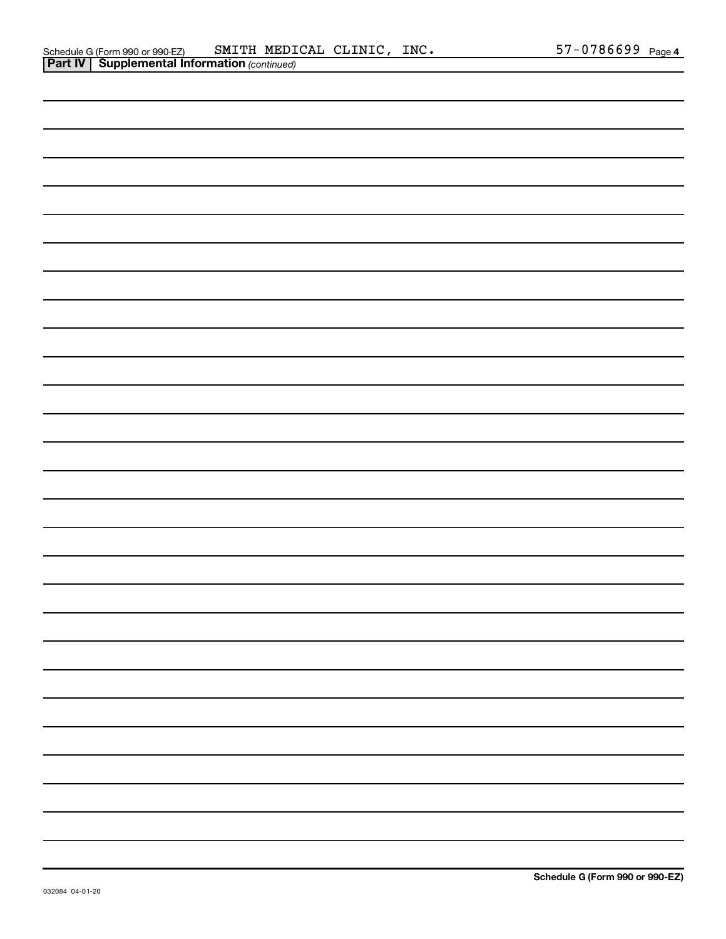| Schedule G (Form 990 or 990-EZ)                       | SMITH MEDICAL CLINIC, | $\_$ INC . | $57 - 0786699$ Page 4 |  |
|-------------------------------------------------------|-----------------------|------------|-----------------------|--|
| <b>Part IV   Supplemental Information (continued)</b> |                       |            |                       |  |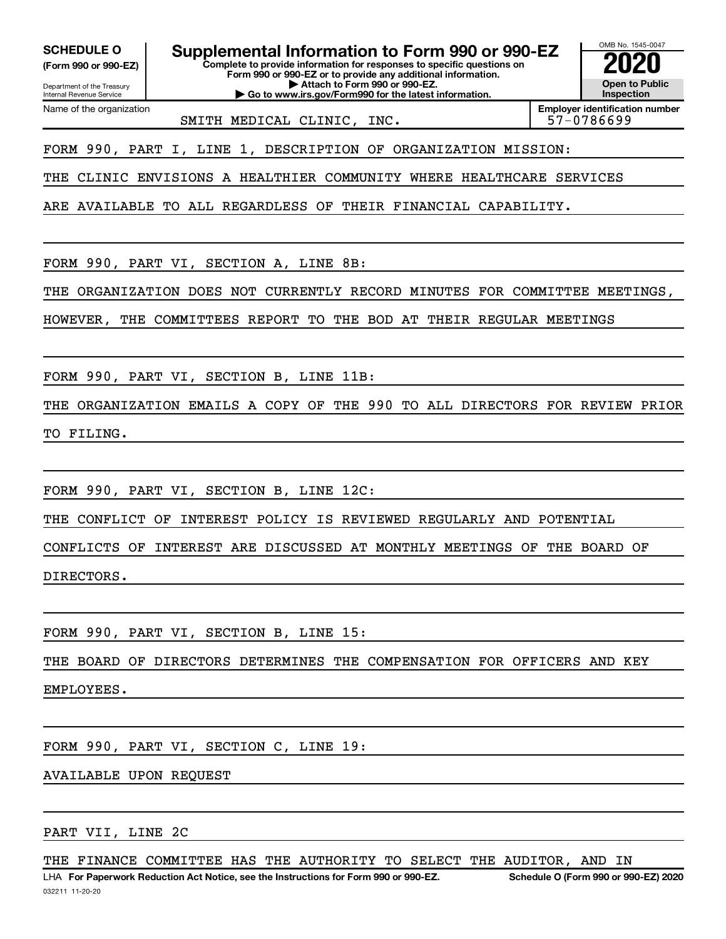Department of the Treasury **(Form 990 or 990-EZ)**

Name of the organization

Internal Revenue Service

**SCHEDULE O Supplemental Information to Form 990 or 990-EZ 2020**<br>(Form 990 or 990-EZ) Complete to provide information for responses to specific questions on

**Complete to provide information for responses to specific questions on Form 990 or 990-EZ or to provide any additional information. | Attach to Form 990 or 990-EZ.**

**| Go to www.irs.gov/Form990 for the latest information.**

OMB No. 1545-0047 **Open to Public Inspection**

SMITH MEDICAL CLINIC, INC.  $\vert$  57-0786699

**Employer identification number**

FORM 990, PART I, LINE 1, DESCRIPTION OF ORGANIZATION MISSION:

THE CLINIC ENVISIONS A HEALTHIER COMMUNITY WHERE HEALTHCARE SERVICES

ARE AVAILABLE TO ALL REGARDLESS OF THEIR FINANCIAL CAPABILITY.

FORM 990, PART VI, SECTION A, LINE 8B:

THE ORGANIZATION DOES NOT CURRENTLY RECORD MINUTES FOR COMMITTEE MEETINGS,

HOWEVER, THE COMMITTEES REPORT TO THE BOD AT THEIR REGULAR MEETINGS

FORM 990, PART VI, SECTION B, LINE 11B:

THE ORGANIZATION EMAILS A COPY OF THE 990 TO ALL DIRECTORS FOR REVIEW PRIOR

TO FILING.

FORM 990, PART VI, SECTION B, LINE 12C:

THE CONFLICT OF INTEREST POLICY IS REVIEWED REGULARLY AND POTENTIAL

CONFLICTS OF INTEREST ARE DISCUSSED AT MONTHLY MEETINGS OF THE BOARD OF DIRECTORS.

FORM 990, PART VI, SECTION B, LINE 15:

THE BOARD OF DIRECTORS DETERMINES THE COMPENSATION FOR OFFICERS AND KEY

EMPLOYEES.

FORM 990, PART VI, SECTION C, LINE 19:

# AVAILABLE UPON REQUEST

PART VII, LINE 2C

THE FINANCE COMMITTEE HAS THE AUTHORITY TO SELECT THE AUDITOR, AND IN